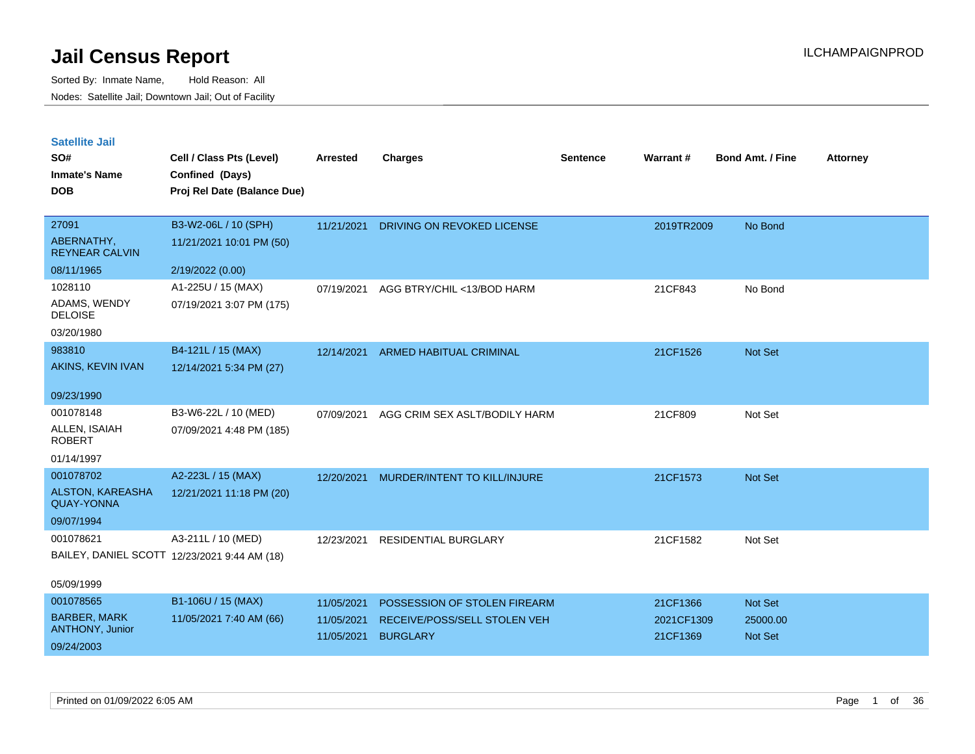| <b>Satellite Jail</b> |  |
|-----------------------|--|
|                       |  |

| SO#<br><b>Inmate's Name</b>                  | Cell / Class Pts (Level)<br>Confined (Days)  | Arrested   | <b>Charges</b>                 | <b>Sentence</b> | Warrant#   | <b>Bond Amt. / Fine</b> | <b>Attorney</b> |
|----------------------------------------------|----------------------------------------------|------------|--------------------------------|-----------------|------------|-------------------------|-----------------|
| <b>DOB</b>                                   | Proj Rel Date (Balance Due)                  |            |                                |                 |            |                         |                 |
| 27091                                        | B3-W2-06L / 10 (SPH)                         | 11/21/2021 | DRIVING ON REVOKED LICENSE     |                 | 2019TR2009 | No Bond                 |                 |
| ABERNATHY,<br><b>REYNEAR CALVIN</b>          | 11/21/2021 10:01 PM (50)                     |            |                                |                 |            |                         |                 |
| 08/11/1965                                   | 2/19/2022 (0.00)                             |            |                                |                 |            |                         |                 |
| 1028110                                      | A1-225U / 15 (MAX)                           | 07/19/2021 | AGG BTRY/CHIL <13/BOD HARM     |                 | 21CF843    | No Bond                 |                 |
| ADAMS, WENDY<br><b>DELOISE</b>               | 07/19/2021 3:07 PM (175)                     |            |                                |                 |            |                         |                 |
| 03/20/1980                                   |                                              |            |                                |                 |            |                         |                 |
| 983810                                       | B4-121L / 15 (MAX)                           | 12/14/2021 | <b>ARMED HABITUAL CRIMINAL</b> |                 | 21CF1526   | Not Set                 |                 |
| AKINS, KEVIN IVAN                            | 12/14/2021 5:34 PM (27)                      |            |                                |                 |            |                         |                 |
| 09/23/1990                                   |                                              |            |                                |                 |            |                         |                 |
| 001078148                                    | B3-W6-22L / 10 (MED)                         | 07/09/2021 | AGG CRIM SEX ASLT/BODILY HARM  |                 | 21CF809    | Not Set                 |                 |
| ALLEN, ISAIAH<br><b>ROBERT</b>               | 07/09/2021 4:48 PM (185)                     |            |                                |                 |            |                         |                 |
| 01/14/1997                                   |                                              |            |                                |                 |            |                         |                 |
| 001078702                                    | A2-223L / 15 (MAX)                           | 12/20/2021 | MURDER/INTENT TO KILL/INJURE   |                 | 21CF1573   | Not Set                 |                 |
| <b>ALSTON, KAREASHA</b><br><b>QUAY-YONNA</b> | 12/21/2021 11:18 PM (20)                     |            |                                |                 |            |                         |                 |
| 09/07/1994                                   |                                              |            |                                |                 |            |                         |                 |
| 001078621                                    | A3-211L / 10 (MED)                           | 12/23/2021 | RESIDENTIAL BURGLARY           |                 | 21CF1582   | Not Set                 |                 |
|                                              | BAILEY, DANIEL SCOTT 12/23/2021 9:44 AM (18) |            |                                |                 |            |                         |                 |
| 05/09/1999                                   |                                              |            |                                |                 |            |                         |                 |
| 001078565                                    | B1-106U / 15 (MAX)                           | 11/05/2021 | POSSESSION OF STOLEN FIREARM   |                 | 21CF1366   | Not Set                 |                 |
| <b>BARBER, MARK</b><br>ANTHONY, Junior       | 11/05/2021 7:40 AM (66)                      | 11/05/2021 | RECEIVE/POSS/SELL STOLEN VEH   |                 | 2021CF1309 | 25000.00                |                 |
| 09/24/2003                                   |                                              | 11/05/2021 | <b>BURGLARY</b>                |                 | 21CF1369   | <b>Not Set</b>          |                 |
|                                              |                                              |            |                                |                 |            |                         |                 |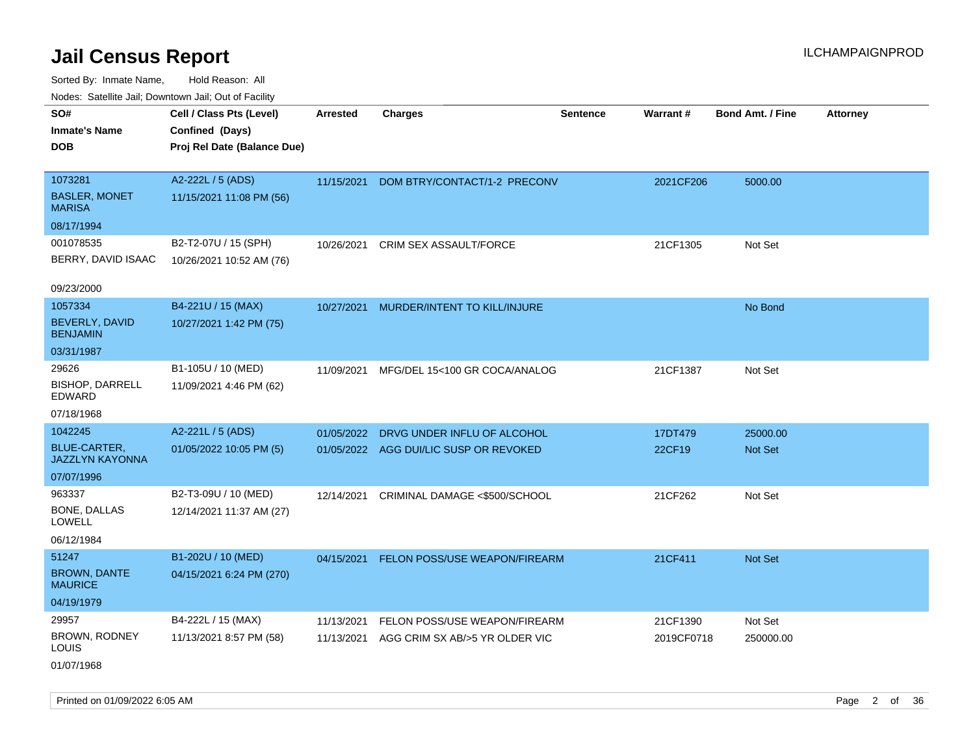Sorted By: Inmate Name, Hold Reason: All Nodes: Satellite Jail; Downtown Jail; Out of Facility

| ivuutos. Saltiilit Jall, Duwilluwii Jall, Oul of Facility |                             |            |                                        |                 |            |                         |                 |
|-----------------------------------------------------------|-----------------------------|------------|----------------------------------------|-----------------|------------|-------------------------|-----------------|
| SO#                                                       | Cell / Class Pts (Level)    | Arrested   | <b>Charges</b>                         | <b>Sentence</b> | Warrant#   | <b>Bond Amt. / Fine</b> | <b>Attorney</b> |
| <b>Inmate's Name</b>                                      | Confined (Days)             |            |                                        |                 |            |                         |                 |
| <b>DOB</b>                                                | Proj Rel Date (Balance Due) |            |                                        |                 |            |                         |                 |
|                                                           |                             |            |                                        |                 |            |                         |                 |
| 1073281                                                   | A2-222L / 5 (ADS)           | 11/15/2021 | DOM BTRY/CONTACT/1-2 PRECONV           |                 | 2021CF206  | 5000.00                 |                 |
| <b>BASLER, MONET</b><br><b>MARISA</b>                     | 11/15/2021 11:08 PM (56)    |            |                                        |                 |            |                         |                 |
| 08/17/1994                                                |                             |            |                                        |                 |            |                         |                 |
| 001078535                                                 | B2-T2-07U / 15 (SPH)        | 10/26/2021 | CRIM SEX ASSAULT/FORCE                 |                 | 21CF1305   | Not Set                 |                 |
| BERRY, DAVID ISAAC                                        | 10/26/2021 10:52 AM (76)    |            |                                        |                 |            |                         |                 |
|                                                           |                             |            |                                        |                 |            |                         |                 |
| 09/23/2000                                                |                             |            |                                        |                 |            |                         |                 |
| 1057334                                                   | B4-221U / 15 (MAX)          | 10/27/2021 | MURDER/INTENT TO KILL/INJURE           |                 |            | No Bond                 |                 |
| BEVERLY, DAVID<br><b>BENJAMIN</b>                         | 10/27/2021 1:42 PM (75)     |            |                                        |                 |            |                         |                 |
| 03/31/1987                                                |                             |            |                                        |                 |            |                         |                 |
| 29626                                                     | B1-105U / 10 (MED)          | 11/09/2021 | MFG/DEL 15<100 GR COCA/ANALOG          |                 | 21CF1387   | Not Set                 |                 |
| <b>BISHOP, DARRELL</b><br>EDWARD                          | 11/09/2021 4:46 PM (62)     |            |                                        |                 |            |                         |                 |
| 07/18/1968                                                |                             |            |                                        |                 |            |                         |                 |
| 1042245                                                   | A2-221L / 5 (ADS)           | 01/05/2022 | DRVG UNDER INFLU OF ALCOHOL            |                 | 17DT479    | 25000.00                |                 |
| <b>BLUE-CARTER,</b><br><b>JAZZLYN KAYONNA</b>             | 01/05/2022 10:05 PM (5)     |            | 01/05/2022 AGG DUI/LIC SUSP OR REVOKED |                 | 22CF19     | <b>Not Set</b>          |                 |
| 07/07/1996                                                |                             |            |                                        |                 |            |                         |                 |
| 963337                                                    | B2-T3-09U / 10 (MED)        | 12/14/2021 | CRIMINAL DAMAGE <\$500/SCHOOL          |                 | 21CF262    | Not Set                 |                 |
| BONE, DALLAS<br><b>LOWELL</b>                             | 12/14/2021 11:37 AM (27)    |            |                                        |                 |            |                         |                 |
| 06/12/1984                                                |                             |            |                                        |                 |            |                         |                 |
| 51247                                                     | B1-202U / 10 (MED)          | 04/15/2021 | FELON POSS/USE WEAPON/FIREARM          |                 | 21CF411    | Not Set                 |                 |
| <b>BROWN, DANTE</b><br><b>MAURICE</b>                     | 04/15/2021 6:24 PM (270)    |            |                                        |                 |            |                         |                 |
| 04/19/1979                                                |                             |            |                                        |                 |            |                         |                 |
| 29957                                                     | B4-222L / 15 (MAX)          | 11/13/2021 | FELON POSS/USE WEAPON/FIREARM          |                 | 21CF1390   | Not Set                 |                 |
| BROWN, RODNEY<br><b>LOUIS</b>                             | 11/13/2021 8:57 PM (58)     | 11/13/2021 | AGG CRIM SX AB/>5 YR OLDER VIC         |                 | 2019CF0718 | 250000.00               |                 |
| 01/07/1968                                                |                             |            |                                        |                 |            |                         |                 |

Printed on 01/09/2022 6:05 AM Page 2 of 36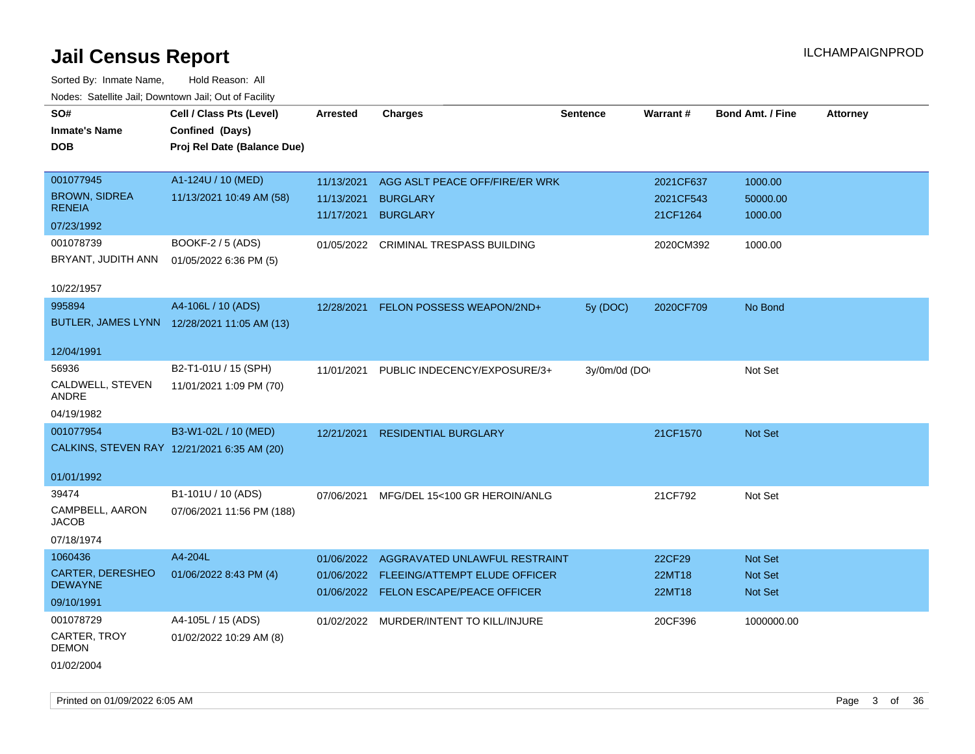| SO#                       | Cell / Class Pts (Level)                    | <b>Arrested</b> | <b>Charges</b>                           | <b>Sentence</b> | Warrant#  | <b>Bond Amt. / Fine</b> | <b>Attorney</b> |
|---------------------------|---------------------------------------------|-----------------|------------------------------------------|-----------------|-----------|-------------------------|-----------------|
| <b>Inmate's Name</b>      | Confined (Days)                             |                 |                                          |                 |           |                         |                 |
| <b>DOB</b>                | Proj Rel Date (Balance Due)                 |                 |                                          |                 |           |                         |                 |
|                           |                                             |                 |                                          |                 |           |                         |                 |
| 001077945                 | A1-124U / 10 (MED)                          | 11/13/2021      | AGG ASLT PEACE OFF/FIRE/ER WRK           |                 | 2021CF637 | 1000.00                 |                 |
| <b>BROWN, SIDREA</b>      | 11/13/2021 10:49 AM (58)                    | 11/13/2021      | <b>BURGLARY</b>                          |                 | 2021CF543 | 50000.00                |                 |
| <b>RENEIA</b>             |                                             | 11/17/2021      | <b>BURGLARY</b>                          |                 | 21CF1264  | 1000.00                 |                 |
| 07/23/1992                |                                             |                 |                                          |                 |           |                         |                 |
| 001078739                 | BOOKF-2 / 5 (ADS)                           |                 | 01/05/2022 CRIMINAL TRESPASS BUILDING    |                 | 2020CM392 | 1000.00                 |                 |
| BRYANT, JUDITH ANN        | 01/05/2022 6:36 PM (5)                      |                 |                                          |                 |           |                         |                 |
|                           |                                             |                 |                                          |                 |           |                         |                 |
| 10/22/1957                |                                             |                 |                                          |                 |           |                         |                 |
| 995894                    | A4-106L / 10 (ADS)                          | 12/28/2021      | FELON POSSESS WEAPON/2ND+                | 5y (DOC)        | 2020CF709 | No Bond                 |                 |
|                           | BUTLER, JAMES LYNN 12/28/2021 11:05 AM (13) |                 |                                          |                 |           |                         |                 |
|                           |                                             |                 |                                          |                 |           |                         |                 |
| 12/04/1991                |                                             |                 |                                          |                 |           |                         |                 |
| 56936                     | B2-T1-01U / 15 (SPH)                        | 11/01/2021      | PUBLIC INDECENCY/EXPOSURE/3+             | 3y/0m/0d (DO    |           | Not Set                 |                 |
| CALDWELL, STEVEN<br>ANDRE | 11/01/2021 1:09 PM (70)                     |                 |                                          |                 |           |                         |                 |
| 04/19/1982                |                                             |                 |                                          |                 |           |                         |                 |
|                           |                                             |                 |                                          |                 |           |                         |                 |
| 001077954                 | B3-W1-02L / 10 (MED)                        | 12/21/2021      | <b>RESIDENTIAL BURGLARY</b>              |                 | 21CF1570  | Not Set                 |                 |
|                           | CALKINS, STEVEN RAY 12/21/2021 6:35 AM (20) |                 |                                          |                 |           |                         |                 |
| 01/01/1992                |                                             |                 |                                          |                 |           |                         |                 |
| 39474                     | B1-101U / 10 (ADS)                          | 07/06/2021      | MFG/DEL 15<100 GR HEROIN/ANLG            |                 | 21CF792   | Not Set                 |                 |
| CAMPBELL, AARON           | 07/06/2021 11:56 PM (188)                   |                 |                                          |                 |           |                         |                 |
| <b>JACOB</b>              |                                             |                 |                                          |                 |           |                         |                 |
| 07/18/1974                |                                             |                 |                                          |                 |           |                         |                 |
| 1060436                   | A4-204L                                     |                 | 01/06/2022 AGGRAVATED UNLAWFUL RESTRAINT |                 | 22CF29    | <b>Not Set</b>          |                 |
| <b>CARTER, DERESHEO</b>   | 01/06/2022 8:43 PM (4)                      |                 | 01/06/2022 FLEEING/ATTEMPT ELUDE OFFICER |                 | 22MT18    | Not Set                 |                 |
| <b>DEWAYNE</b>            |                                             |                 | 01/06/2022 FELON ESCAPE/PEACE OFFICER    |                 | 22MT18    | Not Set                 |                 |
| 09/10/1991                |                                             |                 |                                          |                 |           |                         |                 |
| 001078729                 | A4-105L / 15 (ADS)                          |                 | 01/02/2022 MURDER/INTENT TO KILL/INJURE  |                 | 20CF396   | 1000000.00              |                 |
| CARTER, TROY              | 01/02/2022 10:29 AM (8)                     |                 |                                          |                 |           |                         |                 |
| <b>DEMON</b>              |                                             |                 |                                          |                 |           |                         |                 |
| 01/02/2004                |                                             |                 |                                          |                 |           |                         |                 |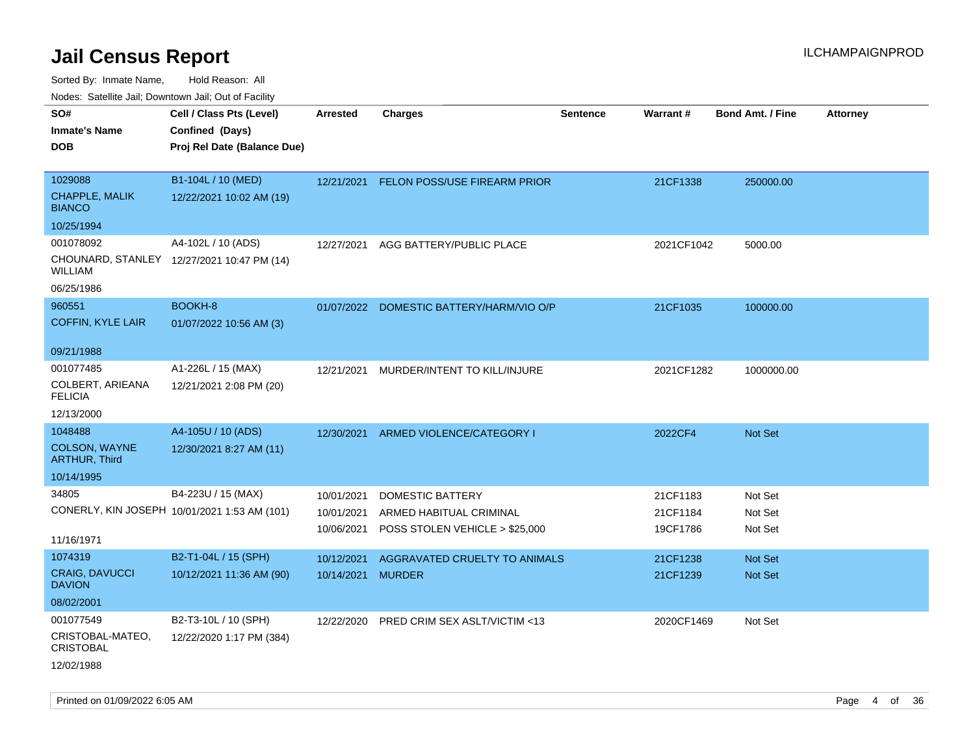| rougs. Calcing Jan, Downtown Jan, Out of Facility |                                              |                   |                                          |                 |            |                         |                 |
|---------------------------------------------------|----------------------------------------------|-------------------|------------------------------------------|-----------------|------------|-------------------------|-----------------|
| SO#<br><b>Inmate's Name</b>                       | Cell / Class Pts (Level)<br>Confined (Days)  | <b>Arrested</b>   | <b>Charges</b>                           | <b>Sentence</b> | Warrant#   | <b>Bond Amt. / Fine</b> | <b>Attorney</b> |
| <b>DOB</b>                                        | Proj Rel Date (Balance Due)                  |                   |                                          |                 |            |                         |                 |
| 1029088                                           | B1-104L / 10 (MED)                           | 12/21/2021        | <b>FELON POSS/USE FIREARM PRIOR</b>      |                 | 21CF1338   | 250000.00               |                 |
| <b>CHAPPLE, MALIK</b><br><b>BIANCO</b>            | 12/22/2021 10:02 AM (19)                     |                   |                                          |                 |            |                         |                 |
| 10/25/1994                                        |                                              |                   |                                          |                 |            |                         |                 |
| 001078092                                         | A4-102L / 10 (ADS)                           | 12/27/2021        | AGG BATTERY/PUBLIC PLACE                 |                 | 2021CF1042 | 5000.00                 |                 |
| <b>WILLIAM</b>                                    | CHOUNARD, STANLEY 12/27/2021 10:47 PM (14)   |                   |                                          |                 |            |                         |                 |
| 06/25/1986                                        |                                              |                   |                                          |                 |            |                         |                 |
| 960551                                            | BOOKH-8                                      |                   | 01/07/2022 DOMESTIC BATTERY/HARM/VIO O/P |                 | 21CF1035   | 100000.00               |                 |
| <b>COFFIN, KYLE LAIR</b>                          | 01/07/2022 10:56 AM (3)                      |                   |                                          |                 |            |                         |                 |
| 09/21/1988                                        |                                              |                   |                                          |                 |            |                         |                 |
| 001077485                                         | A1-226L / 15 (MAX)                           | 12/21/2021        | MURDER/INTENT TO KILL/INJURE             |                 | 2021CF1282 | 1000000.00              |                 |
| COLBERT, ARIEANA<br><b>FELICIA</b>                | 12/21/2021 2:08 PM (20)                      |                   |                                          |                 |            |                         |                 |
| 12/13/2000                                        |                                              |                   |                                          |                 |            |                         |                 |
| 1048488                                           | A4-105U / 10 (ADS)                           | 12/30/2021        | ARMED VIOLENCE/CATEGORY I                |                 | 2022CF4    | <b>Not Set</b>          |                 |
| <b>COLSON, WAYNE</b><br><b>ARTHUR, Third</b>      | 12/30/2021 8:27 AM (11)                      |                   |                                          |                 |            |                         |                 |
| 10/14/1995                                        |                                              |                   |                                          |                 |            |                         |                 |
| 34805                                             | B4-223U / 15 (MAX)                           | 10/01/2021        | <b>DOMESTIC BATTERY</b>                  |                 | 21CF1183   | Not Set                 |                 |
|                                                   | CONERLY, KIN JOSEPH 10/01/2021 1:53 AM (101) | 10/01/2021        | ARMED HABITUAL CRIMINAL                  |                 | 21CF1184   | Not Set                 |                 |
| 11/16/1971                                        |                                              | 10/06/2021        | POSS STOLEN VEHICLE > \$25,000           |                 | 19CF1786   | Not Set                 |                 |
| 1074319                                           | B2-T1-04L / 15 (SPH)                         | 10/12/2021        | AGGRAVATED CRUELTY TO ANIMALS            |                 | 21CF1238   | <b>Not Set</b>          |                 |
| <b>CRAIG, DAVUCCI</b><br><b>DAVION</b>            | 10/12/2021 11:36 AM (90)                     | 10/14/2021 MURDER |                                          |                 | 21CF1239   | <b>Not Set</b>          |                 |
| 08/02/2001                                        |                                              |                   |                                          |                 |            |                         |                 |
| 001077549                                         | B2-T3-10L / 10 (SPH)                         | 12/22/2020        | PRED CRIM SEX ASLT/VICTIM <13            |                 | 2020CF1469 | Not Set                 |                 |
| CRISTOBAL-MATEO,<br><b>CRISTOBAL</b>              | 12/22/2020 1:17 PM (384)                     |                   |                                          |                 |            |                         |                 |
| 12/02/1988                                        |                                              |                   |                                          |                 |            |                         |                 |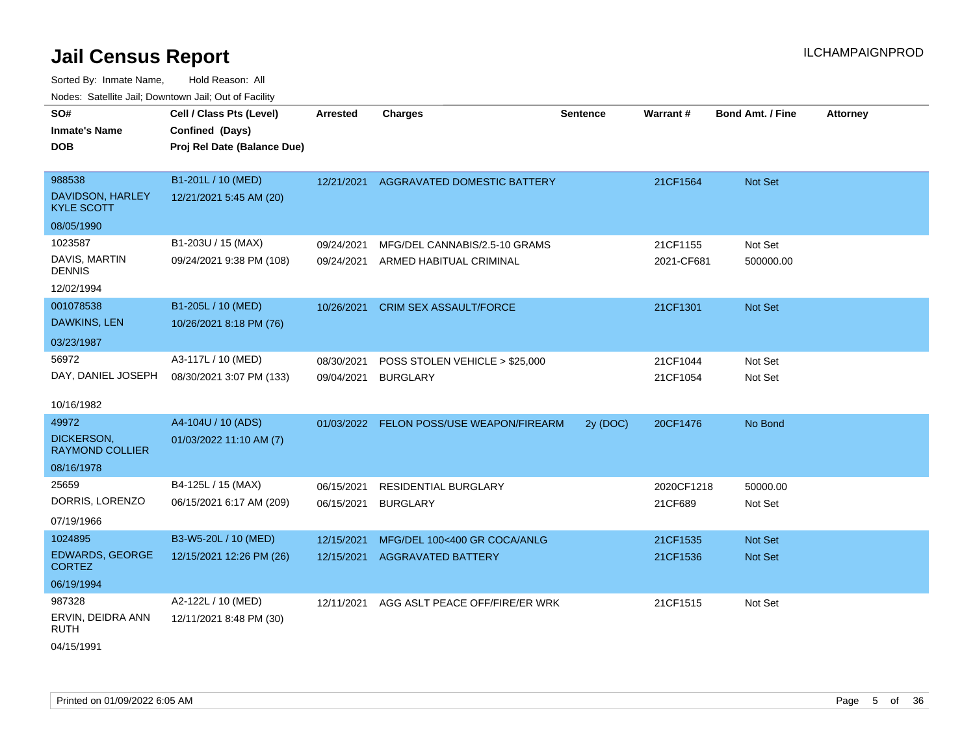Sorted By: Inmate Name, Hold Reason: All Nodes: Satellite Jail; Downtown Jail; Out of Facility

| SO#                                     | Cell / Class Pts (Level)    | <b>Arrested</b> | <b>Charges</b>                           | <b>Sentence</b> | Warrant#   | <b>Bond Amt. / Fine</b> | <b>Attorney</b> |
|-----------------------------------------|-----------------------------|-----------------|------------------------------------------|-----------------|------------|-------------------------|-----------------|
| <b>Inmate's Name</b>                    | Confined (Days)             |                 |                                          |                 |            |                         |                 |
| <b>DOB</b>                              | Proj Rel Date (Balance Due) |                 |                                          |                 |            |                         |                 |
|                                         |                             |                 |                                          |                 |            |                         |                 |
| 988538                                  | B1-201L / 10 (MED)          | 12/21/2021      | AGGRAVATED DOMESTIC BATTERY              |                 | 21CF1564   | Not Set                 |                 |
| DAVIDSON, HARLEY<br><b>KYLE SCOTT</b>   | 12/21/2021 5:45 AM (20)     |                 |                                          |                 |            |                         |                 |
| 08/05/1990                              |                             |                 |                                          |                 |            |                         |                 |
| 1023587                                 | B1-203U / 15 (MAX)          | 09/24/2021      | MFG/DEL CANNABIS/2.5-10 GRAMS            |                 | 21CF1155   | Not Set                 |                 |
| DAVIS, MARTIN<br><b>DENNIS</b>          | 09/24/2021 9:38 PM (108)    | 09/24/2021      | ARMED HABITUAL CRIMINAL                  |                 | 2021-CF681 | 500000.00               |                 |
| 12/02/1994                              |                             |                 |                                          |                 |            |                         |                 |
| 001078538                               | B1-205L / 10 (MED)          | 10/26/2021      | <b>CRIM SEX ASSAULT/FORCE</b>            |                 | 21CF1301   | <b>Not Set</b>          |                 |
| DAWKINS, LEN                            | 10/26/2021 8:18 PM (76)     |                 |                                          |                 |            |                         |                 |
| 03/23/1987                              |                             |                 |                                          |                 |            |                         |                 |
| 56972                                   | A3-117L / 10 (MED)          | 08/30/2021      | POSS STOLEN VEHICLE > \$25,000           |                 | 21CF1044   | Not Set                 |                 |
| DAY, DANIEL JOSEPH                      | 08/30/2021 3:07 PM (133)    | 09/04/2021      | <b>BURGLARY</b>                          |                 | 21CF1054   | Not Set                 |                 |
|                                         |                             |                 |                                          |                 |            |                         |                 |
| 10/16/1982                              |                             |                 |                                          |                 |            |                         |                 |
| 49972                                   | A4-104U / 10 (ADS)          |                 | 01/03/2022 FELON POSS/USE WEAPON/FIREARM | 2y (DOC)        | 20CF1476   | No Bond                 |                 |
| DICKERSON,<br><b>RAYMOND COLLIER</b>    | 01/03/2022 11:10 AM (7)     |                 |                                          |                 |            |                         |                 |
| 08/16/1978                              |                             |                 |                                          |                 |            |                         |                 |
| 25659                                   | B4-125L / 15 (MAX)          | 06/15/2021      | RESIDENTIAL BURGLARY                     |                 | 2020CF1218 | 50000.00                |                 |
| DORRIS, LORENZO                         | 06/15/2021 6:17 AM (209)    | 06/15/2021      | <b>BURGLARY</b>                          |                 | 21CF689    | Not Set                 |                 |
| 07/19/1966                              |                             |                 |                                          |                 |            |                         |                 |
| 1024895                                 | B3-W5-20L / 10 (MED)        | 12/15/2021      | MFG/DEL 100<400 GR COCA/ANLG             |                 | 21CF1535   | <b>Not Set</b>          |                 |
| <b>EDWARDS, GEORGE</b><br><b>CORTEZ</b> | 12/15/2021 12:26 PM (26)    | 12/15/2021      | <b>AGGRAVATED BATTERY</b>                |                 | 21CF1536   | <b>Not Set</b>          |                 |
| 06/19/1994                              |                             |                 |                                          |                 |            |                         |                 |
| 987328                                  | A2-122L / 10 (MED)          | 12/11/2021      | AGG ASLT PEACE OFF/FIRE/ER WRK           |                 | 21CF1515   | Not Set                 |                 |
| ERVIN, DEIDRA ANN<br><b>RUTH</b>        | 12/11/2021 8:48 PM (30)     |                 |                                          |                 |            |                         |                 |

04/15/1991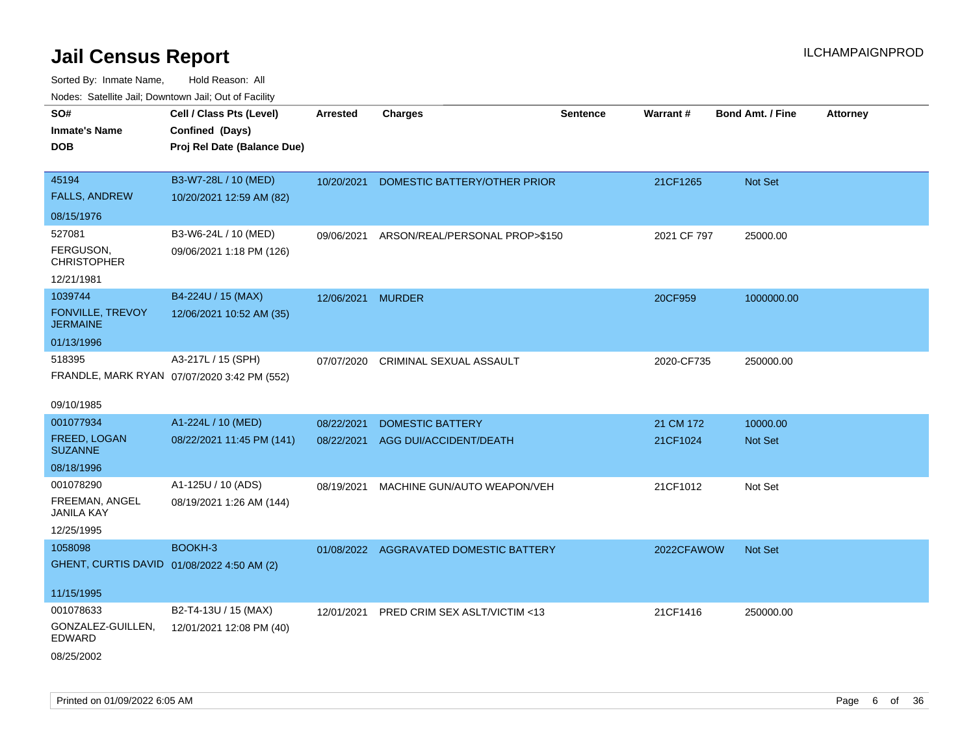| roaco. Oatomto dan, Downtown dan, Oat or Fability |                                             |                   |                                        |                 |             |                         |                 |
|---------------------------------------------------|---------------------------------------------|-------------------|----------------------------------------|-----------------|-------------|-------------------------|-----------------|
| SO#                                               | Cell / Class Pts (Level)                    | <b>Arrested</b>   | <b>Charges</b>                         | <b>Sentence</b> | Warrant#    | <b>Bond Amt. / Fine</b> | <b>Attorney</b> |
| <b>Inmate's Name</b>                              | Confined (Days)                             |                   |                                        |                 |             |                         |                 |
| DOB                                               | Proj Rel Date (Balance Due)                 |                   |                                        |                 |             |                         |                 |
|                                                   |                                             |                   |                                        |                 |             |                         |                 |
| 45194                                             | B3-W7-28L / 10 (MED)                        | 10/20/2021        | DOMESTIC BATTERY/OTHER PRIOR           |                 | 21CF1265    | <b>Not Set</b>          |                 |
| <b>FALLS, ANDREW</b>                              | 10/20/2021 12:59 AM (82)                    |                   |                                        |                 |             |                         |                 |
| 08/15/1976                                        |                                             |                   |                                        |                 |             |                         |                 |
| 527081                                            | B3-W6-24L / 10 (MED)                        | 09/06/2021        | ARSON/REAL/PERSONAL PROP>\$150         |                 | 2021 CF 797 | 25000.00                |                 |
| FERGUSON,<br><b>CHRISTOPHER</b>                   | 09/06/2021 1:18 PM (126)                    |                   |                                        |                 |             |                         |                 |
| 12/21/1981                                        |                                             |                   |                                        |                 |             |                         |                 |
| 1039744                                           | B4-224U / 15 (MAX)                          | 12/06/2021 MURDER |                                        |                 | 20CF959     | 1000000.00              |                 |
| FONVILLE, TREVOY<br><b>JERMAINE</b>               | 12/06/2021 10:52 AM (35)                    |                   |                                        |                 |             |                         |                 |
| 01/13/1996                                        |                                             |                   |                                        |                 |             |                         |                 |
| 518395                                            | A3-217L / 15 (SPH)                          | 07/07/2020        | CRIMINAL SEXUAL ASSAULT                |                 | 2020-CF735  | 250000.00               |                 |
|                                                   | FRANDLE, MARK RYAN 07/07/2020 3:42 PM (552) |                   |                                        |                 |             |                         |                 |
|                                                   |                                             |                   |                                        |                 |             |                         |                 |
| 09/10/1985                                        |                                             |                   |                                        |                 |             |                         |                 |
| 001077934                                         | A1-224L / 10 (MED)                          | 08/22/2021        | <b>DOMESTIC BATTERY</b>                |                 | 21 CM 172   | 10000.00                |                 |
| <b>FREED, LOGAN</b>                               | 08/22/2021 11:45 PM (141)                   | 08/22/2021        | AGG DUI/ACCIDENT/DEATH                 |                 | 21CF1024    | <b>Not Set</b>          |                 |
| <b>SUZANNE</b>                                    |                                             |                   |                                        |                 |             |                         |                 |
| 08/18/1996                                        |                                             |                   |                                        |                 |             |                         |                 |
| 001078290                                         | A1-125U / 10 (ADS)                          | 08/19/2021        | MACHINE GUN/AUTO WEAPON/VEH            |                 | 21CF1012    | Not Set                 |                 |
| FREEMAN, ANGEL<br>JANILA KAY                      | 08/19/2021 1:26 AM (144)                    |                   |                                        |                 |             |                         |                 |
| 12/25/1995                                        |                                             |                   |                                        |                 |             |                         |                 |
| 1058098                                           | BOOKH-3                                     |                   | 01/08/2022 AGGRAVATED DOMESTIC BATTERY |                 | 2022CFAWOW  | Not Set                 |                 |
| GHENT, CURTIS DAVID 01/08/2022 4:50 AM (2)        |                                             |                   |                                        |                 |             |                         |                 |
|                                                   |                                             |                   |                                        |                 |             |                         |                 |
| 11/15/1995                                        |                                             |                   |                                        |                 |             |                         |                 |
| 001078633                                         | B2-T4-13U / 15 (MAX)                        | 12/01/2021        | PRED CRIM SEX ASLT/VICTIM <13          |                 | 21CF1416    | 250000.00               |                 |
| GONZALEZ-GUILLEN,<br>EDWARD                       | 12/01/2021 12:08 PM (40)                    |                   |                                        |                 |             |                         |                 |
| 08/25/2002                                        |                                             |                   |                                        |                 |             |                         |                 |
|                                                   |                                             |                   |                                        |                 |             |                         |                 |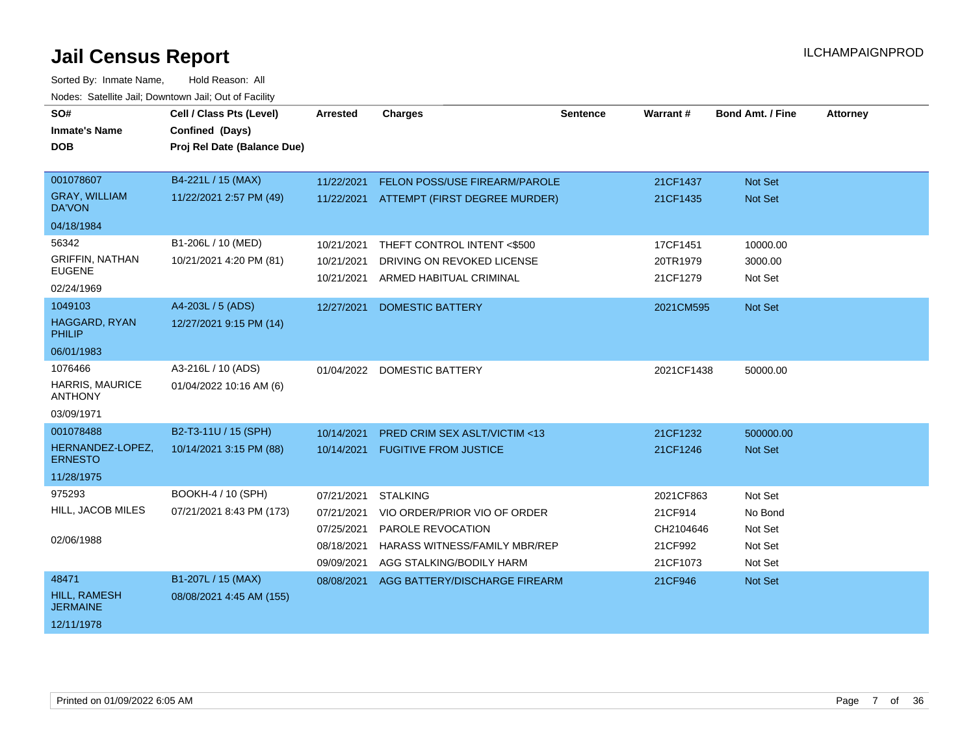| SO#<br><b>Inmate's Name</b><br><b>DOB</b>                                    | Cell / Class Pts (Level)<br>Confined (Days)<br>Proj Rel Date (Balance Due) | Arrested                                                           | <b>Charges</b>                                                                                                                           | <b>Sentence</b> | Warrant#                                                 | <b>Bond Amt. / Fine</b>                             | <b>Attorney</b> |
|------------------------------------------------------------------------------|----------------------------------------------------------------------------|--------------------------------------------------------------------|------------------------------------------------------------------------------------------------------------------------------------------|-----------------|----------------------------------------------------------|-----------------------------------------------------|-----------------|
| 001078607<br><b>GRAY, WILLIAM</b><br><b>DA'VON</b>                           | B4-221L / 15 (MAX)<br>11/22/2021 2:57 PM (49)                              | 11/22/2021                                                         | FELON POSS/USE FIREARM/PAROLE<br>11/22/2021 ATTEMPT (FIRST DEGREE MURDER)                                                                |                 | 21CF1437<br>21CF1435                                     | Not Set<br>Not Set                                  |                 |
| 04/18/1984<br>56342<br><b>GRIFFIN, NATHAN</b><br><b>EUGENE</b><br>02/24/1969 | B1-206L / 10 (MED)<br>10/21/2021 4:20 PM (81)                              | 10/21/2021<br>10/21/2021<br>10/21/2021                             | THEFT CONTROL INTENT <\$500<br>DRIVING ON REVOKED LICENSE<br>ARMED HABITUAL CRIMINAL                                                     |                 | 17CF1451<br>20TR1979<br>21CF1279                         | 10000.00<br>3000.00<br>Not Set                      |                 |
| 1049103<br><b>HAGGARD, RYAN</b><br><b>PHILIP</b><br>06/01/1983               | A4-203L / 5 (ADS)<br>12/27/2021 9:15 PM (14)                               | 12/27/2021                                                         | <b>DOMESTIC BATTERY</b>                                                                                                                  |                 | 2021CM595                                                | Not Set                                             |                 |
| 1076466<br><b>HARRIS, MAURICE</b><br><b>ANTHONY</b><br>03/09/1971            | A3-216L / 10 (ADS)<br>01/04/2022 10:16 AM (6)                              |                                                                    | 01/04/2022 DOMESTIC BATTERY                                                                                                              |                 | 2021CF1438                                               | 50000.00                                            |                 |
| 001078488<br>HERNANDEZ-LOPEZ,<br><b>ERNESTO</b><br>11/28/1975                | B2-T3-11U / 15 (SPH)<br>10/14/2021 3:15 PM (88)                            | 10/14/2021<br>10/14/2021                                           | <b>PRED CRIM SEX ASLT/VICTIM &lt;13</b><br><b>FUGITIVE FROM JUSTICE</b>                                                                  |                 | 21CF1232<br>21CF1246                                     | 500000.00<br><b>Not Set</b>                         |                 |
| 975293<br>HILL, JACOB MILES<br>02/06/1988                                    | BOOKH-4 / 10 (SPH)<br>07/21/2021 8:43 PM (173)                             | 07/21/2021<br>07/21/2021<br>07/25/2021<br>08/18/2021<br>09/09/2021 | <b>STALKING</b><br>VIO ORDER/PRIOR VIO OF ORDER<br>PAROLE REVOCATION<br><b>HARASS WITNESS/FAMILY MBR/REP</b><br>AGG STALKING/BODILY HARM |                 | 2021CF863<br>21CF914<br>CH2104646<br>21CF992<br>21CF1073 | Not Set<br>No Bond<br>Not Set<br>Not Set<br>Not Set |                 |
| 48471<br><b>HILL, RAMESH</b><br><b>JERMAINE</b><br>12/11/1978                | B1-207L / 15 (MAX)<br>08/08/2021 4:45 AM (155)                             | 08/08/2021                                                         | AGG BATTERY/DISCHARGE FIREARM                                                                                                            |                 | 21CF946                                                  | <b>Not Set</b>                                      |                 |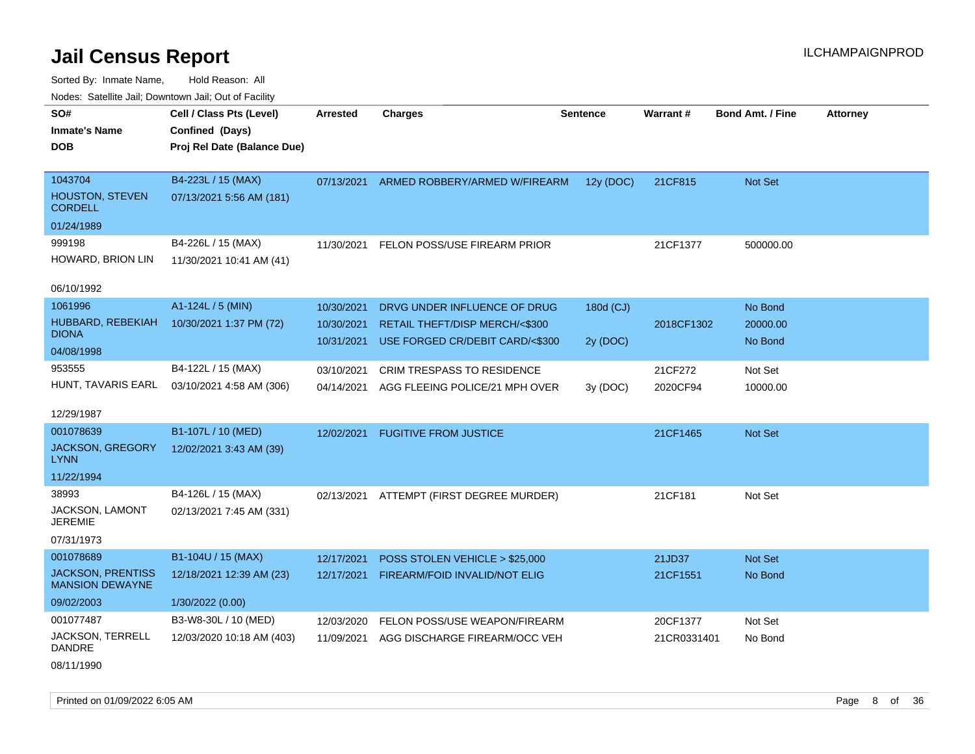Sorted By: Inmate Name, Hold Reason: All Nodes: Satellite Jail; Downtown Jail; Out of Facility

| Youes. Sateme Jan, Downtown Jan, Out of Facility   |                             |                 |                                          |           |             |                         |                 |
|----------------------------------------------------|-----------------------------|-----------------|------------------------------------------|-----------|-------------|-------------------------|-----------------|
| SO#                                                | Cell / Class Pts (Level)    | <b>Arrested</b> | <b>Charges</b>                           | Sentence  | Warrant#    | <b>Bond Amt. / Fine</b> | <b>Attorney</b> |
| <b>Inmate's Name</b>                               | Confined (Days)             |                 |                                          |           |             |                         |                 |
| DOB                                                | Proj Rel Date (Balance Due) |                 |                                          |           |             |                         |                 |
|                                                    |                             |                 |                                          |           |             |                         |                 |
| 1043704                                            | B4-223L / 15 (MAX)          | 07/13/2021      | ARMED ROBBERY/ARMED W/FIREARM            | 12y (DOC) | 21CF815     | Not Set                 |                 |
| <b>HOUSTON, STEVEN</b><br><b>CORDELL</b>           | 07/13/2021 5:56 AM (181)    |                 |                                          |           |             |                         |                 |
| 01/24/1989                                         |                             |                 |                                          |           |             |                         |                 |
| 999198                                             | B4-226L / 15 (MAX)          | 11/30/2021      | FELON POSS/USE FIREARM PRIOR             |           | 21CF1377    | 500000.00               |                 |
| HOWARD, BRION LIN                                  | 11/30/2021 10:41 AM (41)    |                 |                                          |           |             |                         |                 |
| 06/10/1992                                         |                             |                 |                                          |           |             |                         |                 |
| 1061996                                            | A1-124L / 5 (MIN)           | 10/30/2021      | DRVG UNDER INFLUENCE OF DRUG             | 180d (CJ) |             | No Bond                 |                 |
| HUBBARD, REBEKIAH                                  | 10/30/2021 1:37 PM (72)     | 10/30/2021      | <b>RETAIL THEFT/DISP MERCH/&lt;\$300</b> |           | 2018CF1302  | 20000.00                |                 |
| <b>DIONA</b>                                       |                             | 10/31/2021      | USE FORGED CR/DEBIT CARD/<\$300          | 2y (DOC)  |             | No Bond                 |                 |
| 04/08/1998                                         |                             |                 |                                          |           |             |                         |                 |
| 953555                                             | B4-122L / 15 (MAX)          | 03/10/2021      | <b>CRIM TRESPASS TO RESIDENCE</b>        |           | 21CF272     | Not Set                 |                 |
| HUNT, TAVARIS EARL                                 | 03/10/2021 4:58 AM (306)    | 04/14/2021      | AGG FLEEING POLICE/21 MPH OVER           | 3y (DOC)  | 2020CF94    | 10000.00                |                 |
| 12/29/1987                                         |                             |                 |                                          |           |             |                         |                 |
| 001078639                                          | B1-107L / 10 (MED)          | 12/02/2021      | <b>FUGITIVE FROM JUSTICE</b>             |           | 21CF1465    | <b>Not Set</b>          |                 |
| JACKSON, GREGORY<br><b>LYNN</b>                    | 12/02/2021 3:43 AM (39)     |                 |                                          |           |             |                         |                 |
| 11/22/1994                                         |                             |                 |                                          |           |             |                         |                 |
| 38993                                              | B4-126L / 15 (MAX)          | 02/13/2021      | ATTEMPT (FIRST DEGREE MURDER)            |           | 21CF181     | Not Set                 |                 |
| <b>JACKSON, LAMONT</b><br><b>JEREMIE</b>           | 02/13/2021 7:45 AM (331)    |                 |                                          |           |             |                         |                 |
| 07/31/1973                                         |                             |                 |                                          |           |             |                         |                 |
| 001078689                                          | B1-104U / 15 (MAX)          | 12/17/2021      | POSS STOLEN VEHICLE > \$25,000           |           | 21JD37      | Not Set                 |                 |
| <b>JACKSON, PRENTISS</b><br><b>MANSION DEWAYNE</b> | 12/18/2021 12:39 AM (23)    | 12/17/2021      | FIREARM/FOID INVALID/NOT ELIG            |           | 21CF1551    | No Bond                 |                 |
| 09/02/2003                                         | 1/30/2022 (0.00)            |                 |                                          |           |             |                         |                 |
| 001077487                                          | B3-W8-30L / 10 (MED)        | 12/03/2020      | FELON POSS/USE WEAPON/FIREARM            |           | 20CF1377    | Not Set                 |                 |
| JACKSON, TERRELL<br><b>DANDRE</b>                  | 12/03/2020 10:18 AM (403)   | 11/09/2021      | AGG DISCHARGE FIREARM/OCC VEH            |           | 21CR0331401 | No Bond                 |                 |

08/11/1990

Printed on 01/09/2022 6:05 AM **Page 8 of 36**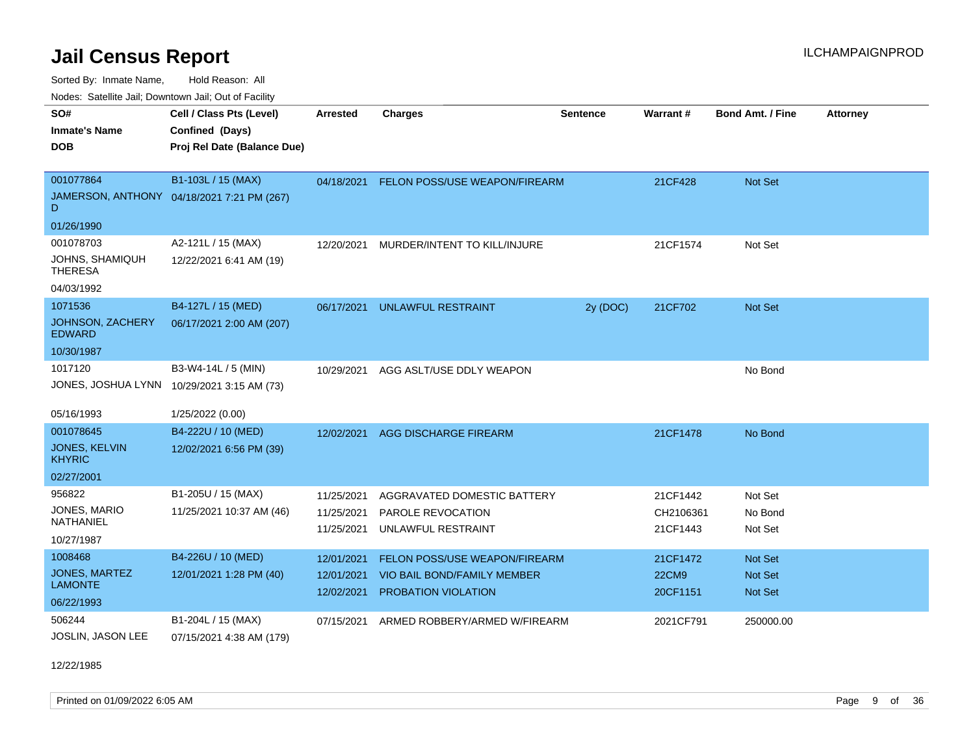Sorted By: Inmate Name, Hold Reason: All

| Nodes: Satellite Jail; Downtown Jail; Out of Facility |                                            |                 |                               |                 |              |                         |                 |
|-------------------------------------------------------|--------------------------------------------|-----------------|-------------------------------|-----------------|--------------|-------------------------|-----------------|
| SO#                                                   | Cell / Class Pts (Level)                   | <b>Arrested</b> | <b>Charges</b>                | <b>Sentence</b> | Warrant#     | <b>Bond Amt. / Fine</b> | <b>Attorney</b> |
| <b>Inmate's Name</b>                                  | Confined (Days)                            |                 |                               |                 |              |                         |                 |
| <b>DOB</b>                                            | Proj Rel Date (Balance Due)                |                 |                               |                 |              |                         |                 |
|                                                       |                                            |                 |                               |                 |              |                         |                 |
| 001077864                                             | B1-103L / 15 (MAX)                         | 04/18/2021      | FELON POSS/USE WEAPON/FIREARM |                 | 21CF428      | Not Set                 |                 |
| D                                                     | JAMERSON, ANTHONY 04/18/2021 7:21 PM (267) |                 |                               |                 |              |                         |                 |
| 01/26/1990                                            |                                            |                 |                               |                 |              |                         |                 |
| 001078703                                             | A2-121L / 15 (MAX)                         | 12/20/2021      | MURDER/INTENT TO KILL/INJURE  |                 | 21CF1574     | Not Set                 |                 |
| JOHNS, SHAMIQUH<br><b>THERESA</b>                     | 12/22/2021 6:41 AM (19)                    |                 |                               |                 |              |                         |                 |
| 04/03/1992                                            |                                            |                 |                               |                 |              |                         |                 |
| 1071536                                               | B4-127L / 15 (MED)                         | 06/17/2021      | UNLAWFUL RESTRAINT            | 2y (DOC)        | 21CF702      | Not Set                 |                 |
| <b>JOHNSON, ZACHERY</b><br><b>EDWARD</b>              | 06/17/2021 2:00 AM (207)                   |                 |                               |                 |              |                         |                 |
| 10/30/1987                                            |                                            |                 |                               |                 |              |                         |                 |
| 1017120                                               | B3-W4-14L / 5 (MIN)                        | 10/29/2021      | AGG ASLT/USE DDLY WEAPON      |                 |              | No Bond                 |                 |
|                                                       | JONES, JOSHUA LYNN 10/29/2021 3:15 AM (73) |                 |                               |                 |              |                         |                 |
|                                                       |                                            |                 |                               |                 |              |                         |                 |
| 05/16/1993                                            | 1/25/2022 (0.00)                           |                 |                               |                 |              |                         |                 |
| 001078645                                             | B4-222U / 10 (MED)                         | 12/02/2021      | <b>AGG DISCHARGE FIREARM</b>  |                 | 21CF1478     | No Bond                 |                 |
| <b>JONES, KELVIN</b><br><b>KHYRIC</b>                 | 12/02/2021 6:56 PM (39)                    |                 |                               |                 |              |                         |                 |
| 02/27/2001                                            |                                            |                 |                               |                 |              |                         |                 |
| 956822                                                | B1-205U / 15 (MAX)                         | 11/25/2021      | AGGRAVATED DOMESTIC BATTERY   |                 | 21CF1442     | Not Set                 |                 |
| JONES, MARIO                                          | 11/25/2021 10:37 AM (46)                   | 11/25/2021      | PAROLE REVOCATION             |                 | CH2106361    | No Bond                 |                 |
| NATHANIEL                                             |                                            | 11/25/2021      | UNLAWFUL RESTRAINT            |                 | 21CF1443     | Not Set                 |                 |
| 10/27/1987                                            |                                            |                 |                               |                 |              |                         |                 |
| 1008468                                               | B4-226U / 10 (MED)                         | 12/01/2021      | FELON POSS/USE WEAPON/FIREARM |                 | 21CF1472     | <b>Not Set</b>          |                 |
| JONES, MARTEZ<br><b>LAMONTE</b>                       | 12/01/2021 1:28 PM (40)                    | 12/01/2021      | VIO BAIL BOND/FAMILY MEMBER   |                 | <b>22CM9</b> | Not Set                 |                 |
| 06/22/1993                                            |                                            | 12/02/2021      | PROBATION VIOLATION           |                 | 20CF1151     | Not Set                 |                 |
| 506244                                                | B1-204L / 15 (MAX)                         |                 |                               |                 |              |                         |                 |
| <b>JOSLIN, JASON LEE</b>                              |                                            | 07/15/2021      | ARMED ROBBERY/ARMED W/FIREARM |                 | 2021CF791    | 250000.00               |                 |
|                                                       | 07/15/2021 4:38 AM (179)                   |                 |                               |                 |              |                         |                 |

12/22/1985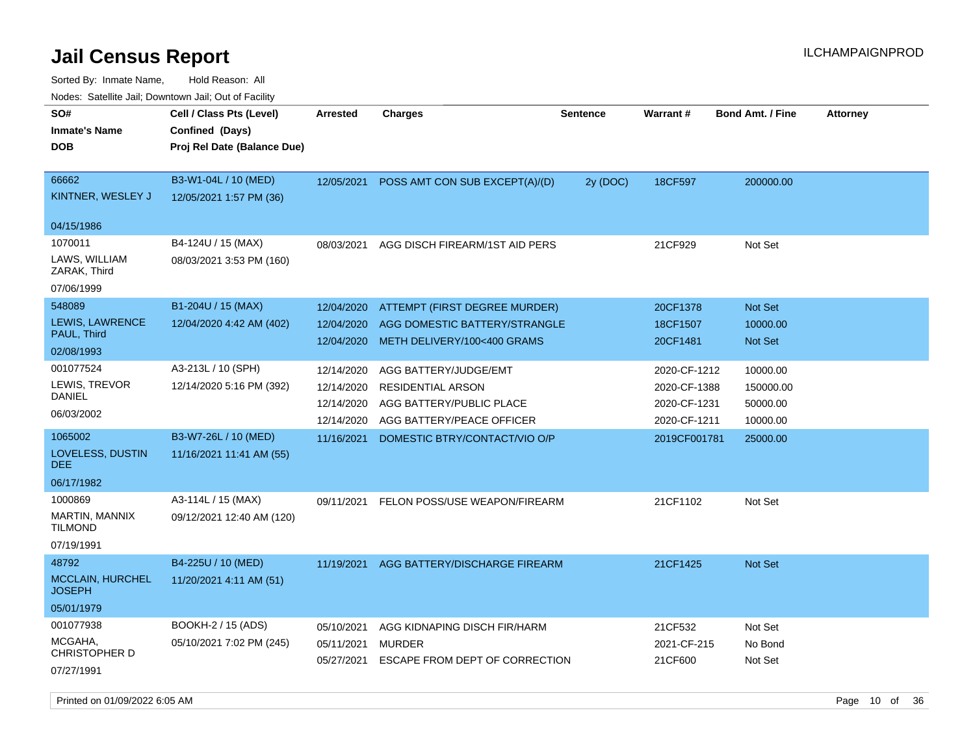| rouco. Calcillo Jali, Downtown Jali, Out of Facility |                                                                            |            |                                |                 |              |                         |                 |
|------------------------------------------------------|----------------------------------------------------------------------------|------------|--------------------------------|-----------------|--------------|-------------------------|-----------------|
| SO#<br>Inmate's Name<br><b>DOB</b>                   | Cell / Class Pts (Level)<br>Confined (Days)<br>Proj Rel Date (Balance Due) | Arrested   | <b>Charges</b>                 | <b>Sentence</b> | Warrant#     | <b>Bond Amt. / Fine</b> | <b>Attorney</b> |
| 66662<br>KINTNER, WESLEY J<br>04/15/1986             | B3-W1-04L / 10 (MED)<br>12/05/2021 1:57 PM (36)                            | 12/05/2021 | POSS AMT CON SUB EXCEPT(A)/(D) | 2y (DOC)        | 18CF597      | 200000.00               |                 |
| 1070011                                              | B4-124U / 15 (MAX)                                                         | 08/03/2021 | AGG DISCH FIREARM/1ST AID PERS |                 | 21CF929      | Not Set                 |                 |
| LAWS, WILLIAM<br>ZARAK, Third                        | 08/03/2021 3:53 PM (160)                                                   |            |                                |                 |              |                         |                 |
| 07/06/1999                                           |                                                                            |            |                                |                 |              |                         |                 |
| 548089                                               | B1-204U / 15 (MAX)                                                         | 12/04/2020 | ATTEMPT (FIRST DEGREE MURDER)  |                 | 20CF1378     | <b>Not Set</b>          |                 |
| <b>LEWIS, LAWRENCE</b><br>PAUL, Third                | 12/04/2020 4:42 AM (402)                                                   | 12/04/2020 | AGG DOMESTIC BATTERY/STRANGLE  |                 | 18CF1507     | 10000.00                |                 |
| 02/08/1993                                           |                                                                            | 12/04/2020 | METH DELIVERY/100<400 GRAMS    |                 | 20CF1481     | <b>Not Set</b>          |                 |
| 001077524                                            | A3-213L / 10 (SPH)                                                         | 12/14/2020 | AGG BATTERY/JUDGE/EMT          |                 | 2020-CF-1212 | 10000.00                |                 |
| LEWIS, TREVOR                                        | 12/14/2020 5:16 PM (392)                                                   | 12/14/2020 | <b>RESIDENTIAL ARSON</b>       |                 | 2020-CF-1388 | 150000.00               |                 |
| DANIEL                                               |                                                                            | 12/14/2020 | AGG BATTERY/PUBLIC PLACE       |                 | 2020-CF-1231 | 50000.00                |                 |
| 06/03/2002                                           |                                                                            | 12/14/2020 | AGG BATTERY/PEACE OFFICER      |                 | 2020-CF-1211 | 10000.00                |                 |
| 1065002                                              | B3-W7-26L / 10 (MED)                                                       | 11/16/2021 | DOMESTIC BTRY/CONTACT/VIO O/P  |                 | 2019CF001781 | 25000.00                |                 |
| LOVELESS, DUSTIN<br>DEE                              | 11/16/2021 11:41 AM (55)                                                   |            |                                |                 |              |                         |                 |
| 06/17/1982                                           |                                                                            |            |                                |                 |              |                         |                 |
| 1000869                                              | A3-114L / 15 (MAX)                                                         | 09/11/2021 | FELON POSS/USE WEAPON/FIREARM  |                 | 21CF1102     | Not Set                 |                 |
| MARTIN, MANNIX<br>TILMOND                            | 09/12/2021 12:40 AM (120)                                                  |            |                                |                 |              |                         |                 |
| 07/19/1991                                           |                                                                            |            |                                |                 |              |                         |                 |
| 48792                                                | B4-225U / 10 (MED)                                                         | 11/19/2021 | AGG BATTERY/DISCHARGE FIREARM  |                 | 21CF1425     | <b>Not Set</b>          |                 |
| <b>MCCLAIN, HURCHEL</b><br>JOSEPH                    | 11/20/2021 4:11 AM (51)                                                    |            |                                |                 |              |                         |                 |
| 05/01/1979                                           |                                                                            |            |                                |                 |              |                         |                 |
| 001077938                                            | BOOKH-2 / 15 (ADS)                                                         | 05/10/2021 | AGG KIDNAPING DISCH FIR/HARM   |                 | 21CF532      | Not Set                 |                 |
| MCGAHA,<br>CHRISTOPHER D                             | 05/10/2021 7:02 PM (245)                                                   | 05/11/2021 | MURDER                         |                 | 2021-CF-215  | No Bond                 |                 |
| 07/27/1991                                           |                                                                            | 05/27/2021 | ESCAPE FROM DEPT OF CORRECTION |                 | 21CF600      | Not Set                 |                 |
|                                                      |                                                                            |            |                                |                 |              |                         |                 |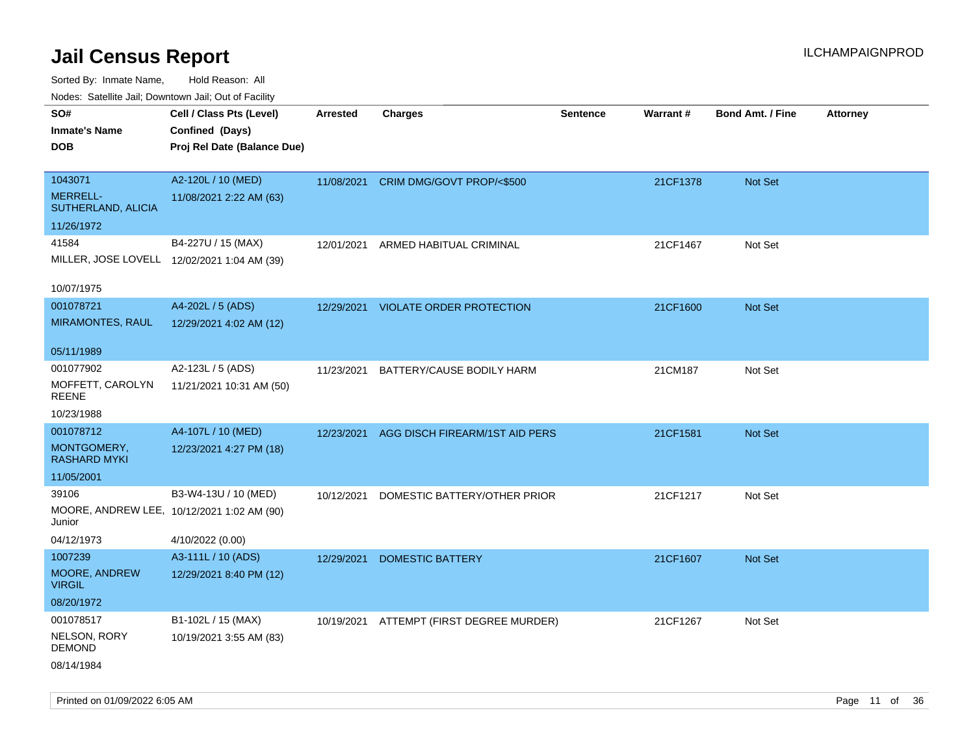Sorted By: Inmate Name, Hold Reason: All

| Nodes: Satellite Jail; Downtown Jail; Out of Facility |                                             |                 |                                     |                 |          |                         |                 |
|-------------------------------------------------------|---------------------------------------------|-----------------|-------------------------------------|-----------------|----------|-------------------------|-----------------|
| SO#                                                   | Cell / Class Pts (Level)                    | <b>Arrested</b> | <b>Charges</b>                      | <b>Sentence</b> | Warrant# | <b>Bond Amt. / Fine</b> | <b>Attorney</b> |
| <b>Inmate's Name</b>                                  | Confined (Days)                             |                 |                                     |                 |          |                         |                 |
| <b>DOB</b>                                            | Proj Rel Date (Balance Due)                 |                 |                                     |                 |          |                         |                 |
|                                                       |                                             |                 |                                     |                 |          |                         |                 |
| 1043071                                               | A2-120L / 10 (MED)                          | 11/08/2021      | CRIM DMG/GOVT PROP/<\$500           |                 | 21CF1378 | Not Set                 |                 |
| MERRELL-<br>SUTHERLAND, ALICIA                        | 11/08/2021 2:22 AM (63)                     |                 |                                     |                 |          |                         |                 |
| 11/26/1972                                            |                                             |                 |                                     |                 |          |                         |                 |
| 41584                                                 | B4-227U / 15 (MAX)                          | 12/01/2021      | ARMED HABITUAL CRIMINAL             |                 | 21CF1467 | Not Set                 |                 |
|                                                       | MILLER, JOSE LOVELL 12/02/2021 1:04 AM (39) |                 |                                     |                 |          |                         |                 |
| 10/07/1975                                            |                                             |                 |                                     |                 |          |                         |                 |
| 001078721                                             | A4-202L / 5 (ADS)                           |                 | 12/29/2021 VIOLATE ORDER PROTECTION |                 | 21CF1600 | Not Set                 |                 |
| <b>MIRAMONTES, RAUL</b>                               | 12/29/2021 4:02 AM (12)                     |                 |                                     |                 |          |                         |                 |
|                                                       |                                             |                 |                                     |                 |          |                         |                 |
| 05/11/1989                                            |                                             |                 |                                     |                 |          |                         |                 |
| 001077902                                             | A2-123L / 5 (ADS)                           | 11/23/2021      | BATTERY/CAUSE BODILY HARM           |                 | 21CM187  | Not Set                 |                 |
| MOFFETT, CAROLYN<br><b>REENE</b>                      | 11/21/2021 10:31 AM (50)                    |                 |                                     |                 |          |                         |                 |
| 10/23/1988                                            |                                             |                 |                                     |                 |          |                         |                 |
| 001078712                                             | A4-107L / 10 (MED)                          | 12/23/2021      | AGG DISCH FIREARM/1ST AID PERS      |                 | 21CF1581 | Not Set                 |                 |
| MONTGOMERY,<br><b>RASHARD MYKI</b>                    | 12/23/2021 4:27 PM (18)                     |                 |                                     |                 |          |                         |                 |
| 11/05/2001                                            |                                             |                 |                                     |                 |          |                         |                 |
| 39106                                                 | B3-W4-13U / 10 (MED)                        | 10/12/2021      | DOMESTIC BATTERY/OTHER PRIOR        |                 | 21CF1217 | Not Set                 |                 |
| Junior                                                | MOORE, ANDREW LEE, 10/12/2021 1:02 AM (90)  |                 |                                     |                 |          |                         |                 |
| 04/12/1973                                            | 4/10/2022 (0.00)                            |                 |                                     |                 |          |                         |                 |
| 1007239                                               | A3-111L / 10 (ADS)                          | 12/29/2021      | <b>DOMESTIC BATTERY</b>             |                 | 21CF1607 | Not Set                 |                 |
| MOORE, ANDREW<br><b>VIRGIL</b>                        | 12/29/2021 8:40 PM (12)                     |                 |                                     |                 |          |                         |                 |
| 08/20/1972                                            |                                             |                 |                                     |                 |          |                         |                 |
| 001078517                                             | B1-102L / 15 (MAX)                          | 10/19/2021      | ATTEMPT (FIRST DEGREE MURDER)       |                 | 21CF1267 | Not Set                 |                 |
| NELSON, RORY<br><b>DEMOND</b>                         | 10/19/2021 3:55 AM (83)                     |                 |                                     |                 |          |                         |                 |
| 08/14/1984                                            |                                             |                 |                                     |                 |          |                         |                 |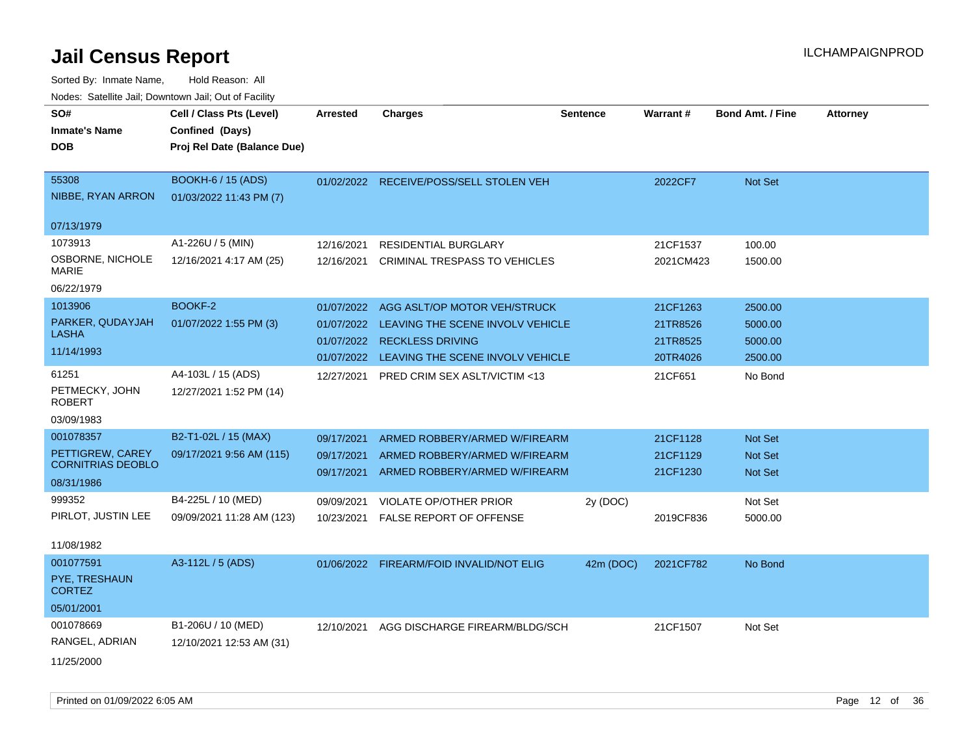| rougs. Calcinic Jan, Downtown Jan, Out of Facility |                             |                 |                                          |                 |                 |                         |                 |
|----------------------------------------------------|-----------------------------|-----------------|------------------------------------------|-----------------|-----------------|-------------------------|-----------------|
| SO#                                                | Cell / Class Pts (Level)    | <b>Arrested</b> | <b>Charges</b>                           | <b>Sentence</b> | <b>Warrant#</b> | <b>Bond Amt. / Fine</b> | <b>Attorney</b> |
| <b>Inmate's Name</b>                               | Confined (Days)             |                 |                                          |                 |                 |                         |                 |
| <b>DOB</b>                                         | Proj Rel Date (Balance Due) |                 |                                          |                 |                 |                         |                 |
|                                                    |                             |                 |                                          |                 |                 |                         |                 |
| 55308                                              | BOOKH-6 / 15 (ADS)          |                 | 01/02/2022 RECEIVE/POSS/SELL STOLEN VEH  |                 | 2022CF7         | Not Set                 |                 |
| NIBBE, RYAN ARRON                                  | 01/03/2022 11:43 PM (7)     |                 |                                          |                 |                 |                         |                 |
| 07/13/1979                                         |                             |                 |                                          |                 |                 |                         |                 |
| 1073913                                            | A1-226U / 5 (MIN)           | 12/16/2021      | <b>RESIDENTIAL BURGLARY</b>              |                 | 21CF1537        | 100.00                  |                 |
| OSBORNE, NICHOLE                                   | 12/16/2021 4:17 AM (25)     | 12/16/2021      | CRIMINAL TRESPASS TO VEHICLES            |                 | 2021CM423       | 1500.00                 |                 |
| <b>MARIE</b>                                       |                             |                 |                                          |                 |                 |                         |                 |
| 06/22/1979                                         |                             |                 |                                          |                 |                 |                         |                 |
| 1013906                                            | BOOKF-2                     | 01/07/2022      | AGG ASLT/OP MOTOR VEH/STRUCK             |                 | 21CF1263        | 2500.00                 |                 |
| PARKER, QUDAYJAH                                   | 01/07/2022 1:55 PM (3)      | 01/07/2022      | LEAVING THE SCENE INVOLV VEHICLE         |                 | 21TR8526        | 5000.00                 |                 |
| LASHA                                              |                             | 01/07/2022      | <b>RECKLESS DRIVING</b>                  |                 | 21TR8525        | 5000.00                 |                 |
| 11/14/1993                                         |                             | 01/07/2022      | LEAVING THE SCENE INVOLV VEHICLE         |                 | 20TR4026        | 2500.00                 |                 |
| 61251                                              | A4-103L / 15 (ADS)          | 12/27/2021      | PRED CRIM SEX ASLT/VICTIM <13            |                 | 21CF651         | No Bond                 |                 |
| PETMECKY, JOHN<br><b>ROBERT</b>                    | 12/27/2021 1:52 PM (14)     |                 |                                          |                 |                 |                         |                 |
| 03/09/1983                                         |                             |                 |                                          |                 |                 |                         |                 |
| 001078357                                          | B2-T1-02L / 15 (MAX)        | 09/17/2021      | ARMED ROBBERY/ARMED W/FIREARM            |                 | 21CF1128        | <b>Not Set</b>          |                 |
| PETTIGREW, CAREY<br><b>CORNITRIAS DEOBLO</b>       | 09/17/2021 9:56 AM (115)    | 09/17/2021      | ARMED ROBBERY/ARMED W/FIREARM            |                 | 21CF1129        | <b>Not Set</b>          |                 |
| 08/31/1986                                         |                             | 09/17/2021      | ARMED ROBBERY/ARMED W/FIREARM            |                 | 21CF1230        | <b>Not Set</b>          |                 |
|                                                    |                             |                 |                                          |                 |                 |                         |                 |
| 999352<br>PIRLOT, JUSTIN LEE                       | B4-225L / 10 (MED)          | 09/09/2021      | VIOLATE OP/OTHER PRIOR                   | 2y (DOC)        |                 | Not Set                 |                 |
|                                                    | 09/09/2021 11:28 AM (123)   | 10/23/2021      | <b>FALSE REPORT OF OFFENSE</b>           |                 | 2019CF836       | 5000.00                 |                 |
| 11/08/1982                                         |                             |                 |                                          |                 |                 |                         |                 |
| 001077591                                          | A3-112L / 5 (ADS)           |                 | 01/06/2022 FIREARM/FOID INVALID/NOT ELIG | 42m (DOC)       | 2021CF782       | No Bond                 |                 |
| PYE, TRESHAUN<br><b>CORTEZ</b>                     |                             |                 |                                          |                 |                 |                         |                 |
| 05/01/2001                                         |                             |                 |                                          |                 |                 |                         |                 |
| 001078669                                          | B1-206U / 10 (MED)          | 12/10/2021      | AGG DISCHARGE FIREARM/BLDG/SCH           |                 | 21CF1507        | Not Set                 |                 |
| RANGEL, ADRIAN                                     | 12/10/2021 12:53 AM (31)    |                 |                                          |                 |                 |                         |                 |
| 11/25/2000                                         |                             |                 |                                          |                 |                 |                         |                 |
|                                                    |                             |                 |                                          |                 |                 |                         |                 |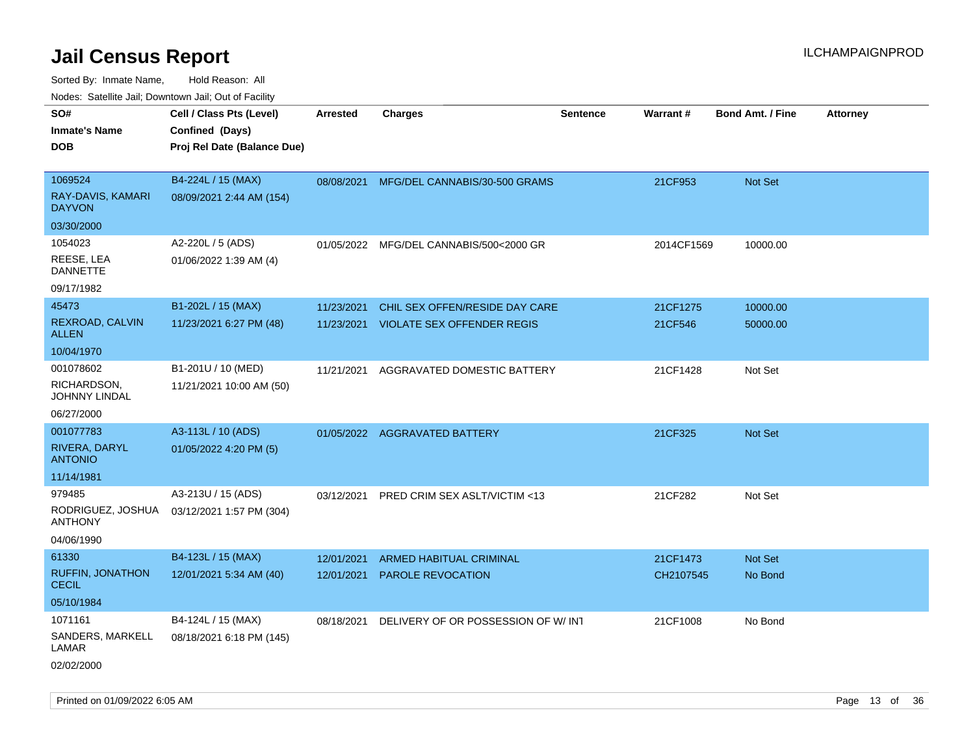| rouco. Calcinic Jan, Downtown Jan, Out of Facility |                                                                            |                          |                                                                     |                 |                     |                         |                 |
|----------------------------------------------------|----------------------------------------------------------------------------|--------------------------|---------------------------------------------------------------------|-----------------|---------------------|-------------------------|-----------------|
| SO#<br>Inmate's Name<br><b>DOB</b>                 | Cell / Class Pts (Level)<br>Confined (Days)<br>Proj Rel Date (Balance Due) | <b>Arrested</b>          | <b>Charges</b>                                                      | <b>Sentence</b> | <b>Warrant#</b>     | <b>Bond Amt. / Fine</b> | <b>Attorney</b> |
|                                                    |                                                                            |                          |                                                                     |                 |                     |                         |                 |
| 1069524<br>RAY-DAVIS, KAMARI<br><b>DAYVON</b>      | B4-224L / 15 (MAX)<br>08/09/2021 2:44 AM (154)                             |                          | 08/08/2021 MFG/DEL CANNABIS/30-500 GRAMS                            |                 | 21CF953             | <b>Not Set</b>          |                 |
| 03/30/2000                                         |                                                                            |                          |                                                                     |                 |                     |                         |                 |
| 1054023<br>REESE, LEA<br><b>DANNETTE</b>           | A2-220L / 5 (ADS)<br>01/06/2022 1:39 AM (4)                                | 01/05/2022               | MFG/DEL CANNABIS/500<2000 GR                                        |                 | 2014CF1569          | 10000.00                |                 |
| 09/17/1982                                         |                                                                            |                          |                                                                     |                 |                     |                         |                 |
| 45473<br>REXROAD, CALVIN<br>ALLEN                  | B1-202L / 15 (MAX)<br>11/23/2021 6:27 PM (48)                              | 11/23/2021<br>11/23/2021 | CHIL SEX OFFEN/RESIDE DAY CARE<br><b>VIOLATE SEX OFFENDER REGIS</b> |                 | 21CF1275<br>21CF546 | 10000.00<br>50000.00    |                 |
| 10/04/1970                                         |                                                                            |                          |                                                                     |                 |                     |                         |                 |
| 001078602<br>RICHARDSON,<br>JOHNNY LINDAL          | B1-201U / 10 (MED)<br>11/21/2021 10:00 AM (50)                             | 11/21/2021               | AGGRAVATED DOMESTIC BATTERY                                         |                 | 21CF1428            | Not Set                 |                 |
| 06/27/2000                                         |                                                                            |                          |                                                                     |                 |                     |                         |                 |
| 001077783                                          | A3-113L / 10 (ADS)                                                         |                          | 01/05/2022 AGGRAVATED BATTERY                                       |                 | 21CF325             | Not Set                 |                 |
| RIVERA, DARYL<br><b>ANTONIO</b>                    | 01/05/2022 4:20 PM (5)                                                     |                          |                                                                     |                 |                     |                         |                 |
| 11/14/1981                                         |                                                                            |                          |                                                                     |                 |                     |                         |                 |
| 979485                                             | A3-213U / 15 (ADS)                                                         | 03/12/2021               | PRED CRIM SEX ASLT/VICTIM <13                                       |                 | 21CF282             | Not Set                 |                 |
| ANTHONY                                            | RODRIGUEZ, JOSHUA 03/12/2021 1:57 PM (304)                                 |                          |                                                                     |                 |                     |                         |                 |
| 04/06/1990                                         |                                                                            |                          |                                                                     |                 |                     |                         |                 |
| 61330                                              | B4-123L / 15 (MAX)                                                         | 12/01/2021               | ARMED HABITUAL CRIMINAL                                             |                 | 21CF1473            | <b>Not Set</b>          |                 |
| <b>RUFFIN, JONATHON</b><br>CECIL                   | 12/01/2021 5:34 AM (40)                                                    | 12/01/2021               | <b>PAROLE REVOCATION</b>                                            |                 | CH2107545           | No Bond                 |                 |
| 05/10/1984                                         |                                                                            |                          |                                                                     |                 |                     |                         |                 |
| 1071161                                            | B4-124L / 15 (MAX)                                                         | 08/18/2021               | DELIVERY OF OR POSSESSION OF W/INT                                  |                 | 21CF1008            | No Bond                 |                 |
| SANDERS, MARKELL<br>LAMAR                          | 08/18/2021 6:18 PM (145)                                                   |                          |                                                                     |                 |                     |                         |                 |
| 02/02/2000                                         |                                                                            |                          |                                                                     |                 |                     |                         |                 |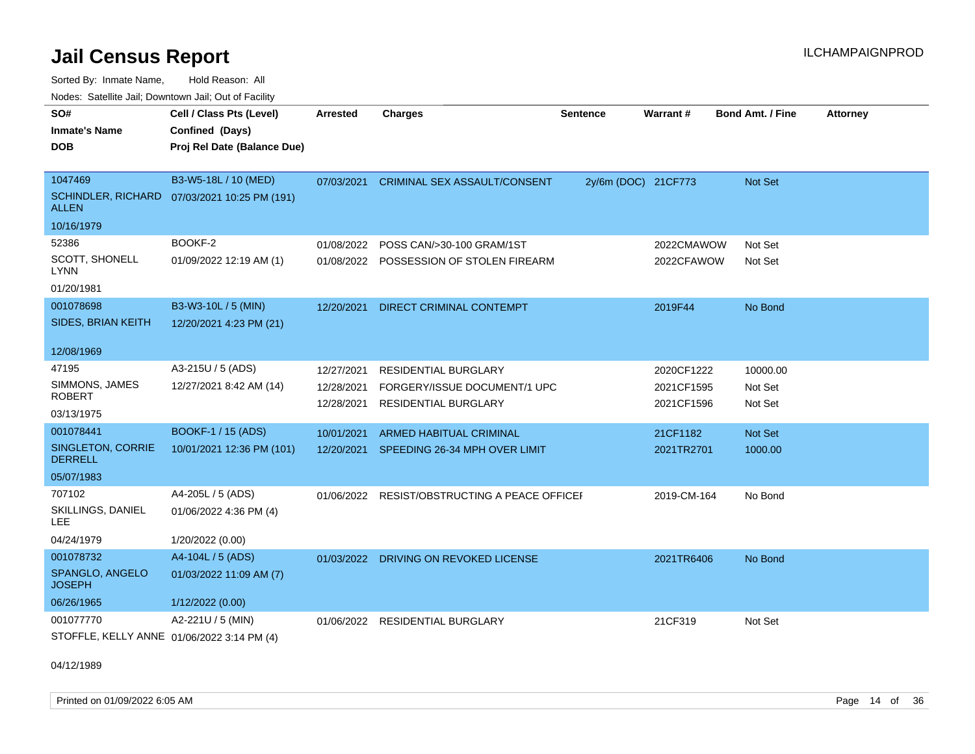Sorted By: Inmate Name, Hold Reason: All Nodes: Satellite Jail; Downtown Jail; Out of Facility

| SO#<br><b>Inmate's Name</b>                             | Cell / Class Pts (Level)                                             | <b>Arrested</b>                        | <b>Charges</b>                                                                             | <b>Sentence</b>     | Warrant#                               | <b>Bond Amt. / Fine</b>        | <b>Attorney</b> |
|---------------------------------------------------------|----------------------------------------------------------------------|----------------------------------------|--------------------------------------------------------------------------------------------|---------------------|----------------------------------------|--------------------------------|-----------------|
| <b>DOB</b>                                              | Confined (Days)<br>Proj Rel Date (Balance Due)                       |                                        |                                                                                            |                     |                                        |                                |                 |
| 1047469<br><b>ALLEN</b>                                 | B3-W5-18L / 10 (MED)<br>SCHINDLER, RICHARD 07/03/2021 10:25 PM (191) | 07/03/2021                             | <b>CRIMINAL SEX ASSAULT/CONSENT</b>                                                        | 2y/6m (DOC) 21CF773 |                                        | Not Set                        |                 |
| 10/16/1979                                              |                                                                      |                                        |                                                                                            |                     |                                        |                                |                 |
| 52386<br>SCOTT, SHONELL<br>LYNN<br>01/20/1981           | BOOKF-2<br>01/09/2022 12:19 AM (1)                                   | 01/08/2022<br>01/08/2022               | POSS CAN/>30-100 GRAM/1ST<br>POSSESSION OF STOLEN FIREARM                                  |                     | 2022CMAWOW<br>2022CFAWOW               | Not Set<br>Not Set             |                 |
| 001078698<br>SIDES, BRIAN KEITH                         | B3-W3-10L / 5 (MIN)<br>12/20/2021 4:23 PM (21)                       | 12/20/2021                             | DIRECT CRIMINAL CONTEMPT                                                                   |                     | 2019F44                                | No Bond                        |                 |
| 12/08/1969                                              |                                                                      |                                        |                                                                                            |                     |                                        |                                |                 |
| 47195<br>SIMMONS, JAMES<br><b>ROBERT</b><br>03/13/1975  | A3-215U / 5 (ADS)<br>12/27/2021 8:42 AM (14)                         | 12/27/2021<br>12/28/2021<br>12/28/2021 | <b>RESIDENTIAL BURGLARY</b><br>FORGERY/ISSUE DOCUMENT/1 UPC<br><b>RESIDENTIAL BURGLARY</b> |                     | 2020CF1222<br>2021CF1595<br>2021CF1596 | 10000.00<br>Not Set<br>Not Set |                 |
| 001078441                                               | BOOKF-1 / 15 (ADS)                                                   | 10/01/2021                             | ARMED HABITUAL CRIMINAL                                                                    |                     | 21CF1182                               | <b>Not Set</b>                 |                 |
| SINGLETON, CORRIE<br><b>DERRELL</b>                     | 10/01/2021 12:36 PM (101)                                            | 12/20/2021                             | SPEEDING 26-34 MPH OVER LIMIT                                                              |                     | 2021TR2701                             | 1000.00                        |                 |
| 05/07/1983                                              |                                                                      |                                        |                                                                                            |                     |                                        |                                |                 |
| 707102<br>SKILLINGS, DANIEL<br><b>LEE</b>               | A4-205L / 5 (ADS)<br>01/06/2022 4:36 PM (4)                          | 01/06/2022                             | RESIST/OBSTRUCTING A PEACE OFFICEI                                                         |                     | 2019-CM-164                            | No Bond                        |                 |
| 04/24/1979                                              | 1/20/2022 (0.00)                                                     |                                        |                                                                                            |                     |                                        |                                |                 |
| 001078732<br>SPANGLO, ANGELO<br><b>JOSEPH</b>           | A4-104L / 5 (ADS)<br>01/03/2022 11:09 AM (7)                         |                                        | 01/03/2022 DRIVING ON REVOKED LICENSE                                                      |                     | 2021TR6406                             | No Bond                        |                 |
| 06/26/1965                                              | 1/12/2022 (0.00)                                                     |                                        |                                                                                            |                     |                                        |                                |                 |
| 001077770<br>STOFFLE, KELLY ANNE 01/06/2022 3:14 PM (4) | A2-221U / 5 (MIN)                                                    | 01/06/2022                             | <b>RESIDENTIAL BURGLARY</b>                                                                |                     | 21CF319                                | Not Set                        |                 |

04/12/1989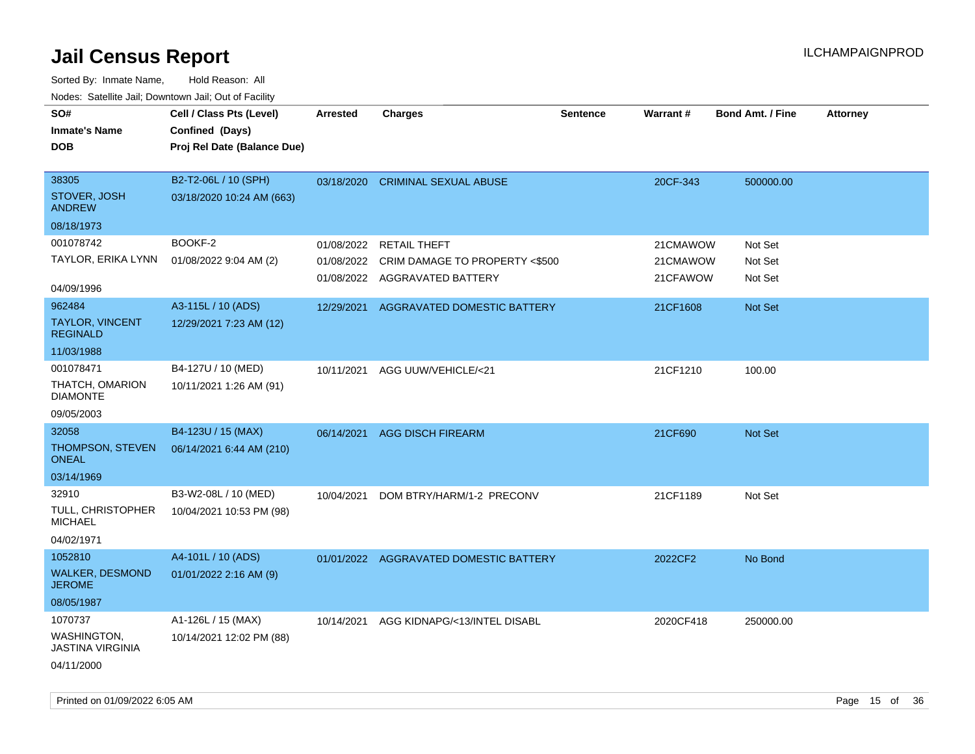| SO#<br><b>Inmate's Name</b><br><b>DOB</b>     | Cell / Class Pts (Level)<br>Confined (Days)<br>Proj Rel Date (Balance Due) | <b>Arrested</b> | <b>Charges</b>                            | <b>Sentence</b> | <b>Warrant#</b> | <b>Bond Amt. / Fine</b> | <b>Attorney</b> |
|-----------------------------------------------|----------------------------------------------------------------------------|-----------------|-------------------------------------------|-----------------|-----------------|-------------------------|-----------------|
| 38305<br>STOVER, JOSH<br><b>ANDREW</b>        | B2-T2-06L / 10 (SPH)<br>03/18/2020 10:24 AM (663)                          | 03/18/2020      | <b>CRIMINAL SEXUAL ABUSE</b>              |                 | 20CF-343        | 500000.00               |                 |
| 08/18/1973                                    |                                                                            |                 |                                           |                 |                 |                         |                 |
| 001078742                                     | BOOKF-2                                                                    | 01/08/2022      | <b>RETAIL THEFT</b>                       |                 | 21CMAWOW        | Not Set                 |                 |
| TAYLOR, ERIKA LYNN                            | 01/08/2022 9:04 AM (2)                                                     |                 | 01/08/2022 CRIM DAMAGE TO PROPERTY <\$500 |                 | 21CMAWOW        | Not Set                 |                 |
| 04/09/1996                                    |                                                                            |                 | 01/08/2022 AGGRAVATED BATTERY             |                 | 21CFAWOW        | Not Set                 |                 |
| 962484                                        | A3-115L / 10 (ADS)                                                         | 12/29/2021      | <b>AGGRAVATED DOMESTIC BATTERY</b>        |                 | 21CF1608        | Not Set                 |                 |
| TAYLOR, VINCENT<br><b>REGINALD</b>            | 12/29/2021 7:23 AM (12)                                                    |                 |                                           |                 |                 |                         |                 |
| 11/03/1988                                    |                                                                            |                 |                                           |                 |                 |                         |                 |
| 001078471                                     | B4-127U / 10 (MED)                                                         | 10/11/2021      | AGG UUW/VEHICLE/<21                       |                 | 21CF1210        | 100.00                  |                 |
| THATCH, OMARION<br><b>DIAMONTE</b>            | 10/11/2021 1:26 AM (91)                                                    |                 |                                           |                 |                 |                         |                 |
| 09/05/2003                                    |                                                                            |                 |                                           |                 |                 |                         |                 |
| 32058                                         | B4-123U / 15 (MAX)                                                         | 06/14/2021      | <b>AGG DISCH FIREARM</b>                  |                 | 21CF690         | Not Set                 |                 |
| THOMPSON, STEVEN<br><b>ONEAL</b>              | 06/14/2021 6:44 AM (210)                                                   |                 |                                           |                 |                 |                         |                 |
| 03/14/1969                                    |                                                                            |                 |                                           |                 |                 |                         |                 |
| 32910                                         | B3-W2-08L / 10 (MED)                                                       | 10/04/2021      | DOM BTRY/HARM/1-2 PRECONV                 |                 | 21CF1189        | Not Set                 |                 |
| TULL, CHRISTOPHER<br><b>MICHAEL</b>           | 10/04/2021 10:53 PM (98)                                                   |                 |                                           |                 |                 |                         |                 |
| 04/02/1971                                    |                                                                            |                 |                                           |                 |                 |                         |                 |
| 1052810                                       | A4-101L / 10 (ADS)                                                         |                 | 01/01/2022 AGGRAVATED DOMESTIC BATTERY    |                 | 2022CF2         | No Bond                 |                 |
| <b>WALKER, DESMOND</b><br><b>JEROME</b>       | 01/01/2022 2:16 AM (9)                                                     |                 |                                           |                 |                 |                         |                 |
| 08/05/1987                                    |                                                                            |                 |                                           |                 |                 |                         |                 |
| 1070737                                       | A1-126L / 15 (MAX)                                                         | 10/14/2021      | AGG KIDNAPG/<13/INTEL DISABL              |                 | 2020CF418       | 250000.00               |                 |
| <b>WASHINGTON,</b><br><b>JASTINA VIRGINIA</b> | 10/14/2021 12:02 PM (88)                                                   |                 |                                           |                 |                 |                         |                 |
| 04/11/2000                                    |                                                                            |                 |                                           |                 |                 |                         |                 |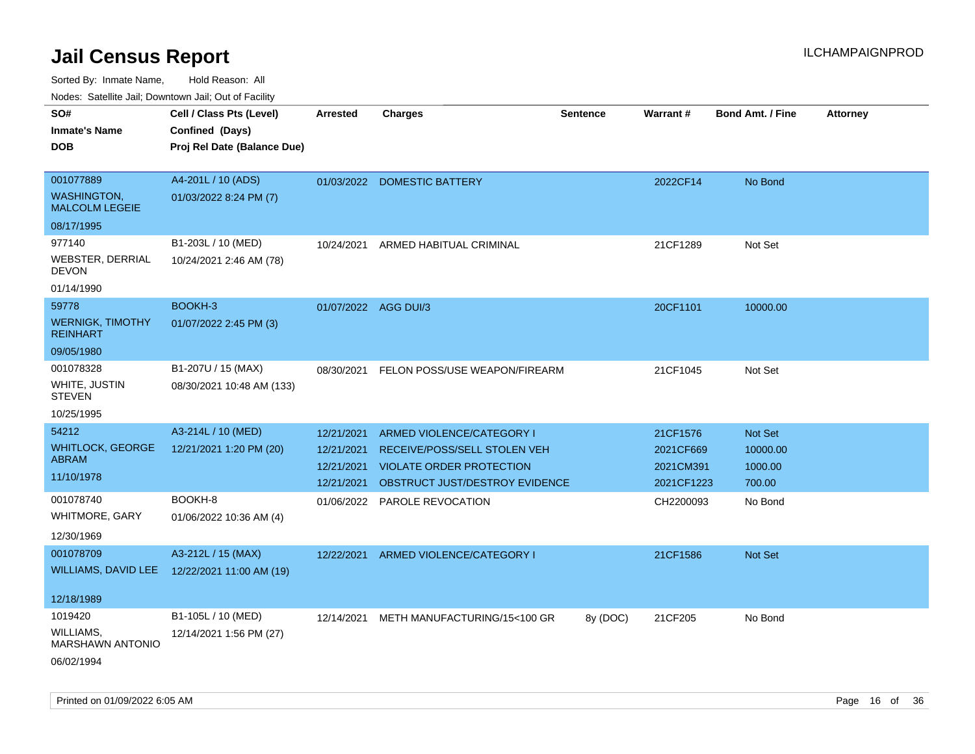| ivouss. Saleline Jali, Downtown Jali, Out of Facility |                                              |                      |                                |                 |            |                         |                 |
|-------------------------------------------------------|----------------------------------------------|----------------------|--------------------------------|-----------------|------------|-------------------------|-----------------|
| SO#                                                   | Cell / Class Pts (Level)                     | Arrested             | <b>Charges</b>                 | <b>Sentence</b> | Warrant#   | <b>Bond Amt. / Fine</b> | <b>Attorney</b> |
| <b>Inmate's Name</b>                                  | Confined (Days)                              |                      |                                |                 |            |                         |                 |
| DOB                                                   | Proj Rel Date (Balance Due)                  |                      |                                |                 |            |                         |                 |
|                                                       |                                              |                      |                                |                 |            |                         |                 |
| 001077889                                             | A4-201L / 10 (ADS)                           |                      | 01/03/2022 DOMESTIC BATTERY    |                 | 2022CF14   | No Bond                 |                 |
| <b>WASHINGTON,</b><br><b>MALCOLM LEGEIE</b>           | 01/03/2022 8:24 PM (7)                       |                      |                                |                 |            |                         |                 |
| 08/17/1995                                            |                                              |                      |                                |                 |            |                         |                 |
| 977140                                                | B1-203L / 10 (MED)                           | 10/24/2021           | ARMED HABITUAL CRIMINAL        |                 | 21CF1289   | Not Set                 |                 |
| WEBSTER, DERRIAL<br><b>DEVON</b>                      | 10/24/2021 2:46 AM (78)                      |                      |                                |                 |            |                         |                 |
| 01/14/1990                                            |                                              |                      |                                |                 |            |                         |                 |
| 59778                                                 | BOOKH-3                                      | 01/07/2022 AGG DUI/3 |                                |                 | 20CF1101   | 10000.00                |                 |
| <b>WERNIGK, TIMOTHY</b><br><b>REINHART</b>            | 01/07/2022 2:45 PM (3)                       |                      |                                |                 |            |                         |                 |
| 09/05/1980                                            |                                              |                      |                                |                 |            |                         |                 |
| 001078328                                             | B1-207U / 15 (MAX)                           | 08/30/2021           | FELON POSS/USE WEAPON/FIREARM  |                 | 21CF1045   | Not Set                 |                 |
| WHITE, JUSTIN<br><b>STEVEN</b>                        | 08/30/2021 10:48 AM (133)                    |                      |                                |                 |            |                         |                 |
| 10/25/1995                                            |                                              |                      |                                |                 |            |                         |                 |
| 54212                                                 | A3-214L / 10 (MED)                           | 12/21/2021           | ARMED VIOLENCE/CATEGORY I      |                 | 21CF1576   | Not Set                 |                 |
| <b>WHITLOCK, GEORGE</b>                               | 12/21/2021 1:20 PM (20)                      | 12/21/2021           | RECEIVE/POSS/SELL STOLEN VEH   |                 | 2021CF669  | 10000.00                |                 |
| <b>ABRAM</b>                                          |                                              | 12/21/2021           | VIOLATE ORDER PROTECTION       |                 | 2021CM391  | 1000.00                 |                 |
| 11/10/1978                                            |                                              | 12/21/2021           | OBSTRUCT JUST/DESTROY EVIDENCE |                 | 2021CF1223 | 700.00                  |                 |
| 001078740                                             | BOOKH-8                                      |                      | 01/06/2022 PAROLE REVOCATION   |                 | CH2200093  | No Bond                 |                 |
| WHITMORE, GARY                                        | 01/06/2022 10:36 AM (4)                      |                      |                                |                 |            |                         |                 |
| 12/30/1969                                            |                                              |                      |                                |                 |            |                         |                 |
| 001078709                                             | A3-212L / 15 (MAX)                           | 12/22/2021           | ARMED VIOLENCE/CATEGORY I      |                 | 21CF1586   | <b>Not Set</b>          |                 |
|                                                       | WILLIAMS, DAVID LEE 12/22/2021 11:00 AM (19) |                      |                                |                 |            |                         |                 |
|                                                       |                                              |                      |                                |                 |            |                         |                 |
| 12/18/1989                                            |                                              |                      |                                |                 |            |                         |                 |
| 1019420                                               | B1-105L / 10 (MED)                           | 12/14/2021           | METH MANUFACTURING/15<100 GR   | 8y (DOC)        | 21CF205    | No Bond                 |                 |
| WILLIAMS,                                             | 12/14/2021 1:56 PM (27)                      |                      |                                |                 |            |                         |                 |
| <b>MARSHAWN ANTONIO</b>                               |                                              |                      |                                |                 |            |                         |                 |
| 06/02/1994                                            |                                              |                      |                                |                 |            |                         |                 |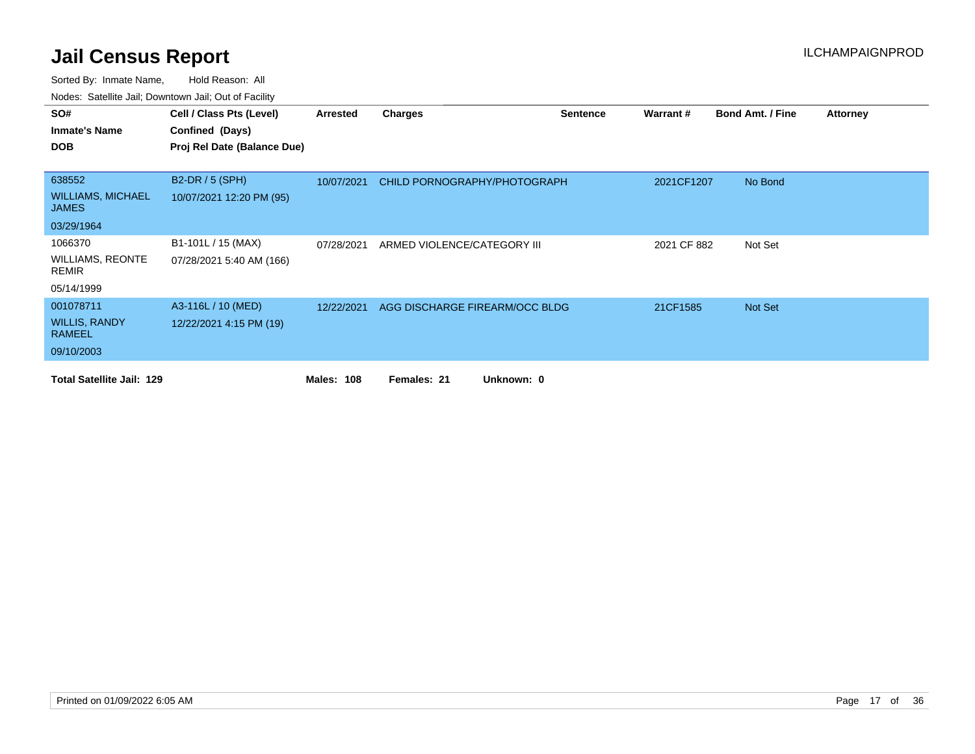| SO#                                      | Cell / Class Pts (Level)    | Arrested          | <b>Charges</b>                 | <b>Sentence</b> | Warrant#    | <b>Bond Amt. / Fine</b> | <b>Attorney</b> |
|------------------------------------------|-----------------------------|-------------------|--------------------------------|-----------------|-------------|-------------------------|-----------------|
| <b>Inmate's Name</b>                     | Confined (Days)             |                   |                                |                 |             |                         |                 |
| <b>DOB</b>                               | Proj Rel Date (Balance Due) |                   |                                |                 |             |                         |                 |
|                                          |                             |                   |                                |                 |             |                         |                 |
| 638552                                   | B2-DR / 5 (SPH)             | 10/07/2021        | CHILD PORNOGRAPHY/PHOTOGRAPH   |                 | 2021CF1207  | No Bond                 |                 |
| <b>WILLIAMS, MICHAEL</b><br><b>JAMES</b> | 10/07/2021 12:20 PM (95)    |                   |                                |                 |             |                         |                 |
| 03/29/1964                               |                             |                   |                                |                 |             |                         |                 |
| 1066370                                  | B1-101L / 15 (MAX)          | 07/28/2021        | ARMED VIOLENCE/CATEGORY III    |                 | 2021 CF 882 | Not Set                 |                 |
| <b>WILLIAMS, REONTE</b><br><b>REMIR</b>  | 07/28/2021 5:40 AM (166)    |                   |                                |                 |             |                         |                 |
| 05/14/1999                               |                             |                   |                                |                 |             |                         |                 |
| 001078711                                | A3-116L / 10 (MED)          | 12/22/2021        | AGG DISCHARGE FIREARM/OCC BLDG |                 | 21CF1585    | Not Set                 |                 |
| <b>WILLIS, RANDY</b><br><b>RAMEEL</b>    | 12/22/2021 4:15 PM (19)     |                   |                                |                 |             |                         |                 |
| 09/10/2003                               |                             |                   |                                |                 |             |                         |                 |
| <b>Total Satellite Jail: 129</b>         |                             | <b>Males: 108</b> | Unknown: 0<br>Females: 21      |                 |             |                         |                 |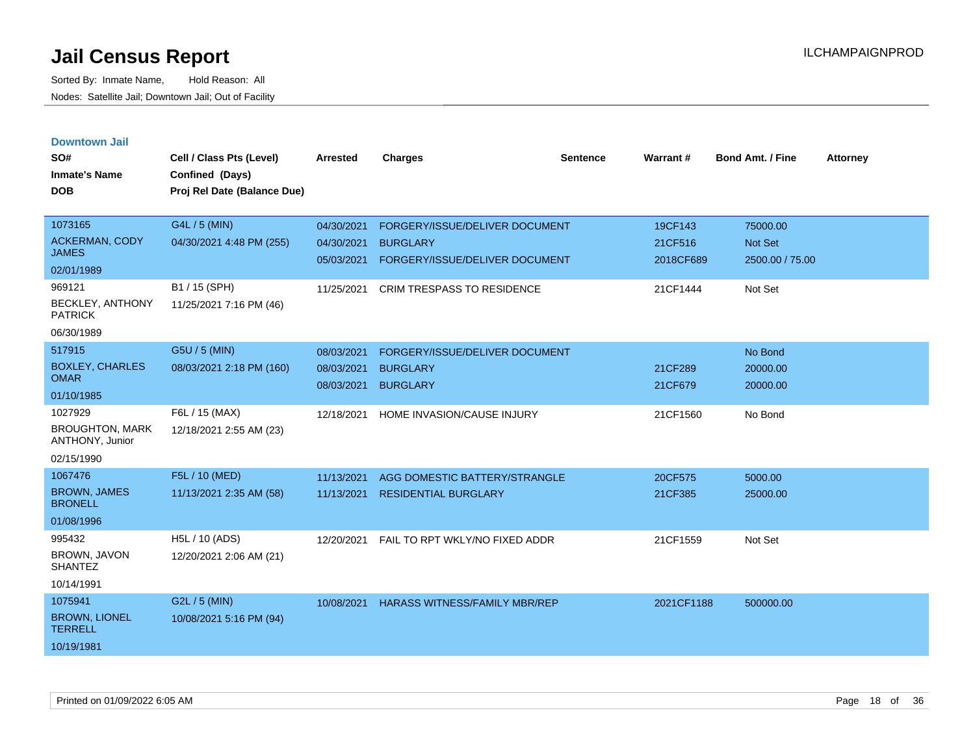|  |  | <b>Downtown Jail</b> |  |
|--|--|----------------------|--|

| SO#<br><b>Inmate's Name</b><br><b>DOB</b>                                                    | Cell / Class Pts (Level)<br>Confined (Days)<br>Proj Rel Date (Balance Due)            | <b>Arrested</b>                                      | <b>Charges</b>                                                                                                    | <b>Sentence</b> | Warrant#                                    | <b>Bond Amt. / Fine</b>                           | <b>Attorney</b> |
|----------------------------------------------------------------------------------------------|---------------------------------------------------------------------------------------|------------------------------------------------------|-------------------------------------------------------------------------------------------------------------------|-----------------|---------------------------------------------|---------------------------------------------------|-----------------|
| 1073165<br>ACKERMAN, CODY<br><b>JAMES</b><br>02/01/1989<br>969121<br><b>BECKLEY, ANTHONY</b> | G4L / 5 (MIN)<br>04/30/2021 4:48 PM (255)<br>B1 / 15 (SPH)<br>11/25/2021 7:16 PM (46) | 04/30/2021<br>04/30/2021<br>05/03/2021<br>11/25/2021 | FORGERY/ISSUE/DELIVER DOCUMENT<br><b>BURGLARY</b><br>FORGERY/ISSUE/DELIVER DOCUMENT<br>CRIM TRESPASS TO RESIDENCE |                 | 19CF143<br>21CF516<br>2018CF689<br>21CF1444 | 75000.00<br>Not Set<br>2500.00 / 75.00<br>Not Set |                 |
| <b>PATRICK</b><br>06/30/1989                                                                 |                                                                                       |                                                      |                                                                                                                   |                 |                                             |                                                   |                 |
| 517915<br><b>BOXLEY, CHARLES</b><br><b>OMAR</b><br>01/10/1985                                | G5U / 5 (MIN)<br>08/03/2021 2:18 PM (160)                                             | 08/03/2021<br>08/03/2021<br>08/03/2021               | FORGERY/ISSUE/DELIVER DOCUMENT<br><b>BURGLARY</b><br><b>BURGLARY</b>                                              |                 | 21CF289<br>21CF679                          | No Bond<br>20000.00<br>20000.00                   |                 |
| 1027929<br><b>BROUGHTON, MARK</b><br>ANTHONY, Junior<br>02/15/1990                           | F6L / 15 (MAX)<br>12/18/2021 2:55 AM (23)                                             | 12/18/2021                                           | HOME INVASION/CAUSE INJURY                                                                                        |                 | 21CF1560                                    | No Bond                                           |                 |
| 1067476<br><b>BROWN, JAMES</b><br><b>BRONELL</b><br>01/08/1996                               | F5L / 10 (MED)<br>11/13/2021 2:35 AM (58)                                             | 11/13/2021<br>11/13/2021                             | AGG DOMESTIC BATTERY/STRANGLE<br><b>RESIDENTIAL BURGLARY</b>                                                      |                 | 20CF575<br>21CF385                          | 5000.00<br>25000.00                               |                 |
| 995432<br>BROWN, JAVON<br><b>SHANTEZ</b><br>10/14/1991                                       | H5L / 10 (ADS)<br>12/20/2021 2:06 AM (21)                                             | 12/20/2021                                           | FAIL TO RPT WKLY/NO FIXED ADDR                                                                                    |                 | 21CF1559                                    | Not Set                                           |                 |
| 1075941<br><b>BROWN, LIONEL</b><br><b>TERRELL</b><br>10/19/1981                              | G2L / 5 (MIN)<br>10/08/2021 5:16 PM (94)                                              | 10/08/2021                                           | <b>HARASS WITNESS/FAMILY MBR/REP</b>                                                                              |                 | 2021CF1188                                  | 500000.00                                         |                 |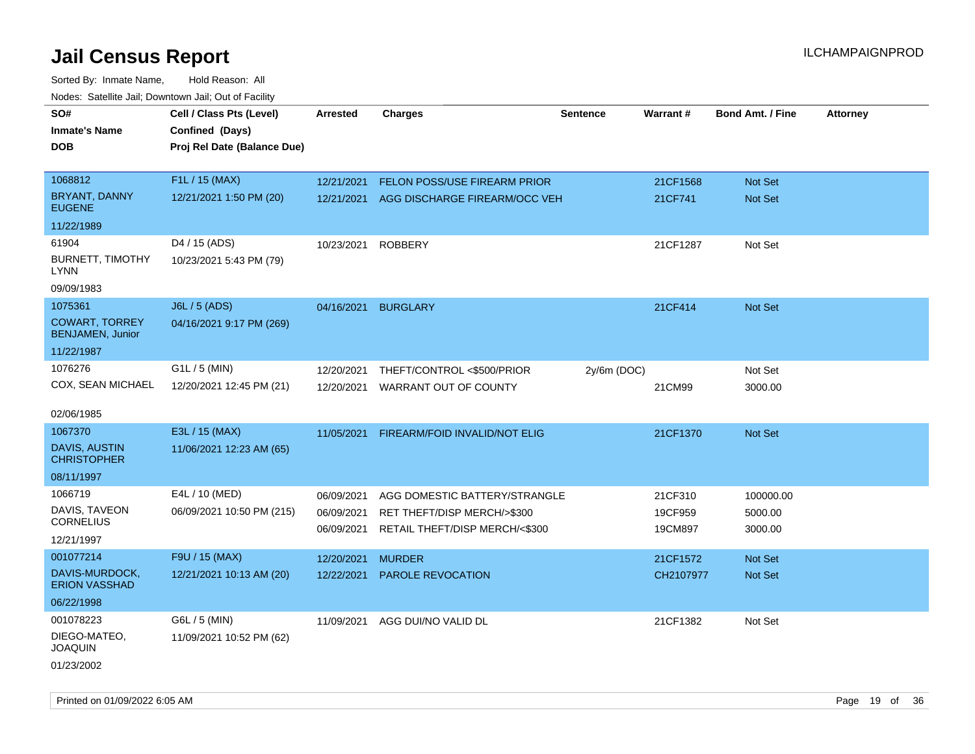Sorted By: Inmate Name, Hold Reason: All Nodes: Satellite Jail; Downtown Jail; Out of Facility

| roaco. Catolino dall, Downtown dall, Out of Fability |                             |                 |                                          |                 |           |                         |                 |
|------------------------------------------------------|-----------------------------|-----------------|------------------------------------------|-----------------|-----------|-------------------------|-----------------|
| SO#                                                  | Cell / Class Pts (Level)    | <b>Arrested</b> | <b>Charges</b>                           | <b>Sentence</b> | Warrant#  | <b>Bond Amt. / Fine</b> | <b>Attorney</b> |
| <b>Inmate's Name</b>                                 | Confined (Days)             |                 |                                          |                 |           |                         |                 |
| <b>DOB</b>                                           | Proj Rel Date (Balance Due) |                 |                                          |                 |           |                         |                 |
|                                                      |                             |                 |                                          |                 |           |                         |                 |
| 1068812                                              | F1L / 15 (MAX)              | 12/21/2021      | FELON POSS/USE FIREARM PRIOR             |                 | 21CF1568  | Not Set                 |                 |
| <b>BRYANT, DANNY</b><br><b>EUGENE</b>                | 12/21/2021 1:50 PM (20)     |                 | 12/21/2021 AGG DISCHARGE FIREARM/OCC VEH |                 | 21CF741   | Not Set                 |                 |
| 11/22/1989                                           |                             |                 |                                          |                 |           |                         |                 |
| 61904                                                | D4 / 15 (ADS)               | 10/23/2021      | <b>ROBBERY</b>                           |                 | 21CF1287  | Not Set                 |                 |
| <b>BURNETT, TIMOTHY</b><br><b>LYNN</b>               | 10/23/2021 5:43 PM (79)     |                 |                                          |                 |           |                         |                 |
| 09/09/1983                                           |                             |                 |                                          |                 |           |                         |                 |
| 1075361                                              | J6L / 5 (ADS)               | 04/16/2021      | <b>BURGLARY</b>                          |                 | 21CF414   | Not Set                 |                 |
| <b>COWART, TORREY</b><br><b>BENJAMEN, Junior</b>     | 04/16/2021 9:17 PM (269)    |                 |                                          |                 |           |                         |                 |
| 11/22/1987                                           |                             |                 |                                          |                 |           |                         |                 |
| 1076276                                              | $G1L / 5$ (MIN)             | 12/20/2021      | THEFT/CONTROL <\$500/PRIOR               | $2y/6m$ (DOC)   |           | Not Set                 |                 |
| COX, SEAN MICHAEL                                    | 12/20/2021 12:45 PM (21)    | 12/20/2021      | WARRANT OUT OF COUNTY                    |                 | 21CM99    | 3000.00                 |                 |
|                                                      |                             |                 |                                          |                 |           |                         |                 |
| 02/06/1985                                           |                             |                 |                                          |                 |           |                         |                 |
| 1067370                                              | E3L / 15 (MAX)              | 11/05/2021      | FIREARM/FOID INVALID/NOT ELIG            |                 | 21CF1370  | Not Set                 |                 |
| DAVIS, AUSTIN<br><b>CHRISTOPHER</b>                  | 11/06/2021 12:23 AM (65)    |                 |                                          |                 |           |                         |                 |
| 08/11/1997                                           |                             |                 |                                          |                 |           |                         |                 |
| 1066719                                              | E4L / 10 (MED)              | 06/09/2021      | AGG DOMESTIC BATTERY/STRANGLE            |                 | 21CF310   | 100000.00               |                 |
| DAVIS, TAVEON                                        | 06/09/2021 10:50 PM (215)   | 06/09/2021      | RET THEFT/DISP MERCH/>\$300              |                 | 19CF959   | 5000.00                 |                 |
| <b>CORNELIUS</b>                                     |                             | 06/09/2021      | RETAIL THEFT/DISP MERCH/<\$300           |                 | 19CM897   | 3000.00                 |                 |
| 12/21/1997                                           |                             |                 |                                          |                 |           |                         |                 |
| 001077214                                            | F9U / 15 (MAX)              | 12/20/2021      | <b>MURDER</b>                            |                 | 21CF1572  | Not Set                 |                 |
| DAVIS-MURDOCK,<br><b>ERION VASSHAD</b>               | 12/21/2021 10:13 AM (20)    | 12/22/2021      | PAROLE REVOCATION                        |                 | CH2107977 | Not Set                 |                 |
| 06/22/1998                                           |                             |                 |                                          |                 |           |                         |                 |
| 001078223                                            | G6L / 5 (MIN)               | 11/09/2021      | AGG DUI/NO VALID DL                      |                 | 21CF1382  | Not Set                 |                 |
| DIEGO-MATEO,<br><b>JOAQUIN</b>                       | 11/09/2021 10:52 PM (62)    |                 |                                          |                 |           |                         |                 |
| 01/23/2002                                           |                             |                 |                                          |                 |           |                         |                 |

Printed on 01/09/2022 6:05 AM **Page 19 of 36**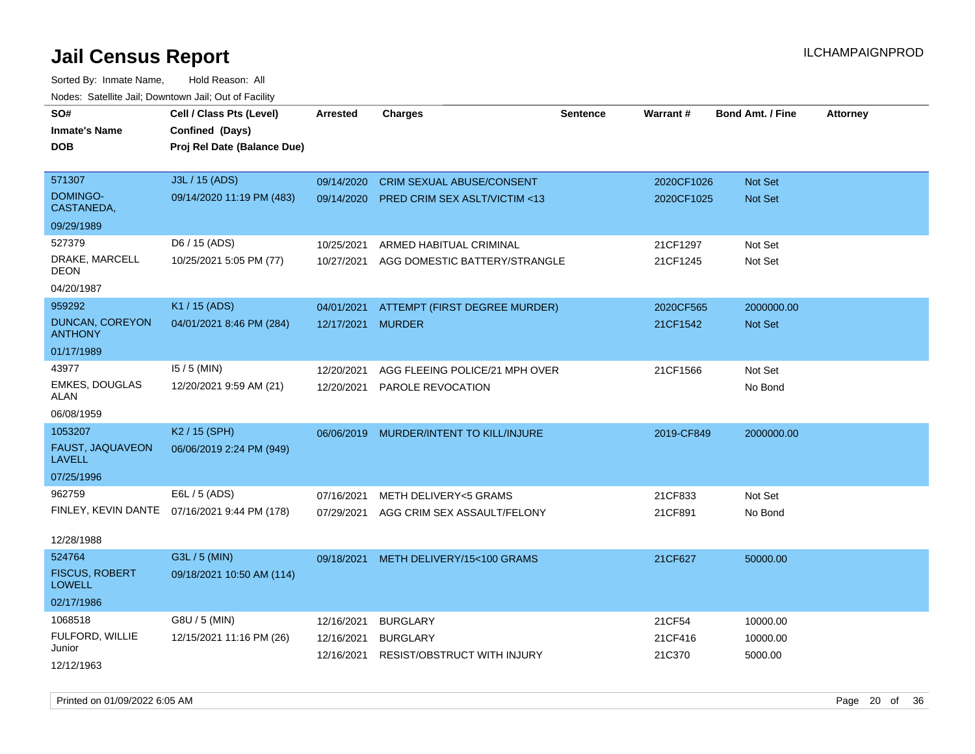Sorted By: Inmate Name, Hold Reason: All Nodes: Satellite Jail; Downtown Jail; Out of Facility

| roaco. Calcinio dan, Downtown dan, Out or Fabilit |                                              |                 |                                         |                 |            |                         |                 |
|---------------------------------------------------|----------------------------------------------|-----------------|-----------------------------------------|-----------------|------------|-------------------------|-----------------|
| SO#                                               | Cell / Class Pts (Level)                     | <b>Arrested</b> | <b>Charges</b>                          | <b>Sentence</b> | Warrant#   | <b>Bond Amt. / Fine</b> | <b>Attorney</b> |
| <b>Inmate's Name</b>                              | Confined (Days)                              |                 |                                         |                 |            |                         |                 |
| <b>DOB</b>                                        | Proj Rel Date (Balance Due)                  |                 |                                         |                 |            |                         |                 |
|                                                   |                                              |                 |                                         |                 |            |                         |                 |
| 571307                                            | J3L / 15 (ADS)                               | 09/14/2020      | <b>CRIM SEXUAL ABUSE/CONSENT</b>        |                 | 2020CF1026 | Not Set                 |                 |
| <b>DOMINGO-</b><br>CASTANEDA,                     | 09/14/2020 11:19 PM (483)                    | 09/14/2020      | <b>PRED CRIM SEX ASLT/VICTIM &lt;13</b> |                 | 2020CF1025 | <b>Not Set</b>          |                 |
| 09/29/1989                                        |                                              |                 |                                         |                 |            |                         |                 |
| 527379                                            | D6 / 15 (ADS)                                | 10/25/2021      | ARMED HABITUAL CRIMINAL                 |                 | 21CF1297   | Not Set                 |                 |
| DRAKE, MARCELL<br>DEON                            | 10/25/2021 5:05 PM (77)                      | 10/27/2021      | AGG DOMESTIC BATTERY/STRANGLE           |                 | 21CF1245   | Not Set                 |                 |
| 04/20/1987                                        |                                              |                 |                                         |                 |            |                         |                 |
| 959292                                            | K1 / 15 (ADS)                                | 04/01/2021      | ATTEMPT (FIRST DEGREE MURDER)           |                 | 2020CF565  | 2000000.00              |                 |
| DUNCAN, COREYON<br><b>ANTHONY</b>                 | 04/01/2021 8:46 PM (284)                     | 12/17/2021      | <b>MURDER</b>                           |                 | 21CF1542   | <b>Not Set</b>          |                 |
| 01/17/1989                                        |                                              |                 |                                         |                 |            |                         |                 |
| 43977                                             | $15/5$ (MIN)                                 | 12/20/2021      | AGG FLEEING POLICE/21 MPH OVER          |                 | 21CF1566   | Not Set                 |                 |
| <b>EMKES, DOUGLAS</b><br>ALAN                     | 12/20/2021 9:59 AM (21)                      | 12/20/2021      | PAROLE REVOCATION                       |                 |            | No Bond                 |                 |
| 06/08/1959                                        |                                              |                 |                                         |                 |            |                         |                 |
| 1053207                                           | K <sub>2</sub> / 15 (SPH)                    | 06/06/2019      | MURDER/INTENT TO KILL/INJURE            |                 | 2019-CF849 | 2000000.00              |                 |
| FAUST, JAQUAVEON<br>LAVELL                        | 06/06/2019 2:24 PM (949)                     |                 |                                         |                 |            |                         |                 |
| 07/25/1996                                        |                                              |                 |                                         |                 |            |                         |                 |
| 962759                                            | E6L / 5 (ADS)                                | 07/16/2021      | <b>METH DELIVERY&lt;5 GRAMS</b>         |                 | 21CF833    | Not Set                 |                 |
|                                                   | FINLEY, KEVIN DANTE 07/16/2021 9:44 PM (178) | 07/29/2021      | AGG CRIM SEX ASSAULT/FELONY             |                 | 21CF891    | No Bond                 |                 |
| 12/28/1988                                        |                                              |                 |                                         |                 |            |                         |                 |
| 524764                                            | G3L / 5 (MIN)                                | 09/18/2021      | METH DELIVERY/15<100 GRAMS              |                 | 21CF627    | 50000.00                |                 |
| <b>FISCUS, ROBERT</b><br><b>LOWELL</b>            | 09/18/2021 10:50 AM (114)                    |                 |                                         |                 |            |                         |                 |
| 02/17/1986                                        |                                              |                 |                                         |                 |            |                         |                 |
| 1068518                                           | G8U / 5 (MIN)                                | 12/16/2021      | <b>BURGLARY</b>                         |                 | 21CF54     | 10000.00                |                 |
| FULFORD, WILLIE                                   | 12/15/2021 11:16 PM (26)                     | 12/16/2021      | <b>BURGLARY</b>                         |                 | 21CF416    | 10000.00                |                 |
| Junior                                            |                                              | 12/16/2021      | <b>RESIST/OBSTRUCT WITH INJURY</b>      |                 | 21C370     | 5000.00                 |                 |
| 12/12/1963                                        |                                              |                 |                                         |                 |            |                         |                 |

Printed on 01/09/2022 6:05 AM Page 20 of 36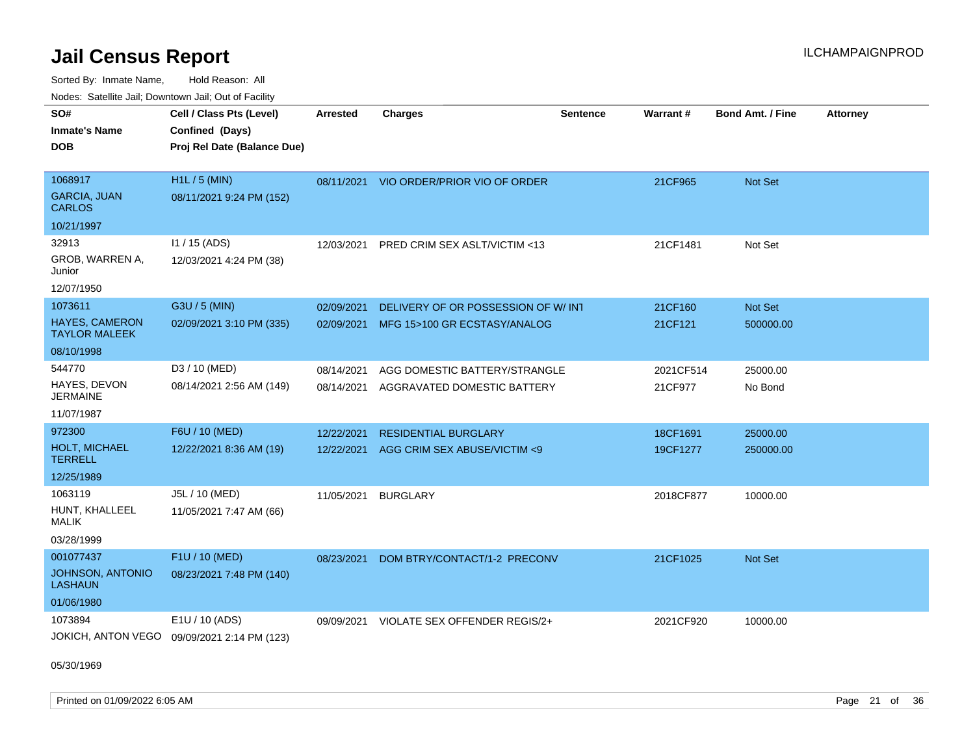Sorted By: Inmate Name, Hold Reason: All Nodes: Satellite Jail; Downtown Jail; Out of Facility

| rouco. Calcinic Jan, Downtown Jan, Out of Facility |                                             |                 |                                         |                 |           |                         |                 |
|----------------------------------------------------|---------------------------------------------|-----------------|-----------------------------------------|-----------------|-----------|-------------------------|-----------------|
| SO#                                                | Cell / Class Pts (Level)                    | <b>Arrested</b> | <b>Charges</b>                          | <b>Sentence</b> | Warrant#  | <b>Bond Amt. / Fine</b> | <b>Attorney</b> |
| Inmate's Name                                      | Confined (Days)                             |                 |                                         |                 |           |                         |                 |
| DOB                                                | Proj Rel Date (Balance Due)                 |                 |                                         |                 |           |                         |                 |
|                                                    |                                             |                 |                                         |                 |           |                         |                 |
| 1068917                                            | $H1L / 5$ (MIN)                             |                 | 08/11/2021 VIO ORDER/PRIOR VIO OF ORDER |                 | 21CF965   | Not Set                 |                 |
| <b>GARCIA, JUAN</b><br><b>CARLOS</b>               | 08/11/2021 9:24 PM (152)                    |                 |                                         |                 |           |                         |                 |
| 10/21/1997                                         |                                             |                 |                                         |                 |           |                         |                 |
| 32913                                              | I1 / 15 (ADS)                               | 12/03/2021      | <b>PRED CRIM SEX ASLT/VICTIM &lt;13</b> |                 | 21CF1481  | Not Set                 |                 |
| GROB, WARREN A,<br>Junior                          | 12/03/2021 4:24 PM (38)                     |                 |                                         |                 |           |                         |                 |
| 12/07/1950                                         |                                             |                 |                                         |                 |           |                         |                 |
| 1073611                                            | G3U / 5 (MIN)                               | 02/09/2021      | DELIVERY OF OR POSSESSION OF W/ INT     |                 | 21CF160   | Not Set                 |                 |
| <b>HAYES, CAMERON</b><br>TAYLOR MALEEK             | 02/09/2021 3:10 PM (335)                    | 02/09/2021      | MFG 15>100 GR ECSTASY/ANALOG            |                 | 21CF121   | 500000.00               |                 |
| 08/10/1998                                         |                                             |                 |                                         |                 |           |                         |                 |
| 544770                                             | D3 / 10 (MED)                               | 08/14/2021      | AGG DOMESTIC BATTERY/STRANGLE           |                 | 2021CF514 | 25000.00                |                 |
| HAYES, DEVON<br>JERMAINE                           | 08/14/2021 2:56 AM (149)                    | 08/14/2021      | AGGRAVATED DOMESTIC BATTERY             |                 | 21CF977   | No Bond                 |                 |
| 11/07/1987                                         |                                             |                 |                                         |                 |           |                         |                 |
| 972300                                             | F6U / 10 (MED)                              | 12/22/2021      | <b>RESIDENTIAL BURGLARY</b>             |                 | 18CF1691  | 25000.00                |                 |
| <b>HOLT, MICHAEL</b><br>TERRELL                    | 12/22/2021 8:36 AM (19)                     | 12/22/2021      | AGG CRIM SEX ABUSE/VICTIM <9            |                 | 19CF1277  | 250000.00               |                 |
| 12/25/1989                                         |                                             |                 |                                         |                 |           |                         |                 |
| 1063119                                            | J5L / 10 (MED)                              | 11/05/2021      | <b>BURGLARY</b>                         |                 | 2018CF877 | 10000.00                |                 |
| HUNT, KHALLEEL<br>MALIK                            | 11/05/2021 7:47 AM (66)                     |                 |                                         |                 |           |                         |                 |
| 03/28/1999                                         |                                             |                 |                                         |                 |           |                         |                 |
| 001077437                                          | F1U / 10 (MED)                              | 08/23/2021      | DOM BTRY/CONTACT/1-2 PRECONV            |                 | 21CF1025  | <b>Not Set</b>          |                 |
| JOHNSON, ANTONIO<br>LASHAUN                        | 08/23/2021 7:48 PM (140)                    |                 |                                         |                 |           |                         |                 |
| 01/06/1980                                         |                                             |                 |                                         |                 |           |                         |                 |
| 1073894                                            | E1U / 10 (ADS)                              | 09/09/2021      | VIOLATE SEX OFFENDER REGIS/2+           |                 | 2021CF920 | 10000.00                |                 |
|                                                    | JOKICH, ANTON VEGO 09/09/2021 2:14 PM (123) |                 |                                         |                 |           |                         |                 |

05/30/1969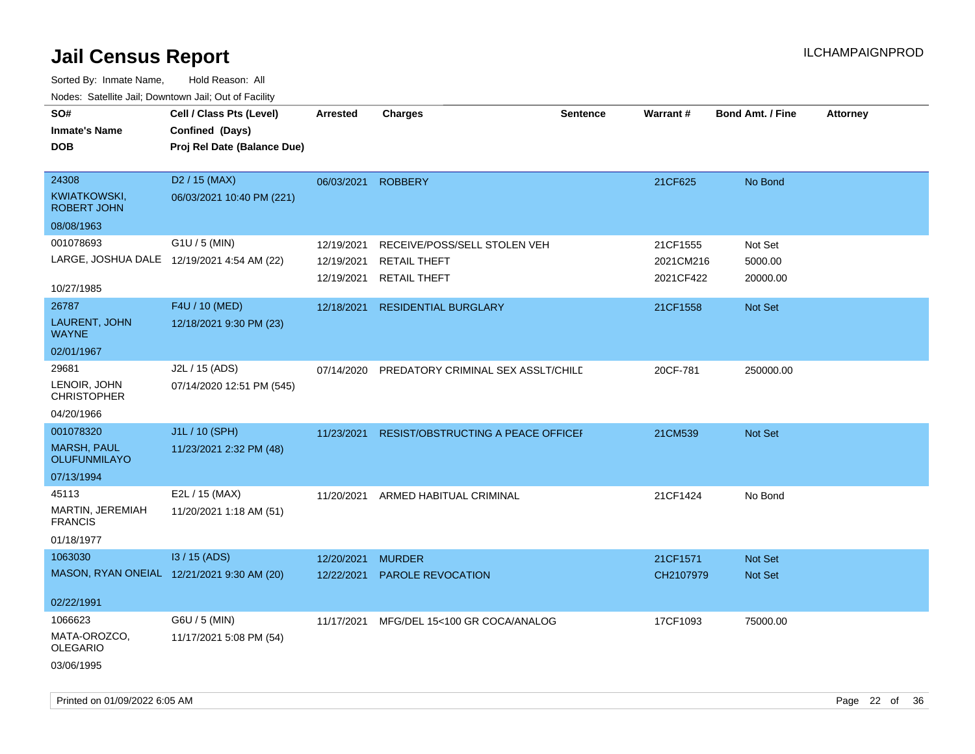| SO#<br><b>Inmate's Name</b><br><b>DOB</b>                        | Cell / Class Pts (Level)<br>Confined (Days)<br>Proj Rel Date (Balance Due) | <b>Arrested</b> | <b>Charges</b>                                 | <b>Sentence</b> | <b>Warrant#</b>        | Bond Amt. / Fine    | <b>Attorney</b> |
|------------------------------------------------------------------|----------------------------------------------------------------------------|-----------------|------------------------------------------------|-----------------|------------------------|---------------------|-----------------|
| 24308<br><b>KWIATKOWSKI,</b><br><b>ROBERT JOHN</b><br>08/08/1963 | D2 / 15 (MAX)<br>06/03/2021 10:40 PM (221)                                 | 06/03/2021      | <b>ROBBERY</b>                                 |                 | 21CF625                | No Bond             |                 |
| 001078693                                                        | G1U / 5 (MIN)                                                              |                 |                                                |                 |                        |                     |                 |
|                                                                  | LARGE, JOSHUA DALE 12/19/2021 4:54 AM (22)                                 | 12/19/2021      | RECEIVE/POSS/SELL STOLEN VEH                   |                 | 21CF1555               | Not Set             |                 |
|                                                                  |                                                                            | 12/19/2021      | <b>RETAIL THEFT</b><br>12/19/2021 RETAIL THEFT |                 | 2021CM216<br>2021CF422 | 5000.00<br>20000.00 |                 |
| 10/27/1985<br>26787                                              | F4U / 10 (MED)                                                             |                 |                                                |                 |                        |                     |                 |
| LAURENT, JOHN<br><b>WAYNE</b>                                    | 12/18/2021 9:30 PM (23)                                                    | 12/18/2021      | <b>RESIDENTIAL BURGLARY</b>                    |                 | 21CF1558               | Not Set             |                 |
| 02/01/1967                                                       |                                                                            |                 |                                                |                 |                        |                     |                 |
| 29681<br>LENOIR, JOHN<br><b>CHRISTOPHER</b>                      | J2L / 15 (ADS)<br>07/14/2020 12:51 PM (545)                                | 07/14/2020      | PREDATORY CRIMINAL SEX ASSLT/CHILD             |                 | 20CF-781               | 250000.00           |                 |
| 04/20/1966                                                       |                                                                            |                 |                                                |                 |                        |                     |                 |
| 001078320                                                        | J1L / 10 (SPH)                                                             | 11/23/2021      | RESIST/OBSTRUCTING A PEACE OFFICEI             |                 | 21CM539                | Not Set             |                 |
| <b>MARSH, PAUL</b><br><b>OLUFUNMILAYO</b>                        | 11/23/2021 2:32 PM (48)                                                    |                 |                                                |                 |                        |                     |                 |
| 07/13/1994                                                       |                                                                            |                 |                                                |                 |                        |                     |                 |
| 45113<br>MARTIN, JEREMIAH<br><b>FRANCIS</b><br>01/18/1977        | E2L / 15 (MAX)<br>11/20/2021 1:18 AM (51)                                  | 11/20/2021      | ARMED HABITUAL CRIMINAL                        |                 | 21CF1424               | No Bond             |                 |
| 1063030                                                          | I3 / 15 (ADS)                                                              | 12/20/2021      | <b>MURDER</b>                                  |                 | 21CF1571               | Not Set             |                 |
|                                                                  | MASON, RYAN ONEIAL 12/21/2021 9:30 AM (20)                                 | 12/22/2021      | PAROLE REVOCATION                              |                 | CH2107979              | Not Set             |                 |
| 02/22/1991                                                       |                                                                            |                 |                                                |                 |                        |                     |                 |
| 1066623                                                          | G6U / 5 (MIN)                                                              |                 | 11/17/2021 MFG/DEL 15<100 GR COCA/ANALOG       |                 | 17CF1093               | 75000.00            |                 |
| MATA-OROZCO,<br><b>OLEGARIO</b><br>03/06/1995                    | 11/17/2021 5:08 PM (54)                                                    |                 |                                                |                 |                        |                     |                 |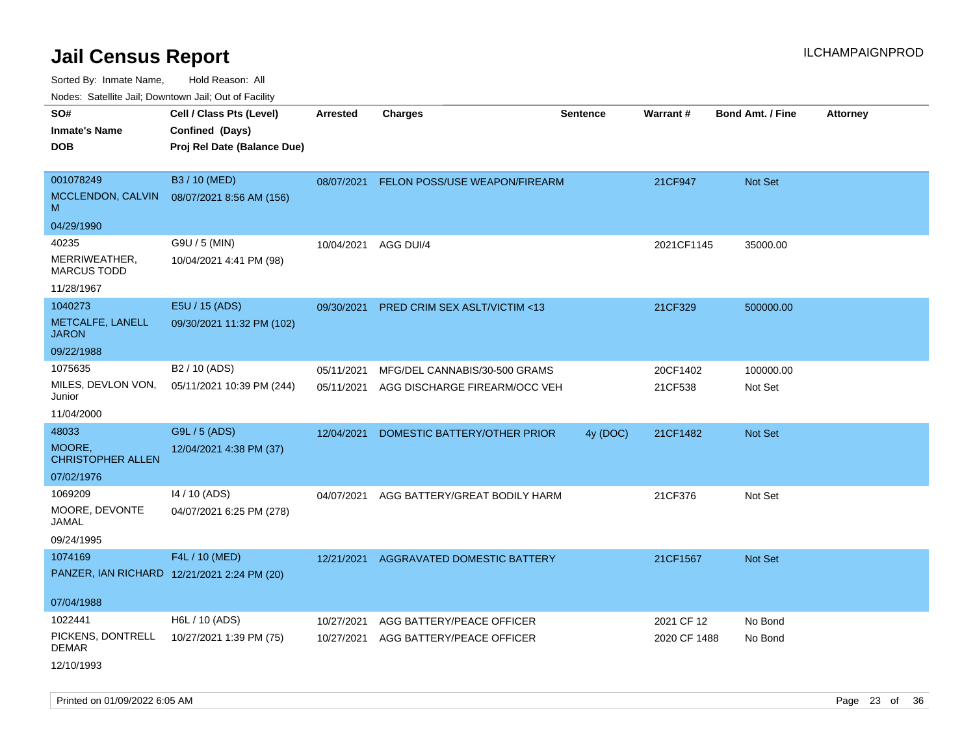Sorted By: Inmate Name, Hold Reason: All

Nodes: Satellite Jail; Downtown Jail; Out of Facility

| House. Sale into sail, Bowmonn sail, Sal of Fability       |                                                                            |                          |                                                                |                 |                     |                         |                 |
|------------------------------------------------------------|----------------------------------------------------------------------------|--------------------------|----------------------------------------------------------------|-----------------|---------------------|-------------------------|-----------------|
| SO#<br><b>Inmate's Name</b><br><b>DOB</b>                  | Cell / Class Pts (Level)<br>Confined (Days)<br>Proj Rel Date (Balance Due) | <b>Arrested</b>          | <b>Charges</b>                                                 | <b>Sentence</b> | Warrant#            | <b>Bond Amt. / Fine</b> | <b>Attorney</b> |
| 001078249<br>MCCLENDON, CALVIN<br>M                        | B3 / 10 (MED)<br>08/07/2021 8:56 AM (156)                                  | 08/07/2021               | FELON POSS/USE WEAPON/FIREARM                                  |                 | 21CF947             | Not Set                 |                 |
| 04/29/1990                                                 |                                                                            |                          |                                                                |                 |                     |                         |                 |
| 40235<br>MERRIWEATHER,<br><b>MARCUS TODD</b><br>11/28/1967 | G9U / 5 (MIN)<br>10/04/2021 4:41 PM (98)                                   | 10/04/2021               | AGG DUI/4                                                      |                 | 2021CF1145          | 35000.00                |                 |
|                                                            |                                                                            |                          |                                                                |                 |                     |                         |                 |
| 1040273<br>METCALFE, LANELL<br><b>JARON</b>                | E5U / 15 (ADS)<br>09/30/2021 11:32 PM (102)                                | 09/30/2021               | <b>PRED CRIM SEX ASLT/VICTIM &lt;13</b>                        |                 | 21CF329             | 500000.00               |                 |
| 09/22/1988                                                 |                                                                            |                          |                                                                |                 |                     |                         |                 |
| 1075635<br>MILES, DEVLON VON,<br>Junior                    | B <sub>2</sub> / 10 (ADS)<br>05/11/2021 10:39 PM (244)                     | 05/11/2021<br>05/11/2021 | MFG/DEL CANNABIS/30-500 GRAMS<br>AGG DISCHARGE FIREARM/OCC VEH |                 | 20CF1402<br>21CF538 | 100000.00<br>Not Set    |                 |
| 11/04/2000                                                 |                                                                            |                          |                                                                |                 |                     |                         |                 |
| 48033<br>MOORE,<br><b>CHRISTOPHER ALLEN</b><br>07/02/1976  | G9L / 5 (ADS)<br>12/04/2021 4:38 PM (37)                                   | 12/04/2021               | DOMESTIC BATTERY/OTHER PRIOR                                   | 4y (DOC)        | 21CF1482            | <b>Not Set</b>          |                 |
| 1069209                                                    | 14 / 10 (ADS)                                                              | 04/07/2021               | AGG BATTERY/GREAT BODILY HARM                                  |                 | 21CF376             | Not Set                 |                 |
| MOORE, DEVONTE<br>JAMAL                                    | 04/07/2021 6:25 PM (278)                                                   |                          |                                                                |                 |                     |                         |                 |
| 09/24/1995                                                 |                                                                            |                          |                                                                |                 |                     |                         |                 |
| 1074169<br>PANZER, IAN RICHARD 12/21/2021 2:24 PM (20)     | F4L / 10 (MED)                                                             | 12/21/2021               | AGGRAVATED DOMESTIC BATTERY                                    |                 | 21CF1567            | Not Set                 |                 |
| 07/04/1988                                                 |                                                                            |                          |                                                                |                 |                     |                         |                 |
| 1022441                                                    | H6L / 10 (ADS)                                                             | 10/27/2021               | AGG BATTERY/PEACE OFFICER                                      |                 | 2021 CF 12          | No Bond                 |                 |
| PICKENS, DONTRELL<br><b>DEMAR</b><br>12/10/1993            | 10/27/2021 1:39 PM (75)                                                    | 10/27/2021               | AGG BATTERY/PEACE OFFICER                                      |                 | 2020 CF 1488        | No Bond                 |                 |

Printed on 01/09/2022 6:05 AM Page 23 of 36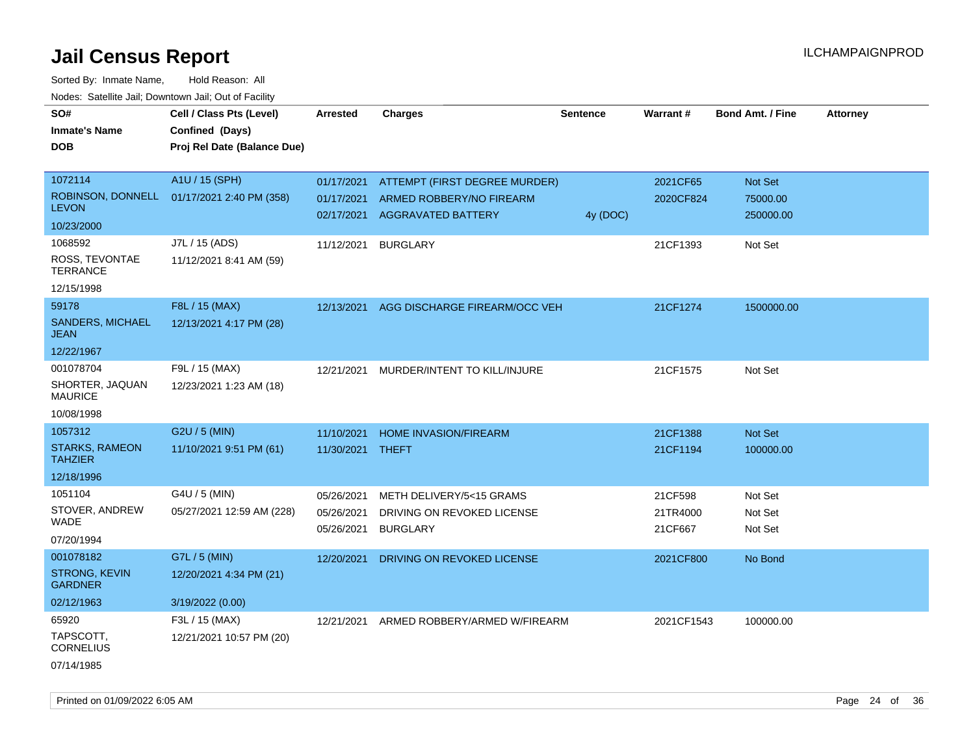| SO#                                     | Cell / Class Pts (Level)                       | <b>Arrested</b> | <b>Charges</b>                | <b>Sentence</b> | Warrant#   | <b>Bond Amt. / Fine</b> | <b>Attorney</b> |
|-----------------------------------------|------------------------------------------------|-----------------|-------------------------------|-----------------|------------|-------------------------|-----------------|
| <b>Inmate's Name</b>                    | Confined (Days)<br>Proj Rel Date (Balance Due) |                 |                               |                 |            |                         |                 |
| DOB                                     |                                                |                 |                               |                 |            |                         |                 |
| 1072114                                 | A1U / 15 (SPH)                                 | 01/17/2021      | ATTEMPT (FIRST DEGREE MURDER) |                 | 2021CF65   | Not Set                 |                 |
| ROBINSON, DONNELL                       | 01/17/2021 2:40 PM (358)                       | 01/17/2021      | ARMED ROBBERY/NO FIREARM      |                 | 2020CF824  | 75000.00                |                 |
| <b>LEVON</b>                            |                                                | 02/17/2021      | AGGRAVATED BATTERY            | 4y (DOC)        |            | 250000.00               |                 |
| 10/23/2000                              |                                                |                 |                               |                 |            |                         |                 |
| 1068592                                 | J7L / 15 (ADS)                                 | 11/12/2021      | <b>BURGLARY</b>               |                 | 21CF1393   | Not Set                 |                 |
| ROSS, TEVONTAE<br><b>TERRANCE</b>       | 11/12/2021 8:41 AM (59)                        |                 |                               |                 |            |                         |                 |
| 12/15/1998                              |                                                |                 |                               |                 |            |                         |                 |
| 59178                                   | F8L / 15 (MAX)                                 | 12/13/2021      | AGG DISCHARGE FIREARM/OCC VEH |                 | 21CF1274   | 1500000.00              |                 |
| SANDERS, MICHAEL<br><b>JEAN</b>         | 12/13/2021 4:17 PM (28)                        |                 |                               |                 |            |                         |                 |
| 12/22/1967                              |                                                |                 |                               |                 |            |                         |                 |
| 001078704                               | F9L / 15 (MAX)                                 | 12/21/2021      | MURDER/INTENT TO KILL/INJURE  |                 | 21CF1575   | Not Set                 |                 |
| SHORTER, JAQUAN<br><b>MAURICE</b>       | 12/23/2021 1:23 AM (18)                        |                 |                               |                 |            |                         |                 |
| 10/08/1998                              |                                                |                 |                               |                 |            |                         |                 |
| 1057312                                 | G2U / 5 (MIN)                                  | 11/10/2021      | <b>HOME INVASION/FIREARM</b>  |                 | 21CF1388   | <b>Not Set</b>          |                 |
| <b>STARKS, RAMEON</b><br><b>TAHZIER</b> | 11/10/2021 9:51 PM (61)                        | 11/30/2021      | THEFT                         |                 | 21CF1194   | 100000.00               |                 |
| 12/18/1996                              |                                                |                 |                               |                 |            |                         |                 |
| 1051104                                 | G4U / 5 (MIN)                                  | 05/26/2021      | METH DELIVERY/5<15 GRAMS      |                 | 21CF598    | Not Set                 |                 |
| STOVER, ANDREW                          | 05/27/2021 12:59 AM (228)                      | 05/26/2021      | DRIVING ON REVOKED LICENSE    |                 | 21TR4000   | Not Set                 |                 |
| WADE                                    |                                                | 05/26/2021      | <b>BURGLARY</b>               |                 | 21CF667    | Not Set                 |                 |
| 07/20/1994                              |                                                |                 |                               |                 |            |                         |                 |
| 001078182                               | G7L / 5 (MIN)                                  | 12/20/2021      | DRIVING ON REVOKED LICENSE    |                 | 2021CF800  | No Bond                 |                 |
| <b>STRONG, KEVIN</b><br><b>GARDNER</b>  | 12/20/2021 4:34 PM (21)                        |                 |                               |                 |            |                         |                 |
| 02/12/1963                              | 3/19/2022 (0.00)                               |                 |                               |                 |            |                         |                 |
| 65920                                   | F3L / 15 (MAX)                                 | 12/21/2021      | ARMED ROBBERY/ARMED W/FIREARM |                 | 2021CF1543 | 100000.00               |                 |
| TAPSCOTT,<br><b>CORNELIUS</b>           | 12/21/2021 10:57 PM (20)                       |                 |                               |                 |            |                         |                 |
| 07/14/1985                              |                                                |                 |                               |                 |            |                         |                 |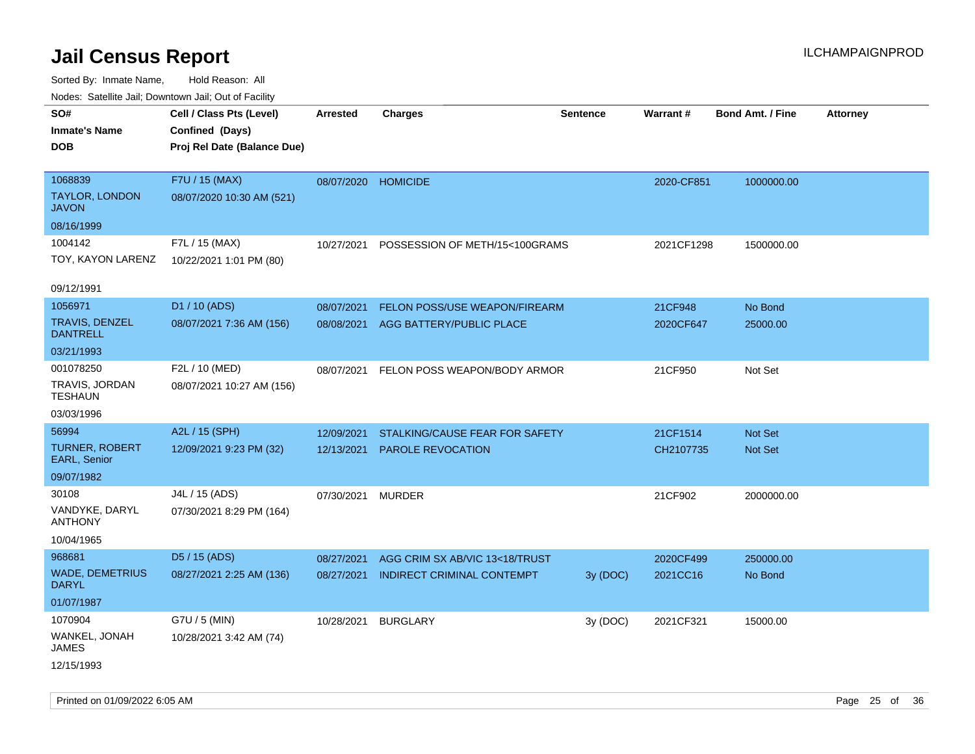| Noues. Salemie Jan, Downlown Jan, Out of Facility |                             |                     |                                         |                 |                 |                         |                 |
|---------------------------------------------------|-----------------------------|---------------------|-----------------------------------------|-----------------|-----------------|-------------------------|-----------------|
| SO#                                               | Cell / Class Pts (Level)    | Arrested            | <b>Charges</b>                          | <b>Sentence</b> | <b>Warrant#</b> | <b>Bond Amt. / Fine</b> | <b>Attorney</b> |
| <b>Inmate's Name</b>                              | Confined (Days)             |                     |                                         |                 |                 |                         |                 |
| <b>DOB</b>                                        | Proj Rel Date (Balance Due) |                     |                                         |                 |                 |                         |                 |
|                                                   |                             |                     |                                         |                 |                 |                         |                 |
| 1068839                                           | F7U / 15 (MAX)              | 08/07/2020 HOMICIDE |                                         |                 | 2020-CF851      | 1000000.00              |                 |
| <b>TAYLOR, LONDON</b><br><b>JAVON</b>             | 08/07/2020 10:30 AM (521)   |                     |                                         |                 |                 |                         |                 |
| 08/16/1999                                        |                             |                     |                                         |                 |                 |                         |                 |
| 1004142                                           | F7L / 15 (MAX)              | 10/27/2021          | POSSESSION OF METH/15<100GRAMS          |                 | 2021CF1298      | 1500000.00              |                 |
| TOY, KAYON LARENZ                                 | 10/22/2021 1:01 PM (80)     |                     |                                         |                 |                 |                         |                 |
|                                                   |                             |                     |                                         |                 |                 |                         |                 |
| 09/12/1991                                        |                             |                     |                                         |                 |                 |                         |                 |
| 1056971                                           | D1 / 10 (ADS)               | 08/07/2021          | <b>FELON POSS/USE WEAPON/FIREARM</b>    |                 | 21CF948         | No Bond                 |                 |
| <b>TRAVIS, DENZEL</b><br><b>DANTRELL</b>          | 08/07/2021 7:36 AM (156)    | 08/08/2021          | AGG BATTERY/PUBLIC PLACE                |                 | 2020CF647       | 25000.00                |                 |
| 03/21/1993                                        |                             |                     |                                         |                 |                 |                         |                 |
| 001078250                                         | F2L / 10 (MED)              |                     | 08/07/2021 FELON POSS WEAPON/BODY ARMOR |                 | 21CF950         | Not Set                 |                 |
| TRAVIS, JORDAN<br><b>TESHAUN</b>                  | 08/07/2021 10:27 AM (156)   |                     |                                         |                 |                 |                         |                 |
| 03/03/1996                                        |                             |                     |                                         |                 |                 |                         |                 |
| 56994                                             | A2L / 15 (SPH)              | 12/09/2021          | STALKING/CAUSE FEAR FOR SAFETY          |                 | 21CF1514        | Not Set                 |                 |
| <b>TURNER, ROBERT</b><br>EARL, Senior             | 12/09/2021 9:23 PM (32)     | 12/13/2021          | <b>PAROLE REVOCATION</b>                |                 | CH2107735       | Not Set                 |                 |
| 09/07/1982                                        |                             |                     |                                         |                 |                 |                         |                 |
| 30108                                             | J4L / 15 (ADS)              | 07/30/2021          | <b>MURDER</b>                           |                 | 21CF902         | 2000000.00              |                 |
| VANDYKE, DARYL<br><b>ANTHONY</b>                  | 07/30/2021 8:29 PM (164)    |                     |                                         |                 |                 |                         |                 |
| 10/04/1965                                        |                             |                     |                                         |                 |                 |                         |                 |
| 968681                                            | D5 / 15 (ADS)               | 08/27/2021          | AGG CRIM SX AB/VIC 13<18/TRUST          |                 | 2020CF499       | 250000.00               |                 |
| <b>WADE, DEMETRIUS</b>                            | 08/27/2021 2:25 AM (136)    | 08/27/2021          | <b>INDIRECT CRIMINAL CONTEMPT</b>       | 3y (DOC)        | 2021CC16        | No Bond                 |                 |
| <b>DARYL</b>                                      |                             |                     |                                         |                 |                 |                         |                 |
| 01/07/1987                                        |                             |                     |                                         |                 |                 |                         |                 |
| 1070904                                           | G7U / 5 (MIN)               | 10/28/2021          | <b>BURGLARY</b>                         | 3y(DOC)         | 2021CF321       | 15000.00                |                 |
| WANKEL, JONAH<br><b>JAMES</b>                     | 10/28/2021 3:42 AM (74)     |                     |                                         |                 |                 |                         |                 |
| 12/15/1993                                        |                             |                     |                                         |                 |                 |                         |                 |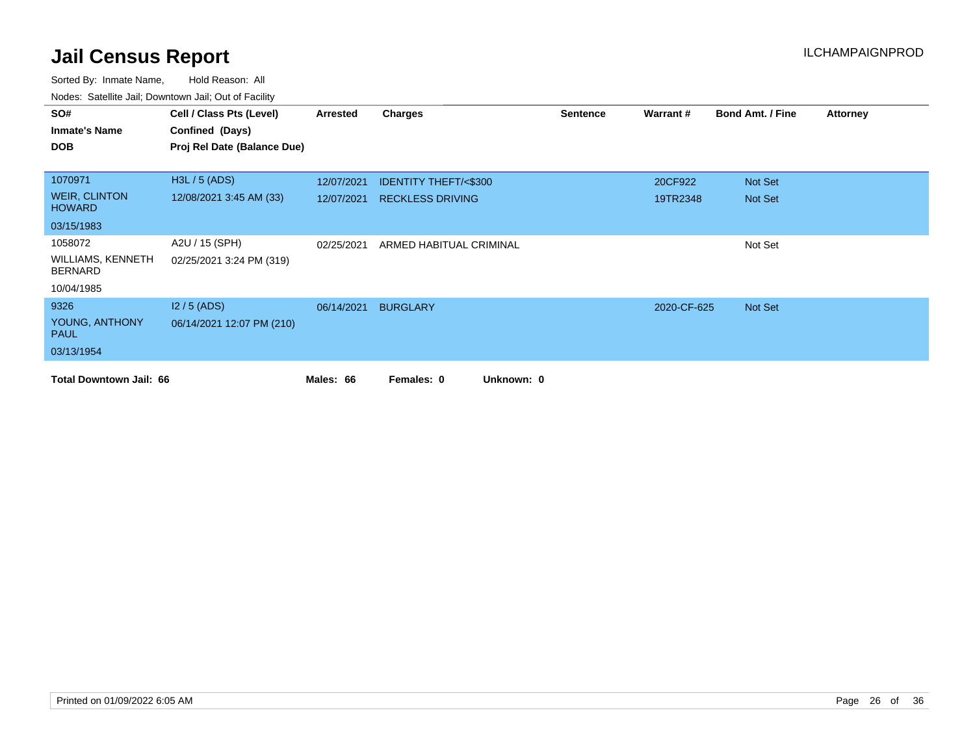| SO#                                        | Cell / Class Pts (Level)    | Arrested   | Charges                         | <b>Sentence</b> | Warrant#    | <b>Bond Amt. / Fine</b> | <b>Attorney</b> |
|--------------------------------------------|-----------------------------|------------|---------------------------------|-----------------|-------------|-------------------------|-----------------|
| <b>Inmate's Name</b>                       | Confined (Days)             |            |                                 |                 |             |                         |                 |
| <b>DOB</b>                                 | Proj Rel Date (Balance Due) |            |                                 |                 |             |                         |                 |
|                                            |                             |            |                                 |                 |             |                         |                 |
| 1070971                                    | H3L / 5 (ADS)               | 12/07/2021 | <b>IDENTITY THEFT/&lt;\$300</b> |                 | 20CF922     | Not Set                 |                 |
| <b>WEIR, CLINTON</b><br><b>HOWARD</b>      | 12/08/2021 3:45 AM (33)     | 12/07/2021 | <b>RECKLESS DRIVING</b>         |                 | 19TR2348    | Not Set                 |                 |
| 03/15/1983                                 |                             |            |                                 |                 |             |                         |                 |
| 1058072                                    | A2U / 15 (SPH)              | 02/25/2021 | ARMED HABITUAL CRIMINAL         |                 |             | Not Set                 |                 |
| <b>WILLIAMS, KENNETH</b><br><b>BERNARD</b> | 02/25/2021 3:24 PM (319)    |            |                                 |                 |             |                         |                 |
| 10/04/1985                                 |                             |            |                                 |                 |             |                         |                 |
| 9326                                       | $12/5$ (ADS)                | 06/14/2021 | <b>BURGLARY</b>                 |                 | 2020-CF-625 | Not Set                 |                 |
| YOUNG, ANTHONY<br><b>PAUL</b>              | 06/14/2021 12:07 PM (210)   |            |                                 |                 |             |                         |                 |
| 03/13/1954                                 |                             |            |                                 |                 |             |                         |                 |
| <b>Total Downtown Jail: 66</b>             |                             | Males: 66  | Unknown: 0<br>Females: 0        |                 |             |                         |                 |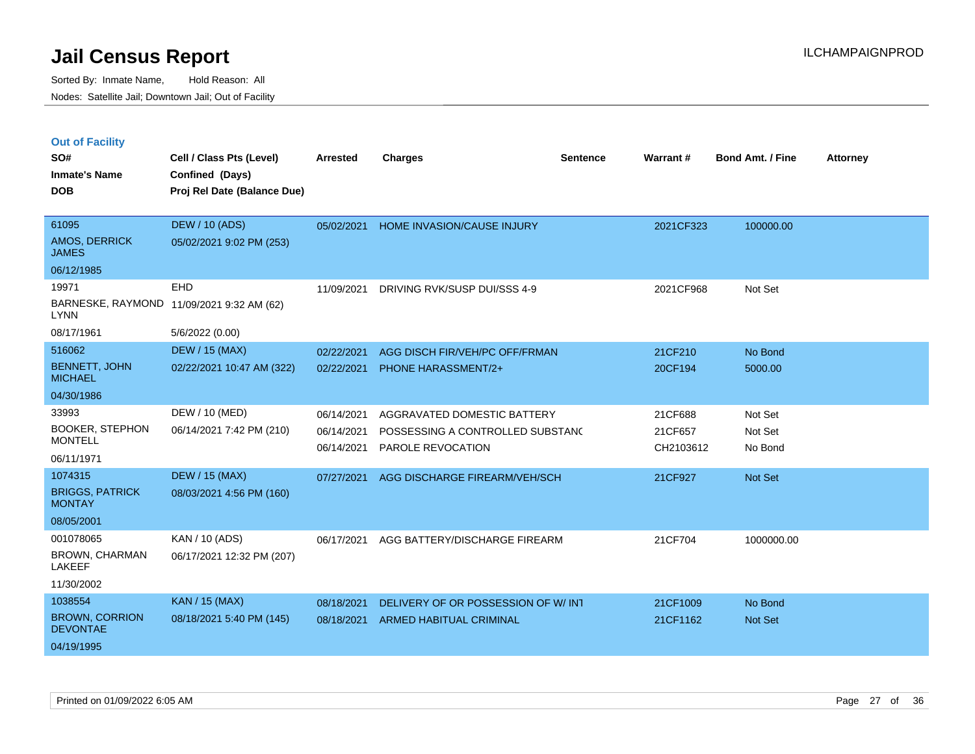|  | <b>Out of Facility</b> |  |
|--|------------------------|--|
|  |                        |  |

| SO#<br><b>Inmate's Name</b><br><b>DOB</b> | Cell / Class Pts (Level)<br>Confined (Days)<br>Proj Rel Date (Balance Due) | <b>Arrested</b> | <b>Charges</b>                     | <b>Sentence</b> | Warrant#  | Bond Amt. / Fine | <b>Attorney</b> |
|-------------------------------------------|----------------------------------------------------------------------------|-----------------|------------------------------------|-----------------|-----------|------------------|-----------------|
|                                           |                                                                            |                 |                                    |                 |           |                  |                 |
| 61095                                     | <b>DEW / 10 (ADS)</b>                                                      | 05/02/2021      | HOME INVASION/CAUSE INJURY         |                 | 2021CF323 | 100000.00        |                 |
| AMOS, DERRICK<br><b>JAMES</b>             | 05/02/2021 9:02 PM (253)                                                   |                 |                                    |                 |           |                  |                 |
| 06/12/1985                                |                                                                            |                 |                                    |                 |           |                  |                 |
| 19971                                     | <b>EHD</b>                                                                 | 11/09/2021      | DRIVING RVK/SUSP DUI/SSS 4-9       |                 | 2021CF968 | Not Set          |                 |
| <b>LYNN</b>                               | BARNESKE, RAYMOND 11/09/2021 9:32 AM (62)                                  |                 |                                    |                 |           |                  |                 |
| 08/17/1961                                | 5/6/2022 (0.00)                                                            |                 |                                    |                 |           |                  |                 |
| 516062                                    | <b>DEW / 15 (MAX)</b>                                                      | 02/22/2021      | AGG DISCH FIR/VEH/PC OFF/FRMAN     |                 | 21CF210   | No Bond          |                 |
| <b>BENNETT, JOHN</b><br><b>MICHAEL</b>    | 02/22/2021 10:47 AM (322)                                                  | 02/22/2021      | <b>PHONE HARASSMENT/2+</b>         |                 | 20CF194   | 5000.00          |                 |
| 04/30/1986                                |                                                                            |                 |                                    |                 |           |                  |                 |
| 33993                                     | DEW / 10 (MED)                                                             | 06/14/2021      | AGGRAVATED DOMESTIC BATTERY        |                 | 21CF688   | Not Set          |                 |
| <b>BOOKER, STEPHON</b>                    | 06/14/2021 7:42 PM (210)                                                   | 06/14/2021      | POSSESSING A CONTROLLED SUBSTAND   |                 | 21CF657   | Not Set          |                 |
| <b>MONTELL</b>                            |                                                                            | 06/14/2021      | PAROLE REVOCATION                  |                 | CH2103612 | No Bond          |                 |
| 06/11/1971                                |                                                                            |                 |                                    |                 |           |                  |                 |
| 1074315                                   | <b>DEW / 15 (MAX)</b>                                                      | 07/27/2021      | AGG DISCHARGE FIREARM/VEH/SCH      |                 | 21CF927   | Not Set          |                 |
| <b>BRIGGS, PATRICK</b><br><b>MONTAY</b>   | 08/03/2021 4:56 PM (160)                                                   |                 |                                    |                 |           |                  |                 |
| 08/05/2001                                |                                                                            |                 |                                    |                 |           |                  |                 |
| 001078065                                 | KAN / 10 (ADS)                                                             | 06/17/2021      | AGG BATTERY/DISCHARGE FIREARM      |                 | 21CF704   | 1000000.00       |                 |
| BROWN, CHARMAN<br>LAKEEF                  | 06/17/2021 12:32 PM (207)                                                  |                 |                                    |                 |           |                  |                 |
| 11/30/2002                                |                                                                            |                 |                                    |                 |           |                  |                 |
| 1038554                                   | <b>KAN / 15 (MAX)</b>                                                      | 08/18/2021      | DELIVERY OF OR POSSESSION OF W/INT |                 | 21CF1009  | No Bond          |                 |
| <b>BROWN, CORRION</b><br><b>DEVONTAE</b>  | 08/18/2021 5:40 PM (145)                                                   | 08/18/2021      | ARMED HABITUAL CRIMINAL            |                 | 21CF1162  | <b>Not Set</b>   |                 |
| 04/19/1995                                |                                                                            |                 |                                    |                 |           |                  |                 |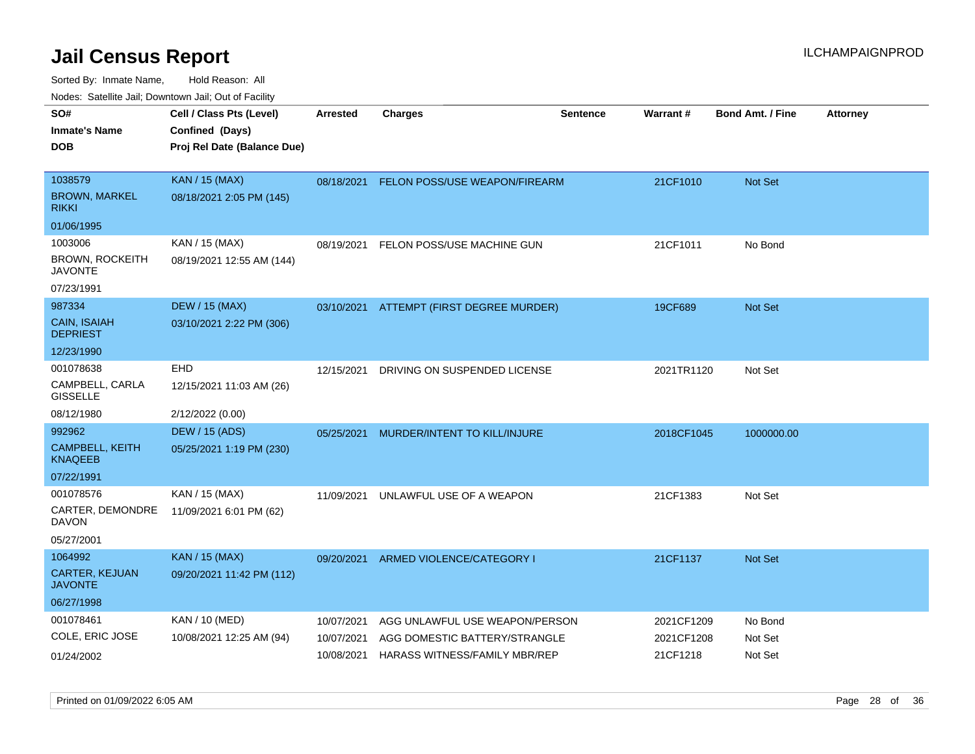| rouco. Calcillo Jali, Downtown Jali, Out of Facility |                 |                              |                                                                                                                     |                                                                                                                                                                                          |                         |                          |
|------------------------------------------------------|-----------------|------------------------------|---------------------------------------------------------------------------------------------------------------------|------------------------------------------------------------------------------------------------------------------------------------------------------------------------------------------|-------------------------|--------------------------|
| Cell / Class Pts (Level)                             | <b>Arrested</b> | <b>Charges</b>               | <b>Sentence</b>                                                                                                     |                                                                                                                                                                                          | <b>Bond Amt. / Fine</b> | <b>Attorney</b>          |
| Confined (Days)                                      |                 |                              |                                                                                                                     |                                                                                                                                                                                          |                         |                          |
| Proj Rel Date (Balance Due)                          |                 |                              |                                                                                                                     |                                                                                                                                                                                          |                         |                          |
|                                                      |                 |                              |                                                                                                                     |                                                                                                                                                                                          |                         |                          |
| <b>KAN / 15 (MAX)</b>                                |                 |                              |                                                                                                                     | 21CF1010                                                                                                                                                                                 | <b>Not Set</b>          |                          |
| 08/18/2021 2:05 PM (145)                             |                 |                              |                                                                                                                     |                                                                                                                                                                                          |                         |                          |
|                                                      |                 |                              |                                                                                                                     |                                                                                                                                                                                          |                         |                          |
| KAN / 15 (MAX)                                       | 08/19/2021      |                              |                                                                                                                     | 21CF1011                                                                                                                                                                                 | No Bond                 |                          |
| 08/19/2021 12:55 AM (144)                            |                 |                              |                                                                                                                     |                                                                                                                                                                                          |                         |                          |
|                                                      |                 |                              |                                                                                                                     |                                                                                                                                                                                          |                         |                          |
| <b>DEW / 15 (MAX)</b>                                |                 |                              |                                                                                                                     | 19CF689                                                                                                                                                                                  | <b>Not Set</b>          |                          |
| 03/10/2021 2:22 PM (306)                             |                 |                              |                                                                                                                     |                                                                                                                                                                                          |                         |                          |
|                                                      |                 |                              |                                                                                                                     |                                                                                                                                                                                          |                         |                          |
| EHD                                                  | 12/15/2021      | DRIVING ON SUSPENDED LICENSE |                                                                                                                     | 2021TR1120                                                                                                                                                                               | Not Set                 |                          |
| 12/15/2021 11:03 AM (26)                             |                 |                              |                                                                                                                     |                                                                                                                                                                                          |                         |                          |
| 2/12/2022 (0.00)                                     |                 |                              |                                                                                                                     |                                                                                                                                                                                          |                         |                          |
| <b>DEW / 15 (ADS)</b>                                | 05/25/2021      |                              |                                                                                                                     |                                                                                                                                                                                          | 1000000.00              |                          |
| 05/25/2021 1:19 PM (230)                             |                 |                              |                                                                                                                     |                                                                                                                                                                                          |                         |                          |
|                                                      |                 |                              |                                                                                                                     |                                                                                                                                                                                          |                         |                          |
| KAN / 15 (MAX)                                       | 11/09/2021      |                              |                                                                                                                     | 21CF1383                                                                                                                                                                                 | Not Set                 |                          |
| 11/09/2021 6:01 PM (62)                              |                 |                              |                                                                                                                     |                                                                                                                                                                                          |                         |                          |
|                                                      |                 |                              |                                                                                                                     |                                                                                                                                                                                          |                         |                          |
| <b>KAN / 15 (MAX)</b>                                | 09/20/2021      |                              |                                                                                                                     | 21CF1137                                                                                                                                                                                 | <b>Not Set</b>          |                          |
| 09/20/2021 11:42 PM (112)                            |                 |                              |                                                                                                                     |                                                                                                                                                                                          |                         |                          |
|                                                      |                 |                              |                                                                                                                     |                                                                                                                                                                                          |                         |                          |
| KAN / 10 (MED)                                       | 10/07/2021      |                              |                                                                                                                     | 2021CF1209                                                                                                                                                                               | No Bond                 |                          |
| 10/08/2021 12:25 AM (94)                             | 10/07/2021      |                              |                                                                                                                     |                                                                                                                                                                                          | Not Set                 |                          |
|                                                      | 10/08/2021      |                              |                                                                                                                     | 21CF1218                                                                                                                                                                                 | Not Set                 |                          |
|                                                      |                 |                              | FELON POSS/USE MACHINE GUN<br>MURDER/INTENT TO KILL/INJURE<br>UNLAWFUL USE OF A WEAPON<br>ARMED VIOLENCE/CATEGORY I | 08/18/2021 FELON POSS/USE WEAPON/FIREARM<br>03/10/2021 ATTEMPT (FIRST DEGREE MURDER)<br>AGG UNLAWFUL USE WEAPON/PERSON<br>AGG DOMESTIC BATTERY/STRANGLE<br>HARASS WITNESS/FAMILY MBR/REP | Warrant#                | 2018CF1045<br>2021CF1208 |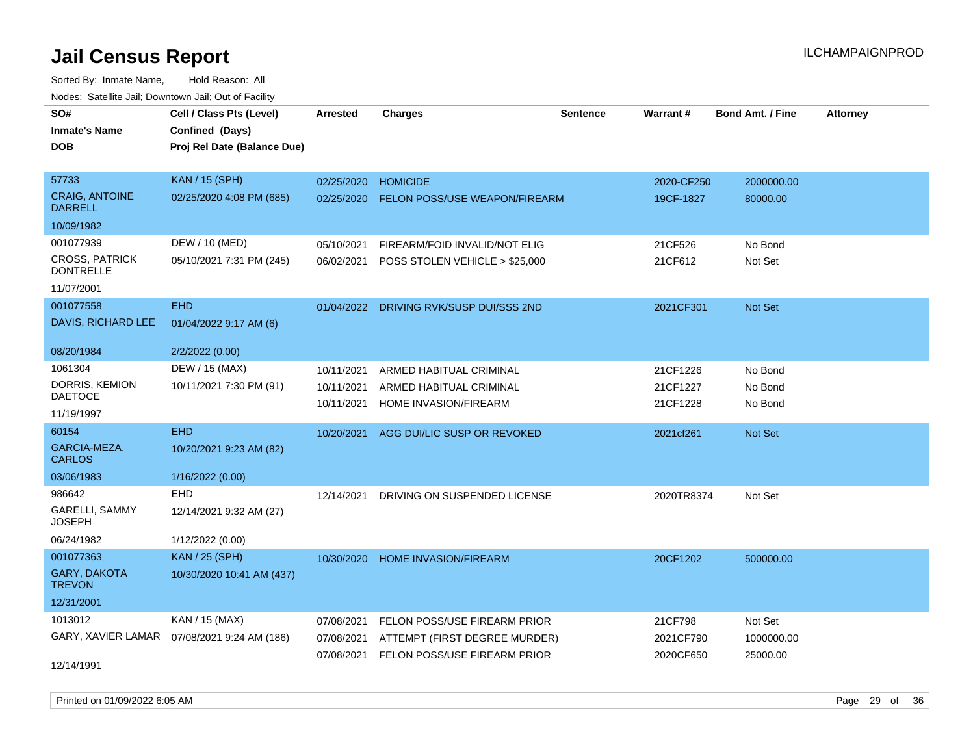| rouce. Calcinic Jan, Downtown Jan, Out or Facility |                                              |                 |                                         |                 |            |                         |                 |
|----------------------------------------------------|----------------------------------------------|-----------------|-----------------------------------------|-----------------|------------|-------------------------|-----------------|
| SO#                                                | Cell / Class Pts (Level)                     | <b>Arrested</b> | <b>Charges</b>                          | <b>Sentence</b> | Warrant#   | <b>Bond Amt. / Fine</b> | <b>Attorney</b> |
| <b>Inmate's Name</b>                               | Confined (Days)                              |                 |                                         |                 |            |                         |                 |
| <b>DOB</b>                                         | Proj Rel Date (Balance Due)                  |                 |                                         |                 |            |                         |                 |
|                                                    |                                              |                 |                                         |                 |            |                         |                 |
| 57733                                              | <b>KAN / 15 (SPH)</b>                        | 02/25/2020      | <b>HOMICIDE</b>                         |                 | 2020-CF250 | 2000000.00              |                 |
| <b>CRAIG, ANTOINE</b><br><b>DARRELL</b>            | 02/25/2020 4:08 PM (685)                     | 02/25/2020      | <b>FELON POSS/USE WEAPON/FIREARM</b>    |                 | 19CF-1827  | 80000.00                |                 |
| 10/09/1982                                         |                                              |                 |                                         |                 |            |                         |                 |
| 001077939                                          | DEW / 10 (MED)                               | 05/10/2021      | FIREARM/FOID INVALID/NOT ELIG           |                 | 21CF526    | No Bond                 |                 |
| <b>CROSS, PATRICK</b><br><b>DONTRELLE</b>          | 05/10/2021 7:31 PM (245)                     | 06/02/2021      | POSS STOLEN VEHICLE > \$25,000          |                 | 21CF612    | Not Set                 |                 |
| 11/07/2001                                         |                                              |                 |                                         |                 |            |                         |                 |
| 001077558                                          | <b>EHD</b>                                   |                 | 01/04/2022 DRIVING RVK/SUSP DUI/SSS 2ND |                 | 2021CF301  | Not Set                 |                 |
| DAVIS, RICHARD LEE                                 | 01/04/2022 9:17 AM (6)                       |                 |                                         |                 |            |                         |                 |
| 08/20/1984                                         | 2/2/2022 (0.00)                              |                 |                                         |                 |            |                         |                 |
| 1061304                                            | DEW / 15 (MAX)                               | 10/11/2021      | ARMED HABITUAL CRIMINAL                 |                 | 21CF1226   | No Bond                 |                 |
| DORRIS, KEMION                                     | 10/11/2021 7:30 PM (91)                      | 10/11/2021      | ARMED HABITUAL CRIMINAL                 |                 | 21CF1227   | No Bond                 |                 |
| <b>DAETOCE</b>                                     |                                              | 10/11/2021      | HOME INVASION/FIREARM                   |                 | 21CF1228   | No Bond                 |                 |
| 11/19/1997                                         |                                              |                 |                                         |                 |            |                         |                 |
| 60154                                              | <b>EHD</b>                                   |                 | 10/20/2021 AGG DUI/LIC SUSP OR REVOKED  |                 | 2021cf261  | Not Set                 |                 |
| GARCIA-MEZA,<br><b>CARLOS</b>                      | 10/20/2021 9:23 AM (82)                      |                 |                                         |                 |            |                         |                 |
| 03/06/1983                                         | 1/16/2022 (0.00)                             |                 |                                         |                 |            |                         |                 |
| 986642                                             | EHD                                          | 12/14/2021      | DRIVING ON SUSPENDED LICENSE            |                 | 2020TR8374 | Not Set                 |                 |
| GARELLI, SAMMY<br><b>JOSEPH</b>                    | 12/14/2021 9:32 AM (27)                      |                 |                                         |                 |            |                         |                 |
| 06/24/1982                                         | 1/12/2022 (0.00)                             |                 |                                         |                 |            |                         |                 |
| 001077363                                          | <b>KAN / 25 (SPH)</b>                        | 10/30/2020      | <b>HOME INVASION/FIREARM</b>            |                 | 20CF1202   | 500000.00               |                 |
| <b>GARY, DAKOTA</b><br><b>TREVON</b>               | 10/30/2020 10:41 AM (437)                    |                 |                                         |                 |            |                         |                 |
| 12/31/2001                                         |                                              |                 |                                         |                 |            |                         |                 |
| 1013012                                            | KAN / 15 (MAX)                               | 07/08/2021      | FELON POSS/USE FIREARM PRIOR            |                 | 21CF798    | Not Set                 |                 |
|                                                    | GARY, XAVIER LAMAR  07/08/2021 9:24 AM (186) | 07/08/2021      | ATTEMPT (FIRST DEGREE MURDER)           |                 | 2021CF790  | 1000000.00              |                 |
|                                                    |                                              | 07/08/2021      | FELON POSS/USE FIREARM PRIOR            |                 | 2020CF650  | 25000.00                |                 |
| 12/14/1991                                         |                                              |                 |                                         |                 |            |                         |                 |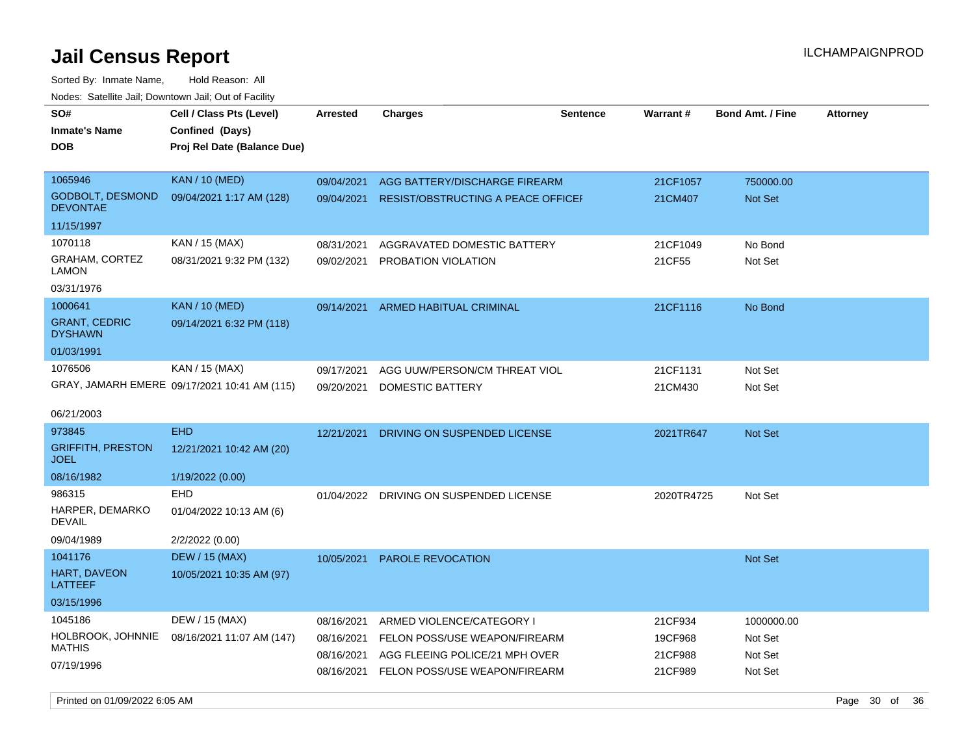Sorted By: Inmate Name, Hold Reason: All Nodes: Satellite Jail; Downtown Jail; Out of Facility

| roaco. Oatomto dan, Downtown dan, Oat or Fability |                                                                            |            |                                    |                 |                 |                         |                 |
|---------------------------------------------------|----------------------------------------------------------------------------|------------|------------------------------------|-----------------|-----------------|-------------------------|-----------------|
| SO#<br><b>Inmate's Name</b><br><b>DOB</b>         | Cell / Class Pts (Level)<br>Confined (Days)<br>Proj Rel Date (Balance Due) | Arrested   | <b>Charges</b>                     | <b>Sentence</b> | <b>Warrant#</b> | <b>Bond Amt. / Fine</b> | <b>Attorney</b> |
| 1065946                                           | <b>KAN / 10 (MED)</b>                                                      | 09/04/2021 | AGG BATTERY/DISCHARGE FIREARM      |                 | 21CF1057        | 750000.00               |                 |
| <b>GODBOLT, DESMOND</b><br><b>DEVONTAE</b>        | 09/04/2021 1:17 AM (128)                                                   | 09/04/2021 | RESIST/OBSTRUCTING A PEACE OFFICEF |                 | 21CM407         | <b>Not Set</b>          |                 |
| 11/15/1997                                        |                                                                            |            |                                    |                 |                 |                         |                 |
| 1070118                                           | KAN / 15 (MAX)                                                             | 08/31/2021 | AGGRAVATED DOMESTIC BATTERY        |                 | 21CF1049        | No Bond                 |                 |
| GRAHAM, CORTEZ<br>LAMON                           | 08/31/2021 9:32 PM (132)                                                   | 09/02/2021 | PROBATION VIOLATION                |                 | 21CF55          | Not Set                 |                 |
| 03/31/1976                                        |                                                                            |            |                                    |                 |                 |                         |                 |
| 1000641                                           | <b>KAN / 10 (MED)</b>                                                      | 09/14/2021 | <b>ARMED HABITUAL CRIMINAL</b>     |                 | 21CF1116        | No Bond                 |                 |
| <b>GRANT, CEDRIC</b><br><b>DYSHAWN</b>            | 09/14/2021 6:32 PM (118)                                                   |            |                                    |                 |                 |                         |                 |
| 01/03/1991                                        |                                                                            |            |                                    |                 |                 |                         |                 |
| 1076506                                           | KAN / 15 (MAX)                                                             | 09/17/2021 | AGG UUW/PERSON/CM THREAT VIOL      |                 | 21CF1131        | Not Set                 |                 |
|                                                   | GRAY, JAMARH EMERE 09/17/2021 10:41 AM (115)                               | 09/20/2021 | DOMESTIC BATTERY                   |                 | 21CM430         | Not Set                 |                 |
| 06/21/2003                                        |                                                                            |            |                                    |                 |                 |                         |                 |
| 973845                                            | <b>EHD</b>                                                                 | 12/21/2021 | DRIVING ON SUSPENDED LICENSE       |                 | 2021TR647       | <b>Not Set</b>          |                 |
| <b>GRIFFITH, PRESTON</b><br><b>JOEL</b>           | 12/21/2021 10:42 AM (20)                                                   |            |                                    |                 |                 |                         |                 |
| 08/16/1982                                        | 1/19/2022 (0.00)                                                           |            |                                    |                 |                 |                         |                 |
| 986315                                            | <b>EHD</b>                                                                 | 01/04/2022 | DRIVING ON SUSPENDED LICENSE       |                 | 2020TR4725      | Not Set                 |                 |
| HARPER, DEMARKO<br><b>DEVAIL</b>                  | 01/04/2022 10:13 AM (6)                                                    |            |                                    |                 |                 |                         |                 |
| 09/04/1989                                        | 2/2/2022 (0.00)                                                            |            |                                    |                 |                 |                         |                 |
| 1041176                                           | <b>DEW / 15 (MAX)</b>                                                      | 10/05/2021 | <b>PAROLE REVOCATION</b>           |                 |                 | <b>Not Set</b>          |                 |
| HART, DAVEON<br><b>LATTEEF</b>                    | 10/05/2021 10:35 AM (97)                                                   |            |                                    |                 |                 |                         |                 |
| 03/15/1996                                        |                                                                            |            |                                    |                 |                 |                         |                 |
| 1045186                                           | DEW / 15 (MAX)                                                             | 08/16/2021 | ARMED VIOLENCE/CATEGORY I          |                 | 21CF934         | 1000000.00              |                 |
| HOLBROOK, JOHNNIE                                 | 08/16/2021 11:07 AM (147)                                                  | 08/16/2021 | FELON POSS/USE WEAPON/FIREARM      |                 | 19CF968         | Not Set                 |                 |
| <b>MATHIS</b>                                     |                                                                            | 08/16/2021 | AGG FLEEING POLICE/21 MPH OVER     |                 | 21CF988         | Not Set                 |                 |
| 07/19/1996                                        |                                                                            | 08/16/2021 | FELON POSS/USE WEAPON/FIREARM      |                 | 21CF989         | Not Set                 |                 |

Printed on 01/09/2022 6:05 AM **Page 30** of 36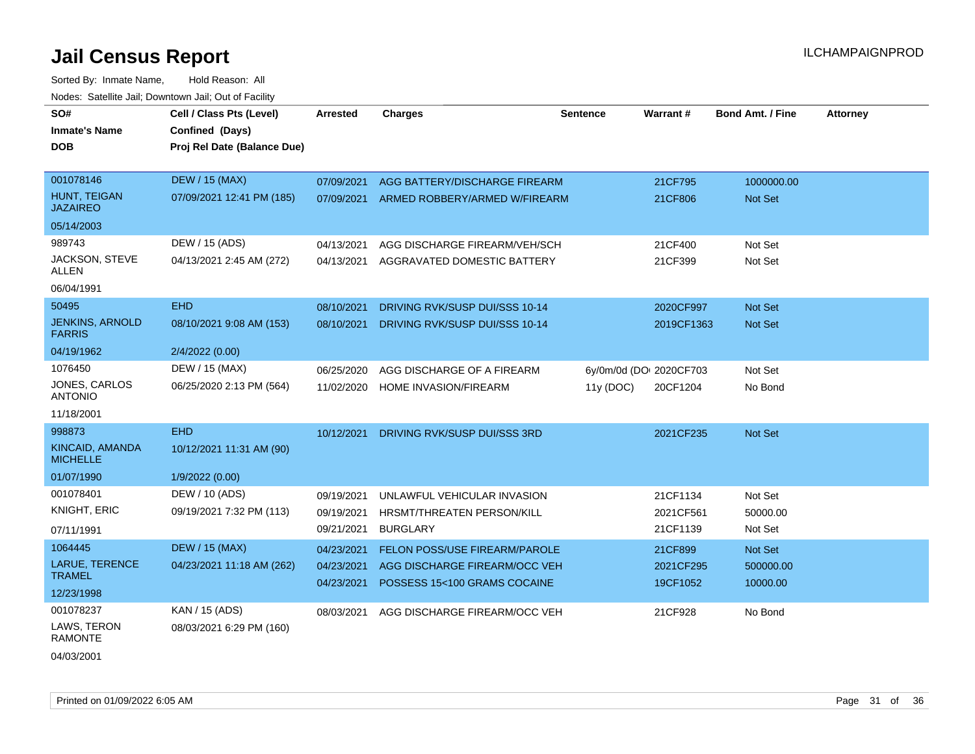Sorted By: Inmate Name, Hold Reason: All Nodes: Satellite Jail; Downtown Jail; Out of Facility

| SO#                                     | Cell / Class Pts (Level)    | <b>Arrested</b> | <b>Charges</b>                 | <b>Sentence</b> | <b>Warrant#</b>         | <b>Bond Amt. / Fine</b> | <b>Attorney</b> |
|-----------------------------------------|-----------------------------|-----------------|--------------------------------|-----------------|-------------------------|-------------------------|-----------------|
| <b>Inmate's Name</b>                    | Confined (Days)             |                 |                                |                 |                         |                         |                 |
| <b>DOB</b>                              | Proj Rel Date (Balance Due) |                 |                                |                 |                         |                         |                 |
|                                         |                             |                 |                                |                 |                         |                         |                 |
| 001078146                               | <b>DEW / 15 (MAX)</b>       | 07/09/2021      | AGG BATTERY/DISCHARGE FIREARM  |                 | 21CF795                 | 1000000.00              |                 |
| HUNT, TEIGAN<br><b>JAZAIREO</b>         | 07/09/2021 12:41 PM (185)   | 07/09/2021      | ARMED ROBBERY/ARMED W/FIREARM  |                 | 21CF806                 | Not Set                 |                 |
| 05/14/2003                              |                             |                 |                                |                 |                         |                         |                 |
| 989743                                  | DEW / 15 (ADS)              | 04/13/2021      | AGG DISCHARGE FIREARM/VEH/SCH  |                 | 21CF400                 | Not Set                 |                 |
| JACKSON, STEVE<br>ALLEN                 | 04/13/2021 2:45 AM (272)    | 04/13/2021      | AGGRAVATED DOMESTIC BATTERY    |                 | 21CF399                 | Not Set                 |                 |
| 06/04/1991                              |                             |                 |                                |                 |                         |                         |                 |
| 50495                                   | <b>EHD</b>                  | 08/10/2021      | DRIVING RVK/SUSP DUI/SSS 10-14 |                 | 2020CF997               | <b>Not Set</b>          |                 |
| <b>JENKINS, ARNOLD</b><br><b>FARRIS</b> | 08/10/2021 9:08 AM (153)    | 08/10/2021      | DRIVING RVK/SUSP DUI/SSS 10-14 |                 | 2019CF1363              | <b>Not Set</b>          |                 |
| 04/19/1962                              | 2/4/2022 (0.00)             |                 |                                |                 |                         |                         |                 |
| 1076450                                 | DEW / 15 (MAX)              | 06/25/2020      | AGG DISCHARGE OF A FIREARM     |                 | 6y/0m/0d (DOI 2020CF703 | Not Set                 |                 |
| JONES, CARLOS<br><b>ANTONIO</b>         | 06/25/2020 2:13 PM (564)    | 11/02/2020      | HOME INVASION/FIREARM          | 11y (DOC)       | 20CF1204                | No Bond                 |                 |
| 11/18/2001                              |                             |                 |                                |                 |                         |                         |                 |
| 998873                                  | <b>EHD</b>                  | 10/12/2021      | DRIVING RVK/SUSP DUI/SSS 3RD   |                 | 2021CF235               | <b>Not Set</b>          |                 |
| KINCAID, AMANDA<br><b>MICHELLE</b>      | 10/12/2021 11:31 AM (90)    |                 |                                |                 |                         |                         |                 |
| 01/07/1990                              | 1/9/2022 (0.00)             |                 |                                |                 |                         |                         |                 |
| 001078401                               | DEW / 10 (ADS)              | 09/19/2021      | UNLAWFUL VEHICULAR INVASION    |                 | 21CF1134                | Not Set                 |                 |
| <b>KNIGHT, ERIC</b>                     | 09/19/2021 7:32 PM (113)    | 09/19/2021      | HRSMT/THREATEN PERSON/KILL     |                 | 2021CF561               | 50000.00                |                 |
| 07/11/1991                              |                             | 09/21/2021      | <b>BURGLARY</b>                |                 | 21CF1139                | Not Set                 |                 |
| 1064445                                 | <b>DEW / 15 (MAX)</b>       | 04/23/2021      | FELON POSS/USE FIREARM/PAROLE  |                 | 21CF899                 | Not Set                 |                 |
| <b>LARUE, TERENCE</b>                   | 04/23/2021 11:18 AM (262)   | 04/23/2021      | AGG DISCHARGE FIREARM/OCC VEH  |                 | 2021CF295               | 500000.00               |                 |
| <b>TRAMEL</b>                           |                             | 04/23/2021      | POSSESS 15<100 GRAMS COCAINE   |                 | 19CF1052                | 10000.00                |                 |
| 12/23/1998                              |                             |                 |                                |                 |                         |                         |                 |
| 001078237                               | KAN / 15 (ADS)              | 08/03/2021      | AGG DISCHARGE FIREARM/OCC VEH  |                 | 21CF928                 | No Bond                 |                 |
| LAWS, TERON<br><b>RAMONTE</b>           | 08/03/2021 6:29 PM (160)    |                 |                                |                 |                         |                         |                 |
|                                         |                             |                 |                                |                 |                         |                         |                 |

04/03/2001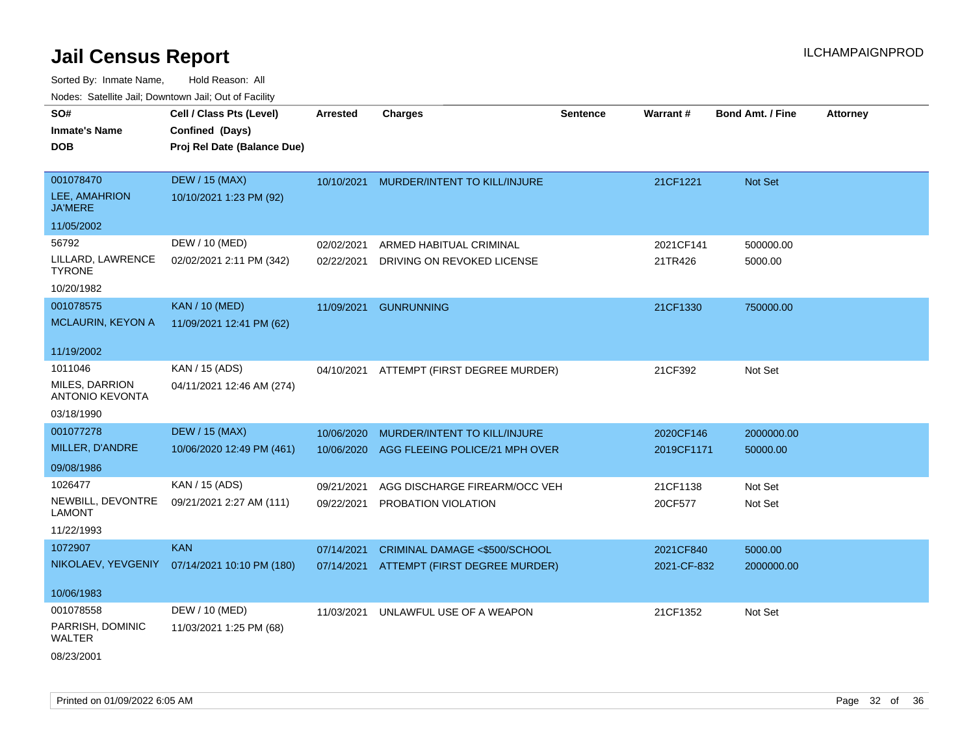| SO#                                      | Cell / Class Pts (Level)                     | <b>Arrested</b> | <b>Charges</b>                 | <b>Sentence</b> | Warrant#    | <b>Bond Amt. / Fine</b> | <b>Attorney</b> |
|------------------------------------------|----------------------------------------------|-----------------|--------------------------------|-----------------|-------------|-------------------------|-----------------|
| <b>Inmate's Name</b>                     | Confined (Days)                              |                 |                                |                 |             |                         |                 |
| <b>DOB</b>                               | Proj Rel Date (Balance Due)                  |                 |                                |                 |             |                         |                 |
|                                          |                                              |                 |                                |                 |             |                         |                 |
| 001078470                                | <b>DEW / 15 (MAX)</b>                        | 10/10/2021      | MURDER/INTENT TO KILL/INJURE   |                 | 21CF1221    | Not Set                 |                 |
| LEE, AMAHRION<br><b>JA'MERE</b>          | 10/10/2021 1:23 PM (92)                      |                 |                                |                 |             |                         |                 |
| 11/05/2002                               |                                              |                 |                                |                 |             |                         |                 |
| 56792                                    | DEW / 10 (MED)                               | 02/02/2021      | ARMED HABITUAL CRIMINAL        |                 | 2021CF141   | 500000.00               |                 |
| LILLARD, LAWRENCE<br><b>TYRONE</b>       | 02/02/2021 2:11 PM (342)                     | 02/22/2021      | DRIVING ON REVOKED LICENSE     |                 | 21TR426     | 5000.00                 |                 |
| 10/20/1982                               |                                              |                 |                                |                 |             |                         |                 |
| 001078575                                | <b>KAN / 10 (MED)</b>                        | 11/09/2021      | <b>GUNRUNNING</b>              |                 | 21CF1330    | 750000.00               |                 |
| <b>MCLAURIN, KEYON A</b>                 | 11/09/2021 12:41 PM (62)                     |                 |                                |                 |             |                         |                 |
|                                          |                                              |                 |                                |                 |             |                         |                 |
| 11/19/2002                               |                                              |                 |                                |                 |             |                         |                 |
| 1011046                                  | KAN / 15 (ADS)                               | 04/10/2021      | ATTEMPT (FIRST DEGREE MURDER)  |                 | 21CF392     | Not Set                 |                 |
| MILES, DARRION<br><b>ANTONIO KEVONTA</b> | 04/11/2021 12:46 AM (274)                    |                 |                                |                 |             |                         |                 |
| 03/18/1990                               |                                              |                 |                                |                 |             |                         |                 |
| 001077278                                | <b>DEW / 15 (MAX)</b>                        | 10/06/2020      | MURDER/INTENT TO KILL/INJURE   |                 | 2020CF146   | 2000000.00              |                 |
| MILLER, D'ANDRE                          | 10/06/2020 12:49 PM (461)                    | 10/06/2020      | AGG FLEEING POLICE/21 MPH OVER |                 | 2019CF1171  | 50000.00                |                 |
| 09/08/1986                               |                                              |                 |                                |                 |             |                         |                 |
| 1026477                                  | KAN / 15 (ADS)                               | 09/21/2021      | AGG DISCHARGE FIREARM/OCC VEH  |                 | 21CF1138    | Not Set                 |                 |
| NEWBILL, DEVONTRE                        | 09/21/2021 2:27 AM (111)                     | 09/22/2021      | PROBATION VIOLATION            |                 | 20CF577     | Not Set                 |                 |
| <b>LAMONT</b>                            |                                              |                 |                                |                 |             |                         |                 |
| 11/22/1993                               |                                              |                 |                                |                 |             |                         |                 |
| 1072907                                  | <b>KAN</b>                                   | 07/14/2021      | CRIMINAL DAMAGE <\$500/SCHOOL  |                 | 2021CF840   | 5000.00                 |                 |
|                                          | NIKOLAEV, YEVGENIY 07/14/2021 10:10 PM (180) | 07/14/2021      | ATTEMPT (FIRST DEGREE MURDER)  |                 | 2021-CF-832 | 2000000.00              |                 |
|                                          |                                              |                 |                                |                 |             |                         |                 |
| 10/06/1983                               |                                              |                 |                                |                 |             |                         |                 |
| 001078558                                | DEW / 10 (MED)                               | 11/03/2021      | UNLAWFUL USE OF A WEAPON       |                 | 21CF1352    | Not Set                 |                 |
| PARRISH, DOMINIC<br>WALTER               | 11/03/2021 1:25 PM (68)                      |                 |                                |                 |             |                         |                 |
| 08/23/2001                               |                                              |                 |                                |                 |             |                         |                 |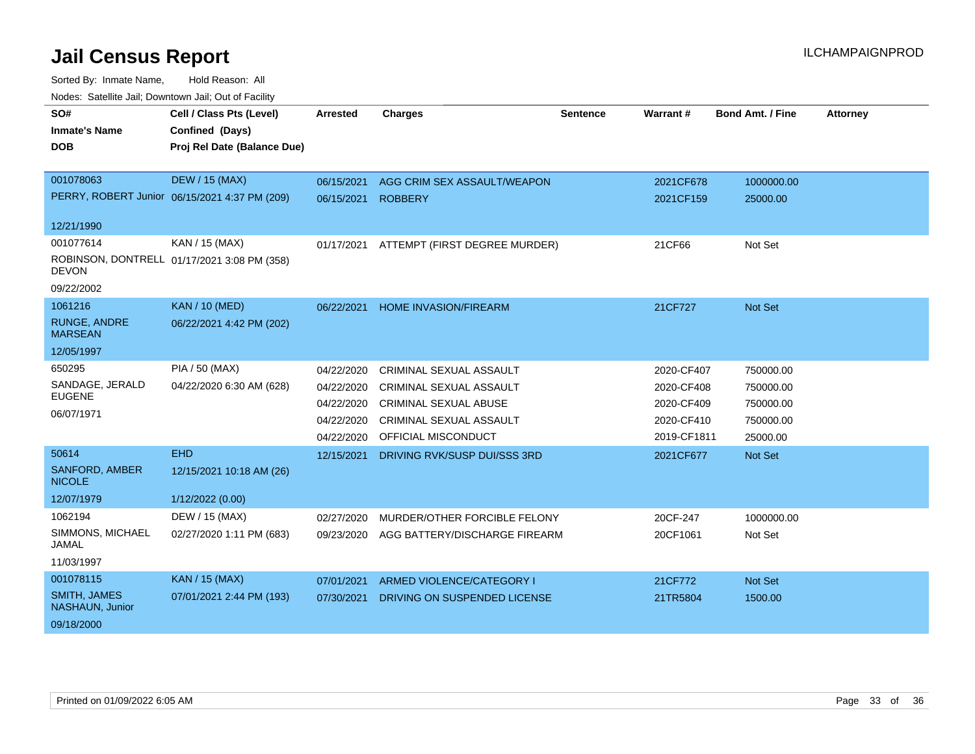| SO#                                    | Cell / Class Pts (Level)                      | <b>Arrested</b> | <b>Charges</b>                 | <b>Sentence</b> | Warrant#    | <b>Bond Amt. / Fine</b> | <b>Attorney</b> |
|----------------------------------------|-----------------------------------------------|-----------------|--------------------------------|-----------------|-------------|-------------------------|-----------------|
| <b>Inmate's Name</b>                   | Confined (Days)                               |                 |                                |                 |             |                         |                 |
| <b>DOB</b>                             | Proj Rel Date (Balance Due)                   |                 |                                |                 |             |                         |                 |
|                                        |                                               |                 |                                |                 |             |                         |                 |
| 001078063                              | <b>DEW / 15 (MAX)</b>                         | 06/15/2021      | AGG CRIM SEX ASSAULT/WEAPON    |                 | 2021CF678   | 1000000.00              |                 |
|                                        | PERRY, ROBERT Junior 06/15/2021 4:37 PM (209) | 06/15/2021      | <b>ROBBERY</b>                 |                 | 2021CF159   | 25000.00                |                 |
| 12/21/1990                             |                                               |                 |                                |                 |             |                         |                 |
| 001077614                              | KAN / 15 (MAX)                                | 01/17/2021      | ATTEMPT (FIRST DEGREE MURDER)  |                 | 21CF66      | Not Set                 |                 |
| <b>DEVON</b>                           | ROBINSON, DONTRELL 01/17/2021 3:08 PM (358)   |                 |                                |                 |             |                         |                 |
| 09/22/2002                             |                                               |                 |                                |                 |             |                         |                 |
| 1061216                                | <b>KAN / 10 (MED)</b>                         | 06/22/2021      | <b>HOME INVASION/FIREARM</b>   |                 | 21CF727     | Not Set                 |                 |
| <b>RUNGE, ANDRE</b><br><b>MARSEAN</b>  | 06/22/2021 4:42 PM (202)                      |                 |                                |                 |             |                         |                 |
| 12/05/1997                             |                                               |                 |                                |                 |             |                         |                 |
| 650295                                 | PIA / 50 (MAX)                                | 04/22/2020      | <b>CRIMINAL SEXUAL ASSAULT</b> |                 | 2020-CF407  | 750000.00               |                 |
| SANDAGE, JERALD                        | 04/22/2020 6:30 AM (628)                      | 04/22/2020      | CRIMINAL SEXUAL ASSAULT        |                 | 2020-CF408  | 750000.00               |                 |
| <b>EUGENE</b>                          |                                               | 04/22/2020      | <b>CRIMINAL SEXUAL ABUSE</b>   |                 | 2020-CF409  | 750000.00               |                 |
| 06/07/1971                             |                                               | 04/22/2020      | CRIMINAL SEXUAL ASSAULT        |                 | 2020-CF410  | 750000.00               |                 |
|                                        |                                               | 04/22/2020      | <b>OFFICIAL MISCONDUCT</b>     |                 | 2019-CF1811 | 25000.00                |                 |
| 50614                                  | <b>EHD</b>                                    | 12/15/2021      | DRIVING RVK/SUSP DUI/SSS 3RD   |                 | 2021CF677   | Not Set                 |                 |
| <b>SANFORD, AMBER</b><br><b>NICOLE</b> | 12/15/2021 10:18 AM (26)                      |                 |                                |                 |             |                         |                 |
| 12/07/1979                             | 1/12/2022 (0.00)                              |                 |                                |                 |             |                         |                 |
| 1062194                                | DEW / 15 (MAX)                                | 02/27/2020      | MURDER/OTHER FORCIBLE FELONY   |                 | 20CF-247    | 1000000.00              |                 |
| SIMMONS, MICHAEL<br><b>JAMAL</b>       | 02/27/2020 1:11 PM (683)                      | 09/23/2020      | AGG BATTERY/DISCHARGE FIREARM  |                 | 20CF1061    | Not Set                 |                 |
| 11/03/1997                             |                                               |                 |                                |                 |             |                         |                 |
| 001078115                              | KAN / 15 (MAX)                                | 07/01/2021      | ARMED VIOLENCE/CATEGORY I      |                 | 21CF772     | Not Set                 |                 |
| <b>SMITH, JAMES</b><br>NASHAUN, Junior | 07/01/2021 2:44 PM (193)                      | 07/30/2021      | DRIVING ON SUSPENDED LICENSE   |                 | 21TR5804    | 1500.00                 |                 |
| 09/18/2000                             |                                               |                 |                                |                 |             |                         |                 |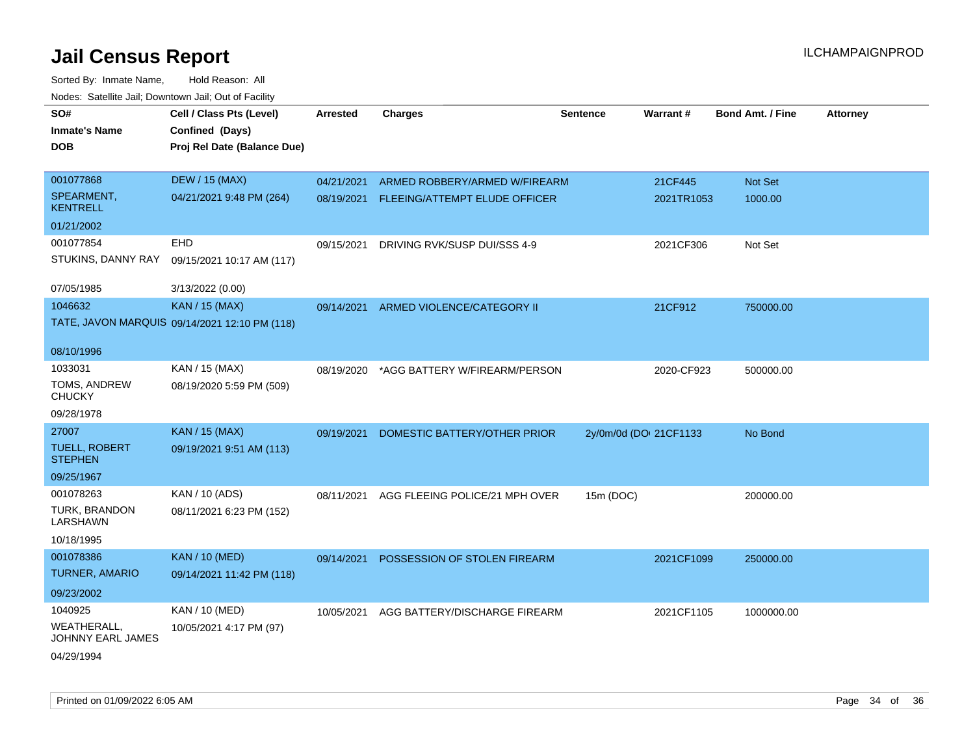| SO#                                    | Cell / Class Pts (Level)                      | Arrested   | <b>Charges</b>                 | Sentence               | Warrant#   | <b>Bond Amt. / Fine</b> | <b>Attorney</b> |
|----------------------------------------|-----------------------------------------------|------------|--------------------------------|------------------------|------------|-------------------------|-----------------|
| <b>Inmate's Name</b>                   | Confined (Days)                               |            |                                |                        |            |                         |                 |
| <b>DOB</b>                             | Proj Rel Date (Balance Due)                   |            |                                |                        |            |                         |                 |
|                                        |                                               |            |                                |                        |            |                         |                 |
| 001077868                              | <b>DEW / 15 (MAX)</b>                         | 04/21/2021 | ARMED ROBBERY/ARMED W/FIREARM  |                        | 21CF445    | Not Set                 |                 |
| SPEARMENT,<br><b>KENTRELL</b>          | 04/21/2021 9:48 PM (264)                      | 08/19/2021 | FLEEING/ATTEMPT ELUDE OFFICER  |                        | 2021TR1053 | 1000.00                 |                 |
| 01/21/2002                             |                                               |            |                                |                        |            |                         |                 |
| 001077854                              | <b>EHD</b>                                    | 09/15/2021 | DRIVING RVK/SUSP DUI/SSS 4-9   |                        | 2021CF306  | Not Set                 |                 |
| STUKINS, DANNY RAY                     | 09/15/2021 10:17 AM (117)                     |            |                                |                        |            |                         |                 |
| 07/05/1985                             | 3/13/2022 (0.00)                              |            |                                |                        |            |                         |                 |
| 1046632                                | <b>KAN / 15 (MAX)</b>                         | 09/14/2021 | ARMED VIOLENCE/CATEGORY II     |                        | 21CF912    | 750000.00               |                 |
|                                        | TATE, JAVON MARQUIS 09/14/2021 12:10 PM (118) |            |                                |                        |            |                         |                 |
| 08/10/1996                             |                                               |            |                                |                        |            |                         |                 |
| 1033031                                | KAN / 15 (MAX)                                | 08/19/2020 | *AGG BATTERY W/FIREARM/PERSON  |                        | 2020-CF923 | 500000.00               |                 |
| TOMS, ANDREW<br><b>CHUCKY</b>          | 08/19/2020 5:59 PM (509)                      |            |                                |                        |            |                         |                 |
| 09/28/1978                             |                                               |            |                                |                        |            |                         |                 |
| 27007                                  | <b>KAN / 15 (MAX)</b>                         | 09/19/2021 | DOMESTIC BATTERY/OTHER PRIOR   | 2y/0m/0d (DOI 21CF1133 |            | No Bond                 |                 |
| <b>TUELL, ROBERT</b><br><b>STEPHEN</b> | 09/19/2021 9:51 AM (113)                      |            |                                |                        |            |                         |                 |
| 09/25/1967                             |                                               |            |                                |                        |            |                         |                 |
| 001078263                              | KAN / 10 (ADS)                                | 08/11/2021 | AGG FLEEING POLICE/21 MPH OVER | 15m (DOC)              |            | 200000.00               |                 |
| TURK, BRANDON<br>LARSHAWN              | 08/11/2021 6:23 PM (152)                      |            |                                |                        |            |                         |                 |
| 10/18/1995                             |                                               |            |                                |                        |            |                         |                 |
| 001078386                              | <b>KAN / 10 (MED)</b>                         | 09/14/2021 | POSSESSION OF STOLEN FIREARM   |                        | 2021CF1099 | 250000.00               |                 |
| <b>TURNER, AMARIO</b>                  | 09/14/2021 11:42 PM (118)                     |            |                                |                        |            |                         |                 |
| 09/23/2002                             |                                               |            |                                |                        |            |                         |                 |
| 1040925                                | KAN / 10 (MED)                                | 10/05/2021 | AGG BATTERY/DISCHARGE FIREARM  |                        | 2021CF1105 | 1000000.00              |                 |
| WEATHERALL,<br>JOHNNY EARL JAMES       | 10/05/2021 4:17 PM (97)                       |            |                                |                        |            |                         |                 |
| 04/29/1994                             |                                               |            |                                |                        |            |                         |                 |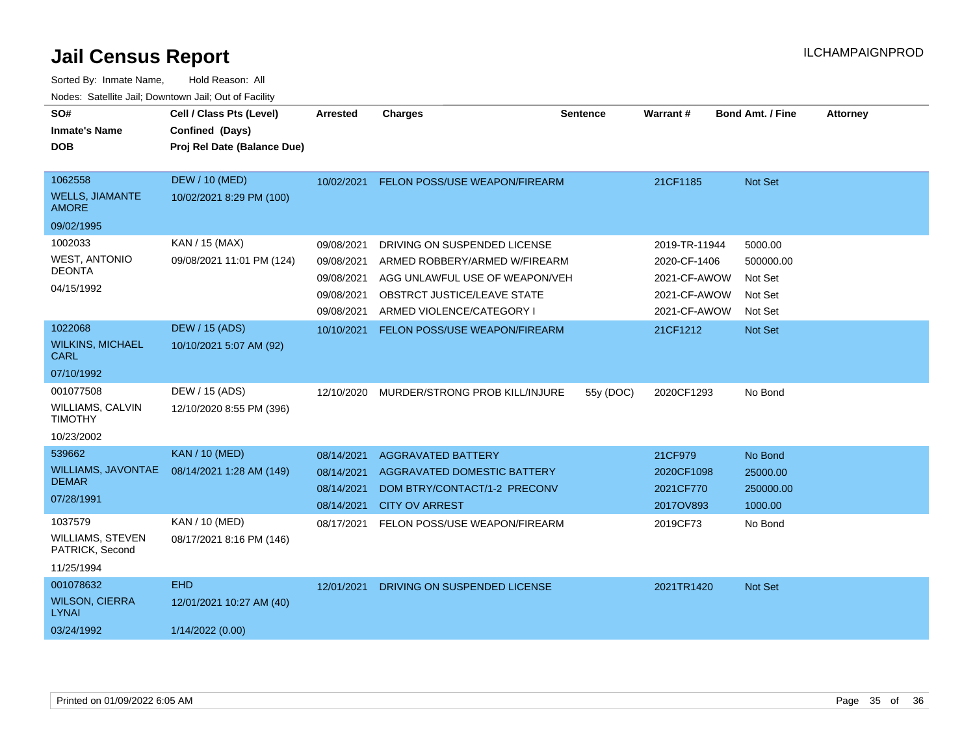| SO#<br><b>Inmate's Name</b><br><b>DOB</b>                         | Cell / Class Pts (Level)<br>Confined (Days)<br>Proj Rel Date (Balance Due) | <b>Arrested</b>                                                    | <b>Charges</b>                                                                                                                                              | <b>Sentence</b> | Warrant#                                                                      | <b>Bond Amt. / Fine</b>                               | <b>Attorney</b> |
|-------------------------------------------------------------------|----------------------------------------------------------------------------|--------------------------------------------------------------------|-------------------------------------------------------------------------------------------------------------------------------------------------------------|-----------------|-------------------------------------------------------------------------------|-------------------------------------------------------|-----------------|
| 1062558<br><b>WELLS, JIAMANTE</b><br><b>AMORE</b>                 | <b>DEW / 10 (MED)</b><br>10/02/2021 8:29 PM (100)                          | 10/02/2021                                                         | FELON POSS/USE WEAPON/FIREARM                                                                                                                               |                 | 21CF1185                                                                      | Not Set                                               |                 |
| 09/02/1995                                                        |                                                                            |                                                                    |                                                                                                                                                             |                 |                                                                               |                                                       |                 |
| 1002033<br><b>WEST, ANTONIO</b><br><b>DEONTA</b><br>04/15/1992    | KAN / 15 (MAX)<br>09/08/2021 11:01 PM (124)                                | 09/08/2021<br>09/08/2021<br>09/08/2021<br>09/08/2021<br>09/08/2021 | DRIVING ON SUSPENDED LICENSE<br>ARMED ROBBERY/ARMED W/FIREARM<br>AGG UNLAWFUL USE OF WEAPON/VEH<br>OBSTRCT JUSTICE/LEAVE STATE<br>ARMED VIOLENCE/CATEGORY I |                 | 2019-TR-11944<br>2020-CF-1406<br>2021-CF-AWOW<br>2021-CF-AWOW<br>2021-CF-AWOW | 5000.00<br>500000.00<br>Not Set<br>Not Set<br>Not Set |                 |
| 1022068                                                           | <b>DEW / 15 (ADS)</b>                                                      | 10/10/2021                                                         | <b>FELON POSS/USE WEAPON/FIREARM</b>                                                                                                                        |                 | 21CF1212                                                                      | Not Set                                               |                 |
| <b>WILKINS, MICHAEL</b><br><b>CARL</b>                            | 10/10/2021 5:07 AM (92)                                                    |                                                                    |                                                                                                                                                             |                 |                                                                               |                                                       |                 |
| 07/10/1992                                                        |                                                                            |                                                                    |                                                                                                                                                             |                 |                                                                               |                                                       |                 |
| 001077508<br><b>WILLIAMS, CALVIN</b><br><b>TIMOTHY</b>            | DEW / 15 (ADS)<br>12/10/2020 8:55 PM (396)                                 | 12/10/2020                                                         | MURDER/STRONG PROB KILL/INJURE                                                                                                                              | 55y (DOC)       | 2020CF1293                                                                    | No Bond                                               |                 |
| 10/23/2002                                                        |                                                                            |                                                                    |                                                                                                                                                             |                 |                                                                               |                                                       |                 |
| 539662<br><b>WILLIAMS, JAVONTAE</b><br><b>DEMAR</b><br>07/28/1991 | <b>KAN / 10 (MED)</b><br>08/14/2021 1:28 AM (149)                          | 08/14/2021<br>08/14/2021<br>08/14/2021<br>08/14/2021               | <b>AGGRAVATED BATTERY</b><br><b>AGGRAVATED DOMESTIC BATTERY</b><br>DOM BTRY/CONTACT/1-2 PRECONV<br><b>CITY OV ARREST</b>                                    |                 | 21CF979<br>2020CF1098<br>2021CF770<br>2017OV893                               | No Bond<br>25000.00<br>250000.00<br>1000.00           |                 |
| 1037579<br>WILLIAMS, STEVEN<br>PATRICK, Second<br>11/25/1994      | KAN / 10 (MED)<br>08/17/2021 8:16 PM (146)                                 | 08/17/2021                                                         | FELON POSS/USE WEAPON/FIREARM                                                                                                                               |                 | 2019CF73                                                                      | No Bond                                               |                 |
| 001078632                                                         | <b>EHD</b>                                                                 | 12/01/2021                                                         | DRIVING ON SUSPENDED LICENSE                                                                                                                                |                 | 2021TR1420                                                                    | Not Set                                               |                 |
| <b>WILSON, CIERRA</b><br><b>LYNAI</b>                             | 12/01/2021 10:27 AM (40)                                                   |                                                                    |                                                                                                                                                             |                 |                                                                               |                                                       |                 |
| 03/24/1992                                                        | 1/14/2022 (0.00)                                                           |                                                                    |                                                                                                                                                             |                 |                                                                               |                                                       |                 |